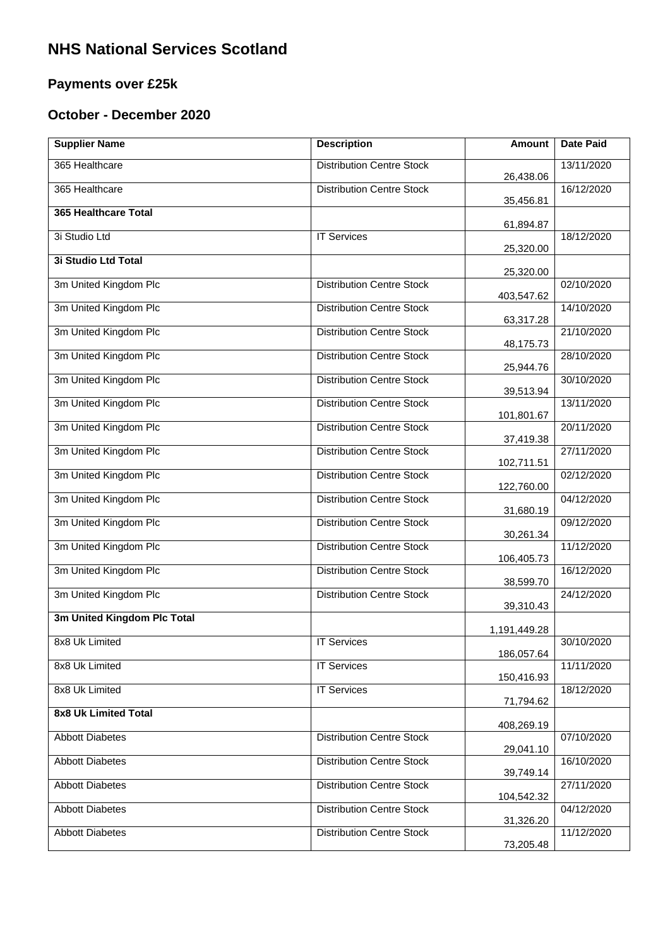## **NHS National Services Scotland**

## **Payments over £25k**

## **October - December 2020**

| <b>Supplier Name</b>        | <b>Description</b>               | <b>Amount</b> | <b>Date Paid</b> |
|-----------------------------|----------------------------------|---------------|------------------|
| 365 Healthcare              | <b>Distribution Centre Stock</b> | 26,438.06     | 13/11/2020       |
| 365 Healthcare              | <b>Distribution Centre Stock</b> | 35,456.81     | 16/12/2020       |
| 365 Healthcare Total        |                                  |               |                  |
| 3i Studio Ltd               | <b>IT Services</b>               | 61,894.87     | 18/12/2020       |
| 3i Studio Ltd Total         |                                  | 25,320.00     |                  |
| 3m United Kingdom Plc       | <b>Distribution Centre Stock</b> | 25,320.00     | 02/10/2020       |
| 3m United Kingdom Plc       | <b>Distribution Centre Stock</b> | 403,547.62    | 14/10/2020       |
| 3m United Kingdom Plc       | <b>Distribution Centre Stock</b> | 63,317.28     | 21/10/2020       |
| 3m United Kingdom Plc       | <b>Distribution Centre Stock</b> | 48,175.73     | 28/10/2020       |
| 3m United Kingdom Plc       | <b>Distribution Centre Stock</b> | 25,944.76     | 30/10/2020       |
| 3m United Kingdom Plc       | <b>Distribution Centre Stock</b> | 39,513.94     | 13/11/2020       |
| 3m United Kingdom Plc       | <b>Distribution Centre Stock</b> | 101,801.67    | 20/11/2020       |
| 3m United Kingdom Plc       | <b>Distribution Centre Stock</b> | 37,419.38     | 27/11/2020       |
| 3m United Kingdom Plc       | <b>Distribution Centre Stock</b> | 102,711.51    | 02/12/2020       |
| 3m United Kingdom Plc       | <b>Distribution Centre Stock</b> | 122,760.00    | 04/12/2020       |
|                             |                                  | 31,680.19     |                  |
| 3m United Kingdom Plc       | <b>Distribution Centre Stock</b> | 30,261.34     | 09/12/2020       |
| 3m United Kingdom Plc       | <b>Distribution Centre Stock</b> | 106,405.73    | 11/12/2020       |
| 3m United Kingdom Plc       | <b>Distribution Centre Stock</b> | 38,599.70     | 16/12/2020       |
| 3m United Kingdom Plc       | <b>Distribution Centre Stock</b> | 39,310.43     | 24/12/2020       |
| 3m United Kingdom Plc Total |                                  | 1,191,449.28  |                  |
| 8x8 Uk Limited              | <b>IT Services</b>               | 186,057.64    | 30/10/2020       |
| 8x8 Uk Limited              | <b>IT Services</b>               | 150,416.93    | 11/11/2020       |
| 8x8 Uk Limited              | <b>IT Services</b>               | 71,794.62     | 18/12/2020       |
| 8x8 Uk Limited Total        |                                  |               |                  |
| <b>Abbott Diabetes</b>      | <b>Distribution Centre Stock</b> | 408,269.19    | 07/10/2020       |
| <b>Abbott Diabetes</b>      | <b>Distribution Centre Stock</b> | 29,041.10     | 16/10/2020       |
| <b>Abbott Diabetes</b>      | <b>Distribution Centre Stock</b> | 39,749.14     | 27/11/2020       |
| <b>Abbott Diabetes</b>      | <b>Distribution Centre Stock</b> | 104,542.32    | 04/12/2020       |
| <b>Abbott Diabetes</b>      | <b>Distribution Centre Stock</b> | 31,326.20     | 11/12/2020       |
|                             |                                  | 73,205.48     |                  |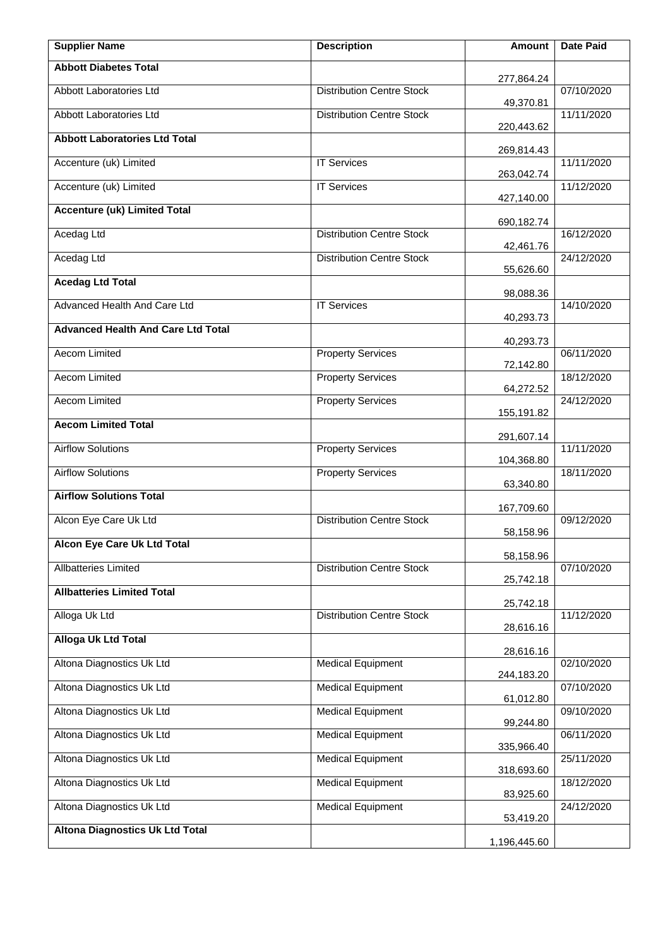| <b>Supplier Name</b>                      | <b>Description</b>               | <b>Amount</b> | <b>Date Paid</b> |
|-------------------------------------------|----------------------------------|---------------|------------------|
| <b>Abbott Diabetes Total</b>              |                                  | 277,864.24    |                  |
| Abbott Laboratories Ltd                   | <b>Distribution Centre Stock</b> | 49,370.81     | 07/10/2020       |
| Abbott Laboratories Ltd                   | <b>Distribution Centre Stock</b> | 220,443.62    | 11/11/2020       |
| <b>Abbott Laboratories Ltd Total</b>      |                                  | 269,814.43    |                  |
| Accenture (uk) Limited                    | <b>IT Services</b>               | 263,042.74    | 11/11/2020       |
| Accenture (uk) Limited                    | <b>IT Services</b>               | 427,140.00    | 11/12/2020       |
| <b>Accenture (uk) Limited Total</b>       |                                  | 690,182.74    |                  |
| Acedag Ltd                                | <b>Distribution Centre Stock</b> | 42,461.76     | 16/12/2020       |
| Acedag Ltd                                | <b>Distribution Centre Stock</b> |               | 24/12/2020       |
| <b>Acedag Ltd Total</b>                   |                                  | 55,626.60     |                  |
| Advanced Health And Care Ltd              | <b>IT Services</b>               | 98,088.36     | 14/10/2020       |
| <b>Advanced Health And Care Ltd Total</b> |                                  | 40,293.73     |                  |
| <b>Aecom Limited</b>                      | <b>Property Services</b>         | 40,293.73     | 06/11/2020       |
| Aecom Limited                             | <b>Property Services</b>         | 72,142.80     | 18/12/2020       |
| Aecom Limited                             | <b>Property Services</b>         | 64,272.52     | 24/12/2020       |
| <b>Aecom Limited Total</b>                |                                  | 155,191.82    |                  |
| <b>Airflow Solutions</b>                  | <b>Property Services</b>         | 291,607.14    | 11/11/2020       |
| <b>Airflow Solutions</b>                  | <b>Property Services</b>         | 104,368.80    | 18/11/2020       |
| <b>Airflow Solutions Total</b>            |                                  | 63,340.80     |                  |
| Alcon Eye Care Uk Ltd                     | <b>Distribution Centre Stock</b> | 167,709.60    | 09/12/2020       |
| Alcon Eye Care Uk Ltd Total               |                                  | 58,158.96     |                  |
| <b>Allbatteries Limited</b>               | <b>Distribution Centre Stock</b> | 58,158.96     | 07/10/2020       |
| <b>Allbatteries Limited Total</b>         |                                  | 25,742.18     |                  |
| Alloga Uk Ltd                             | <b>Distribution Centre Stock</b> | 25,742.18     | 11/12/2020       |
| <b>Alloga Uk Ltd Total</b>                |                                  | 28,616.16     |                  |
| Altona Diagnostics Uk Ltd                 | <b>Medical Equipment</b>         | 28,616.16     | 02/10/2020       |
| Altona Diagnostics Uk Ltd                 | <b>Medical Equipment</b>         | 244,183.20    | 07/10/2020       |
| Altona Diagnostics Uk Ltd                 | <b>Medical Equipment</b>         | 61,012.80     | 09/10/2020       |
| Altona Diagnostics Uk Ltd                 | <b>Medical Equipment</b>         | 99,244.80     | 06/11/2020       |
| Altona Diagnostics Uk Ltd                 | <b>Medical Equipment</b>         | 335,966.40    | 25/11/2020       |
| Altona Diagnostics Uk Ltd                 | <b>Medical Equipment</b>         | 318,693.60    | 18/12/2020       |
|                                           |                                  | 83,925.60     |                  |
| Altona Diagnostics Uk Ltd                 | <b>Medical Equipment</b>         | 53,419.20     | 24/12/2020       |
| <b>Altona Diagnostics Uk Ltd Total</b>    |                                  | 1,196,445.60  |                  |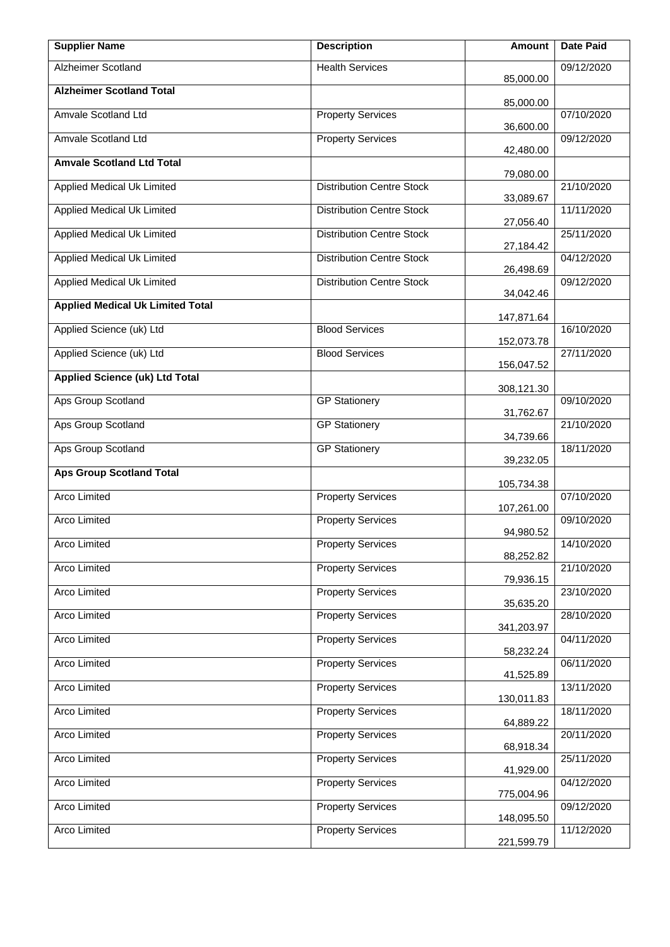| <b>Supplier Name</b>                    | <b>Description</b>               | Amount                   | Date Paid  |
|-----------------------------------------|----------------------------------|--------------------------|------------|
| <b>Alzheimer Scotland</b>               | <b>Health Services</b>           | 85,000.00                | 09/12/2020 |
| <b>Alzheimer Scotland Total</b>         |                                  | 85,000.00                |            |
| Amvale Scotland Ltd                     | <b>Property Services</b>         | 36,600.00                | 07/10/2020 |
| Amvale Scotland Ltd                     | <b>Property Services</b>         | 42,480.00                | 09/12/2020 |
| <b>Amvale Scotland Ltd Total</b>        |                                  | 79,080.00                |            |
| Applied Medical Uk Limited              | <b>Distribution Centre Stock</b> | 33,089.67                | 21/10/2020 |
| <b>Applied Medical Uk Limited</b>       | <b>Distribution Centre Stock</b> | 27,056.40                | 11/11/2020 |
| Applied Medical Uk Limited              | <b>Distribution Centre Stock</b> | 27,184.42                | 25/11/2020 |
| <b>Applied Medical Uk Limited</b>       | <b>Distribution Centre Stock</b> | 26,498.69                | 04/12/2020 |
| Applied Medical Uk Limited              | <b>Distribution Centre Stock</b> | 34,042.46                | 09/12/2020 |
| <b>Applied Medical Uk Limited Total</b> |                                  |                          |            |
| Applied Science (uk) Ltd                | <b>Blood Services</b>            | 147,871.64<br>152,073.78 | 16/10/2020 |
| Applied Science (uk) Ltd                | <b>Blood Services</b>            | 156,047.52               | 27/11/2020 |
| <b>Applied Science (uk) Ltd Total</b>   |                                  |                          |            |
| Aps Group Scotland                      | <b>GP Stationery</b>             | 308,121.30               | 09/10/2020 |
| <b>Aps Group Scotland</b>               | <b>GP Stationery</b>             | 31,762.67<br>34,739.66   | 21/10/2020 |
| Aps Group Scotland                      | <b>GP Stationery</b>             | 39,232.05                | 18/11/2020 |
| <b>Aps Group Scotland Total</b>         |                                  | 105,734.38               |            |
| <b>Arco Limited</b>                     | <b>Property Services</b>         | 107,261.00               | 07/10/2020 |
| Arco Limited                            | <b>Property Services</b>         | 94,980.52                | 09/10/2020 |
| Arco Limited                            | <b>Property Services</b>         | 88,252.82                | 14/10/2020 |
| Arco Limited                            | <b>Property Services</b>         | 79,936.15                | 21/10/2020 |
| Arco Limited                            | <b>Property Services</b>         | 35,635.20                | 23/10/2020 |
| Arco Limited                            | <b>Property Services</b>         | 341,203.97               | 28/10/2020 |
| Arco Limited                            | <b>Property Services</b>         | 58,232.24                | 04/11/2020 |
| Arco Limited                            | <b>Property Services</b>         | 41,525.89                | 06/11/2020 |
| Arco Limited                            | <b>Property Services</b>         | 130,011.83               | 13/11/2020 |
| Arco Limited                            | <b>Property Services</b>         | 64,889.22                | 18/11/2020 |
| Arco Limited                            | <b>Property Services</b>         | 68,918.34                | 20/11/2020 |
| Arco Limited                            | <b>Property Services</b>         | 41,929.00                | 25/11/2020 |
| Arco Limited                            | <b>Property Services</b>         | 775,004.96               | 04/12/2020 |
| Arco Limited                            | <b>Property Services</b>         | 148,095.50               | 09/12/2020 |
| Arco Limited                            | <b>Property Services</b>         | 221,599.79               | 11/12/2020 |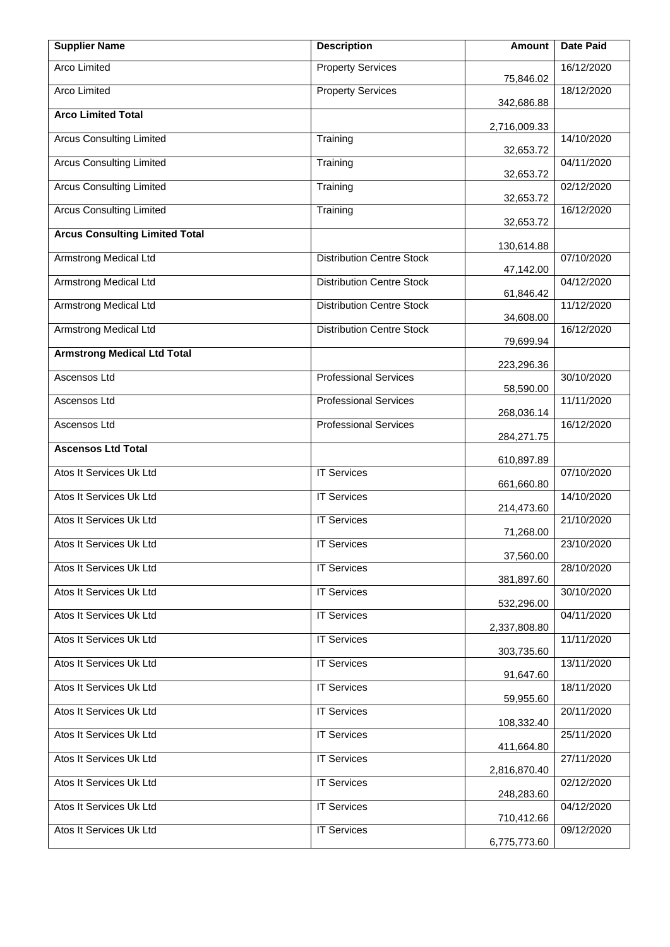| <b>Supplier Name</b>                  | <b>Description</b>               | Amount       | <b>Date Paid</b> |
|---------------------------------------|----------------------------------|--------------|------------------|
| Arco Limited                          | <b>Property Services</b>         | 75,846.02    | 16/12/2020       |
| Arco Limited                          | <b>Property Services</b>         | 342,686.88   | 18/12/2020       |
| <b>Arco Limited Total</b>             |                                  | 2,716,009.33 |                  |
| <b>Arcus Consulting Limited</b>       | Training                         | 32,653.72    | 14/10/2020       |
| <b>Arcus Consulting Limited</b>       | Training                         | 32,653.72    | 04/11/2020       |
| <b>Arcus Consulting Limited</b>       | Training                         | 32,653.72    | 02/12/2020       |
| <b>Arcus Consulting Limited</b>       | Training                         | 32,653.72    | 16/12/2020       |
| <b>Arcus Consulting Limited Total</b> |                                  | 130,614.88   |                  |
| <b>Armstrong Medical Ltd</b>          | <b>Distribution Centre Stock</b> | 47,142.00    | 07/10/2020       |
| <b>Armstrong Medical Ltd</b>          | <b>Distribution Centre Stock</b> | 61,846.42    | 04/12/2020       |
| Armstrong Medical Ltd                 | <b>Distribution Centre Stock</b> | 34,608.00    | 11/12/2020       |
| <b>Armstrong Medical Ltd</b>          | <b>Distribution Centre Stock</b> | 79,699.94    | 16/12/2020       |
| <b>Armstrong Medical Ltd Total</b>    |                                  | 223,296.36   |                  |
| Ascensos Ltd                          | <b>Professional Services</b>     | 58,590.00    | 30/10/2020       |
| Ascensos Ltd                          | <b>Professional Services</b>     | 268,036.14   | 11/11/2020       |
| Ascensos Ltd                          | <b>Professional Services</b>     | 284,271.75   | 16/12/2020       |
| <b>Ascensos Ltd Total</b>             |                                  | 610,897.89   |                  |
| Atos It Services Uk Ltd               | <b>IT Services</b>               | 661,660.80   | 07/10/2020       |
| Atos It Services Uk Ltd               | <b>IT Services</b>               | 214,473.60   | 14/10/2020       |
| Atos It Services Uk Ltd               | <b>IT Services</b>               | 71,268.00    | 21/10/2020       |
| Atos It Services Uk Ltd               | <b>IT Services</b>               | 37,560.00    | 23/10/2020       |
| Atos It Services Uk Ltd               | <b>IT Services</b>               | 381,897.60   | 28/10/2020       |
| Atos It Services Uk Ltd               | <b>IT Services</b>               | 532,296.00   | 30/10/2020       |
| Atos It Services Uk Ltd               | <b>IT Services</b>               | 2,337,808.80 | 04/11/2020       |
| Atos It Services Uk Ltd               | <b>IT Services</b>               | 303,735.60   | 11/11/2020       |
| Atos It Services Uk Ltd               | <b>IT Services</b>               | 91,647.60    | 13/11/2020       |
| Atos It Services Uk Ltd               | <b>IT Services</b>               | 59,955.60    | 18/11/2020       |
| Atos It Services Uk Ltd               | <b>IT Services</b>               | 108,332.40   | 20/11/2020       |
| Atos It Services Uk Ltd               | <b>IT Services</b>               | 411,664.80   | 25/11/2020       |
| Atos It Services Uk Ltd               | <b>IT Services</b>               | 2,816,870.40 | 27/11/2020       |
| Atos It Services Uk Ltd               | <b>IT Services</b>               | 248,283.60   | 02/12/2020       |
| Atos It Services Uk Ltd               | <b>IT Services</b>               | 710,412.66   | 04/12/2020       |
| Atos It Services Uk Ltd               | <b>IT Services</b>               | 6,775,773.60 | 09/12/2020       |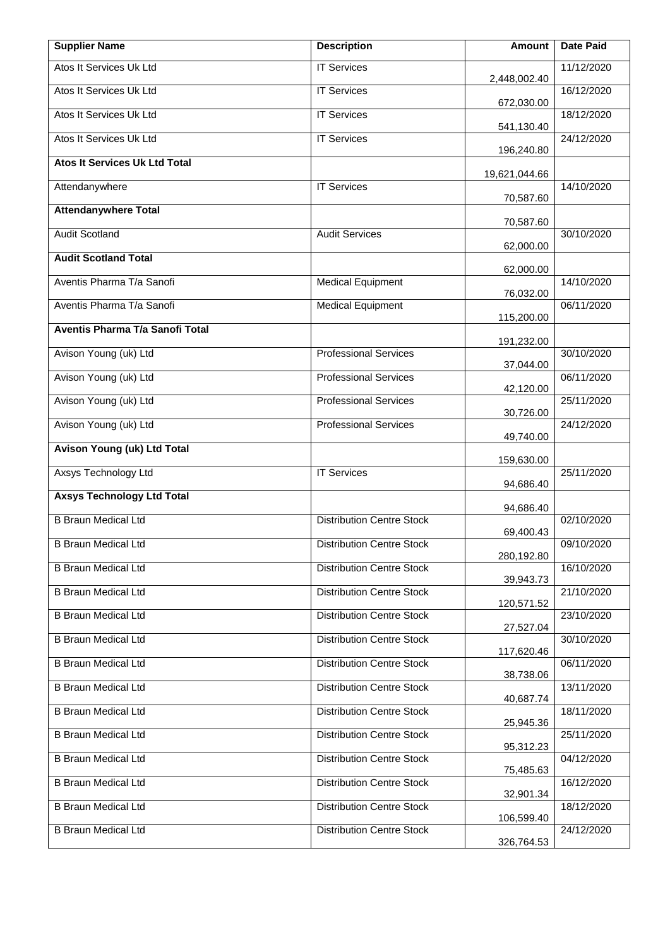| <b>Supplier Name</b>                 | <b>Description</b>               | <b>Amount</b> | <b>Date Paid</b> |
|--------------------------------------|----------------------------------|---------------|------------------|
| Atos It Services Uk Ltd              | <b>IT Services</b>               | 2,448,002.40  | 11/12/2020       |
| Atos It Services Uk Ltd              | <b>IT Services</b>               | 672,030.00    | 16/12/2020       |
| Atos It Services Uk Ltd              | <b>IT Services</b>               | 541,130.40    | 18/12/2020       |
| Atos It Services Uk Ltd              | <b>IT Services</b>               | 196,240.80    | 24/12/2020       |
| <b>Atos It Services Uk Ltd Total</b> |                                  | 19,621,044.66 |                  |
| Attendanywhere                       | <b>IT Services</b>               | 70,587.60     | 14/10/2020       |
| <b>Attendanywhere Total</b>          |                                  | 70,587.60     |                  |
| <b>Audit Scotland</b>                | <b>Audit Services</b>            | 62,000.00     | 30/10/2020       |
| <b>Audit Scotland Total</b>          |                                  | 62,000.00     |                  |
| Aventis Pharma T/a Sanofi            | <b>Medical Equipment</b>         | 76,032.00     | 14/10/2020       |
| Aventis Pharma T/a Sanofi            | <b>Medical Equipment</b>         |               | 06/11/2020       |
| Aventis Pharma T/a Sanofi Total      |                                  | 115,200.00    |                  |
| Avison Young (uk) Ltd                | <b>Professional Services</b>     | 191,232.00    | 30/10/2020       |
| Avison Young (uk) Ltd                | <b>Professional Services</b>     | 37,044.00     | 06/11/2020       |
| Avison Young (uk) Ltd                | <b>Professional Services</b>     | 42,120.00     | 25/11/2020       |
| Avison Young (uk) Ltd                | <b>Professional Services</b>     | 30,726.00     | 24/12/2020       |
| <b>Avison Young (uk) Ltd Total</b>   |                                  | 49,740.00     |                  |
| Axsys Technology Ltd                 | <b>IT Services</b>               | 159,630.00    | 25/11/2020       |
| <b>Axsys Technology Ltd Total</b>    |                                  | 94,686.40     |                  |
| <b>B Braun Medical Ltd</b>           | <b>Distribution Centre Stock</b> | 94,686.40     | 02/10/2020       |
| <b>B Braun Medical Ltd</b>           | <b>Distribution Centre Stock</b> | 69,400.43     | 09/10/2020       |
| <b>B Braun Medical Ltd</b>           | <b>Distribution Centre Stock</b> | 280,192.80    | 16/10/2020       |
| <b>B Braun Medical Ltd</b>           | <b>Distribution Centre Stock</b> | 39,943.73     | 21/10/2020       |
| <b>B Braun Medical Ltd</b>           | <b>Distribution Centre Stock</b> | 120,571.52    | 23/10/2020       |
| <b>B Braun Medical Ltd</b>           | <b>Distribution Centre Stock</b> | 27,527.04     | 30/10/2020       |
| <b>B Braun Medical Ltd</b>           | <b>Distribution Centre Stock</b> | 117,620.46    | 06/11/2020       |
| <b>B Braun Medical Ltd</b>           | <b>Distribution Centre Stock</b> | 38,738.06     | 13/11/2020       |
| <b>B Braun Medical Ltd</b>           | <b>Distribution Centre Stock</b> | 40,687.74     | 18/11/2020       |
| <b>B Braun Medical Ltd</b>           | <b>Distribution Centre Stock</b> | 25,945.36     | 25/11/2020       |
| <b>B Braun Medical Ltd</b>           | <b>Distribution Centre Stock</b> | 95,312.23     | 04/12/2020       |
| <b>B Braun Medical Ltd</b>           | <b>Distribution Centre Stock</b> | 75,485.63     | 16/12/2020       |
| <b>B Braun Medical Ltd</b>           | <b>Distribution Centre Stock</b> | 32,901.34     | 18/12/2020       |
| <b>B Braun Medical Ltd</b>           | <b>Distribution Centre Stock</b> | 106,599.40    | 24/12/2020       |
|                                      |                                  | 326,764.53    |                  |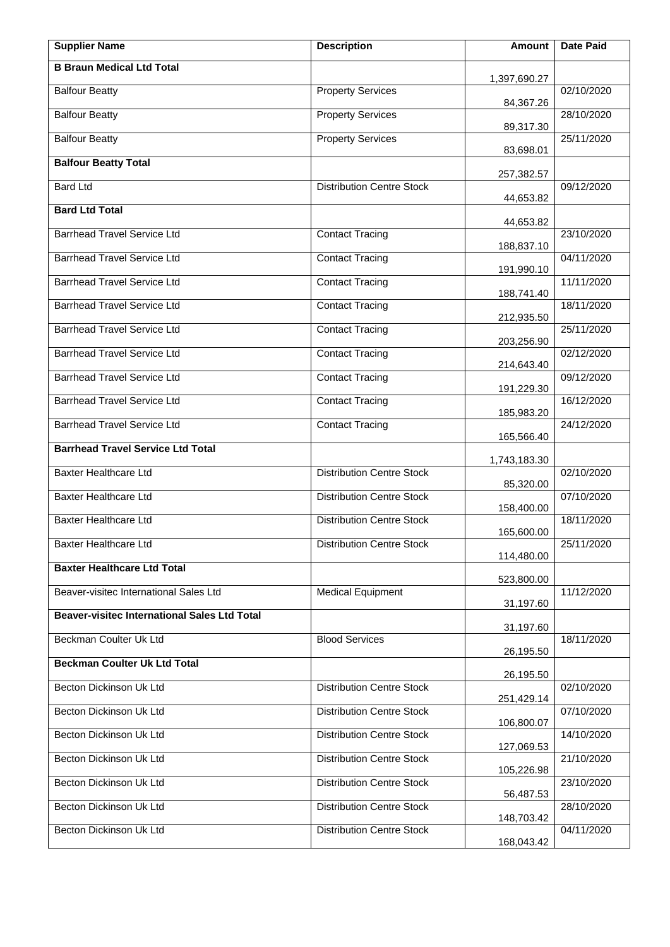| <b>Supplier Name</b>                                | <b>Description</b>               | Amount       | <b>Date Paid</b> |
|-----------------------------------------------------|----------------------------------|--------------|------------------|
| <b>B Braun Medical Ltd Total</b>                    |                                  | 1,397,690.27 |                  |
| <b>Balfour Beatty</b>                               | <b>Property Services</b>         | 84,367.26    | 02/10/2020       |
| <b>Balfour Beatty</b>                               | <b>Property Services</b>         | 89,317.30    | 28/10/2020       |
| <b>Balfour Beatty</b>                               | <b>Property Services</b>         | 83,698.01    | 25/11/2020       |
| <b>Balfour Beatty Total</b>                         |                                  | 257,382.57   |                  |
| <b>Bard Ltd</b>                                     | <b>Distribution Centre Stock</b> | 44,653.82    | 09/12/2020       |
| <b>Bard Ltd Total</b>                               |                                  | 44,653.82    |                  |
| <b>Barrhead Travel Service Ltd</b>                  | <b>Contact Tracing</b>           | 188,837.10   | 23/10/2020       |
| <b>Barrhead Travel Service Ltd</b>                  | <b>Contact Tracing</b>           | 191,990.10   | 04/11/2020       |
| <b>Barrhead Travel Service Ltd</b>                  | Contact Tracing                  | 188,741.40   | 11/11/2020       |
| <b>Barrhead Travel Service Ltd</b>                  | <b>Contact Tracing</b>           | 212,935.50   | 18/11/2020       |
| <b>Barrhead Travel Service Ltd</b>                  | <b>Contact Tracing</b>           | 203,256.90   | 25/11/2020       |
| <b>Barrhead Travel Service Ltd</b>                  | <b>Contact Tracing</b>           | 214,643.40   | 02/12/2020       |
| <b>Barrhead Travel Service Ltd</b>                  | <b>Contact Tracing</b>           | 191,229.30   | 09/12/2020       |
| <b>Barrhead Travel Service Ltd</b>                  | <b>Contact Tracing</b>           | 185,983.20   | 16/12/2020       |
| <b>Barrhead Travel Service Ltd</b>                  | <b>Contact Tracing</b>           | 165,566.40   | 24/12/2020       |
| <b>Barrhead Travel Service Ltd Total</b>            |                                  | 1,743,183.30 |                  |
| <b>Baxter Healthcare Ltd</b>                        | <b>Distribution Centre Stock</b> | 85,320.00    | 02/10/2020       |
| <b>Baxter Healthcare Ltd</b>                        | <b>Distribution Centre Stock</b> | 158,400.00   | 07/10/2020       |
| <b>Baxter Healthcare Ltd</b>                        | <b>Distribution Centre Stock</b> | 165,600.00   | 18/11/2020       |
| Baxter Healthcare Ltd                               | <b>Distribution Centre Stock</b> | 114,480.00   | 25/11/2020       |
| <b>Baxter Healthcare Ltd Total</b>                  |                                  | 523,800.00   |                  |
| Beaver-visitec International Sales Ltd              | <b>Medical Equipment</b>         | 31,197.60    | 11/12/2020       |
| <b>Beaver-visitec International Sales Ltd Total</b> |                                  | 31,197.60    |                  |
| Beckman Coulter Uk Ltd                              | <b>Blood Services</b>            | 26,195.50    | 18/11/2020       |
| <b>Beckman Coulter Uk Ltd Total</b>                 |                                  | 26,195.50    |                  |
| Becton Dickinson Uk Ltd                             | <b>Distribution Centre Stock</b> | 251,429.14   | 02/10/2020       |
| Becton Dickinson Uk Ltd                             | <b>Distribution Centre Stock</b> | 106,800.07   | 07/10/2020       |
| Becton Dickinson Uk Ltd                             | <b>Distribution Centre Stock</b> | 127,069.53   | 14/10/2020       |
| Becton Dickinson Uk Ltd                             | <b>Distribution Centre Stock</b> | 105,226.98   | 21/10/2020       |
| Becton Dickinson Uk Ltd                             | <b>Distribution Centre Stock</b> | 56,487.53    | 23/10/2020       |
| Becton Dickinson Uk Ltd                             | <b>Distribution Centre Stock</b> | 148,703.42   | 28/10/2020       |
| Becton Dickinson Uk Ltd                             | <b>Distribution Centre Stock</b> | 168,043.42   | 04/11/2020       |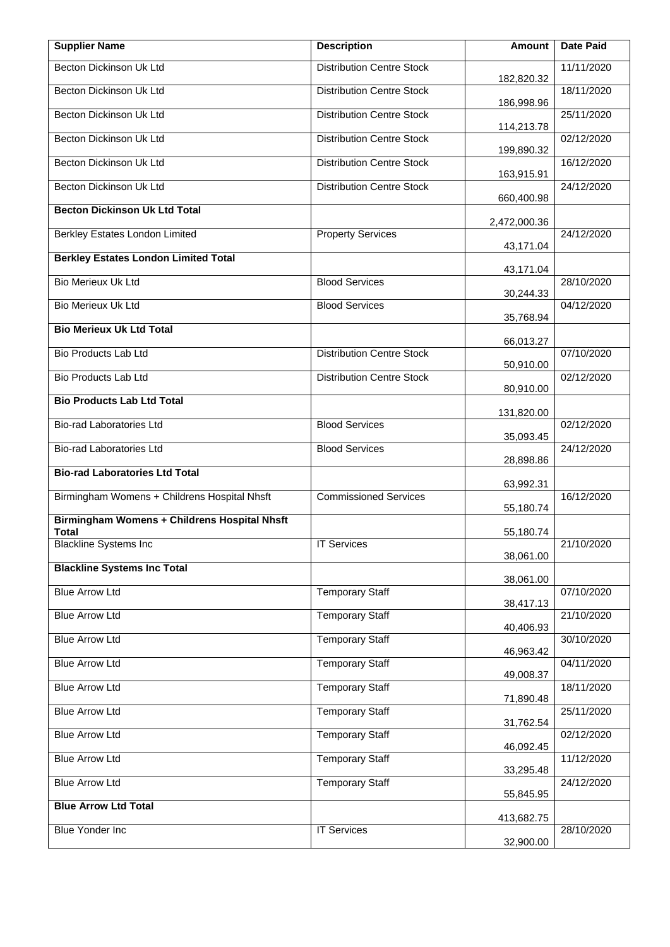| <b>Supplier Name</b>                                         | <b>Description</b>               | Amount       | <b>Date Paid</b> |
|--------------------------------------------------------------|----------------------------------|--------------|------------------|
| Becton Dickinson Uk Ltd                                      | <b>Distribution Centre Stock</b> | 182,820.32   | 11/11/2020       |
| Becton Dickinson Uk Ltd                                      | <b>Distribution Centre Stock</b> | 186,998.96   | 18/11/2020       |
| Becton Dickinson Uk Ltd                                      | <b>Distribution Centre Stock</b> | 114,213.78   | 25/11/2020       |
| Becton Dickinson Uk Ltd                                      | <b>Distribution Centre Stock</b> | 199,890.32   | 02/12/2020       |
| Becton Dickinson Uk Ltd                                      | <b>Distribution Centre Stock</b> | 163,915.91   | 16/12/2020       |
| Becton Dickinson Uk Ltd                                      | <b>Distribution Centre Stock</b> | 660,400.98   | 24/12/2020       |
| <b>Becton Dickinson Uk Ltd Total</b>                         |                                  | 2,472,000.36 |                  |
| Berkley Estates London Limited                               | <b>Property Services</b>         | 43,171.04    | 24/12/2020       |
| <b>Berkley Estates London Limited Total</b>                  |                                  | 43,171.04    |                  |
| <b>Bio Merieux Uk Ltd</b>                                    | <b>Blood Services</b>            | 30,244.33    | 28/10/2020       |
| <b>Bio Merieux Uk Ltd</b>                                    | <b>Blood Services</b>            | 35,768.94    | 04/12/2020       |
| <b>Bio Merieux Uk Ltd Total</b>                              |                                  | 66,013.27    |                  |
| Bio Products Lab Ltd                                         | <b>Distribution Centre Stock</b> | 50,910.00    | 07/10/2020       |
| Bio Products Lab Ltd                                         | <b>Distribution Centre Stock</b> | 80,910.00    | 02/12/2020       |
| <b>Bio Products Lab Ltd Total</b>                            |                                  | 131,820.00   |                  |
| Bio-rad Laboratories Ltd                                     | <b>Blood Services</b>            | 35,093.45    | 02/12/2020       |
| Bio-rad Laboratories Ltd                                     | <b>Blood Services</b>            | 28,898.86    | 24/12/2020       |
| <b>Bio-rad Laboratories Ltd Total</b>                        |                                  | 63,992.31    |                  |
| Birmingham Womens + Childrens Hospital Nhsft                 | <b>Commissioned Services</b>     | 55,180.74    | 16/12/2020       |
| Birmingham Womens + Childrens Hospital Nhsft<br><b>Total</b> |                                  | 55,180.74    |                  |
| <b>Blackline Systems Inc</b>                                 | <b>IT Services</b>               | 38,061.00    | 21/10/2020       |
| <b>Blackline Systems Inc Total</b>                           |                                  | 38,061.00    |                  |
| <b>Blue Arrow Ltd</b>                                        | <b>Temporary Staff</b>           | 38,417.13    | 07/10/2020       |
| <b>Blue Arrow Ltd</b>                                        | <b>Temporary Staff</b>           | 40,406.93    | 21/10/2020       |
| <b>Blue Arrow Ltd</b>                                        | <b>Temporary Staff</b>           | 46,963.42    | 30/10/2020       |
| <b>Blue Arrow Ltd</b>                                        | <b>Temporary Staff</b>           | 49,008.37    | 04/11/2020       |
| <b>Blue Arrow Ltd</b>                                        | <b>Temporary Staff</b>           | 71,890.48    | 18/11/2020       |
| <b>Blue Arrow Ltd</b>                                        | <b>Temporary Staff</b>           | 31,762.54    | 25/11/2020       |
| <b>Blue Arrow Ltd</b>                                        | <b>Temporary Staff</b>           | 46,092.45    | 02/12/2020       |
| <b>Blue Arrow Ltd</b>                                        | <b>Temporary Staff</b>           | 33,295.48    | 11/12/2020       |
| <b>Blue Arrow Ltd</b>                                        | <b>Temporary Staff</b>           | 55,845.95    | 24/12/2020       |
| <b>Blue Arrow Ltd Total</b>                                  |                                  | 413,682.75   |                  |
| <b>Blue Yonder Inc</b>                                       | <b>IT Services</b>               | 32,900.00    | 28/10/2020       |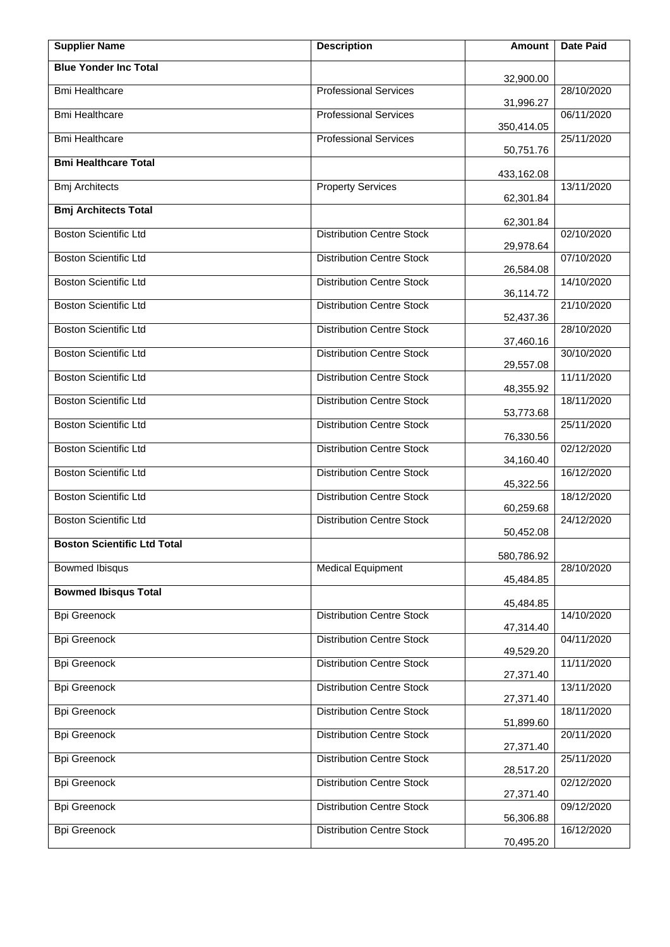| <b>Supplier Name</b>               | <b>Description</b>               | Amount     | Date Paid  |
|------------------------------------|----------------------------------|------------|------------|
| <b>Blue Yonder Inc Total</b>       |                                  | 32,900.00  |            |
| <b>Bmi Healthcare</b>              | <b>Professional Services</b>     | 31,996.27  | 28/10/2020 |
| <b>Bmi Healthcare</b>              | <b>Professional Services</b>     | 350,414.05 | 06/11/2020 |
| <b>Bmi Healthcare</b>              | <b>Professional Services</b>     | 50,751.76  | 25/11/2020 |
| <b>Bmi Healthcare Total</b>        |                                  | 433,162.08 |            |
| <b>Bmj Architects</b>              | <b>Property Services</b>         | 62,301.84  | 13/11/2020 |
| <b>Bmj Architects Total</b>        |                                  | 62,301.84  |            |
| <b>Boston Scientific Ltd</b>       | <b>Distribution Centre Stock</b> | 29,978.64  | 02/10/2020 |
| <b>Boston Scientific Ltd</b>       | <b>Distribution Centre Stock</b> | 26,584.08  | 07/10/2020 |
| <b>Boston Scientific Ltd</b>       | <b>Distribution Centre Stock</b> | 36,114.72  | 14/10/2020 |
| <b>Boston Scientific Ltd</b>       | <b>Distribution Centre Stock</b> | 52,437.36  | 21/10/2020 |
| <b>Boston Scientific Ltd</b>       | <b>Distribution Centre Stock</b> | 37,460.16  | 28/10/2020 |
| <b>Boston Scientific Ltd</b>       | <b>Distribution Centre Stock</b> | 29,557.08  | 30/10/2020 |
| <b>Boston Scientific Ltd</b>       | <b>Distribution Centre Stock</b> | 48,355.92  | 11/11/2020 |
| <b>Boston Scientific Ltd</b>       | <b>Distribution Centre Stock</b> | 53,773.68  | 18/11/2020 |
| <b>Boston Scientific Ltd</b>       | <b>Distribution Centre Stock</b> | 76,330.56  | 25/11/2020 |
| <b>Boston Scientific Ltd</b>       | <b>Distribution Centre Stock</b> | 34,160.40  | 02/12/2020 |
| <b>Boston Scientific Ltd</b>       | <b>Distribution Centre Stock</b> | 45,322.56  | 16/12/2020 |
| <b>Boston Scientific Ltd</b>       | <b>Distribution Centre Stock</b> | 60,259.68  | 18/12/2020 |
| <b>Boston Scientific Ltd</b>       | <b>Distribution Centre Stock</b> | 50,452.08  | 24/12/2020 |
| <b>Boston Scientific Ltd Total</b> |                                  | 580,786.92 |            |
| <b>Bowmed Ibisqus</b>              | <b>Medical Equipment</b>         | 45,484.85  | 28/10/2020 |
| <b>Bowmed Ibisqus Total</b>        |                                  | 45,484.85  |            |
| <b>Bpi Greenock</b>                | <b>Distribution Centre Stock</b> | 47,314.40  | 14/10/2020 |
| <b>Bpi Greenock</b>                | <b>Distribution Centre Stock</b> | 49,529.20  | 04/11/2020 |
| <b>Bpi Greenock</b>                | <b>Distribution Centre Stock</b> | 27,371.40  | 11/11/2020 |
| <b>Bpi Greenock</b>                | <b>Distribution Centre Stock</b> | 27,371.40  | 13/11/2020 |
| <b>Bpi Greenock</b>                | <b>Distribution Centre Stock</b> | 51,899.60  | 18/11/2020 |
| <b>Bpi Greenock</b>                | <b>Distribution Centre Stock</b> | 27,371.40  | 20/11/2020 |
| <b>Bpi Greenock</b>                | <b>Distribution Centre Stock</b> | 28,517.20  | 25/11/2020 |
| <b>Bpi Greenock</b>                | <b>Distribution Centre Stock</b> | 27,371.40  | 02/12/2020 |
| <b>Bpi Greenock</b>                | <b>Distribution Centre Stock</b> | 56,306.88  | 09/12/2020 |
| <b>Bpi Greenock</b>                | <b>Distribution Centre Stock</b> | 70,495.20  | 16/12/2020 |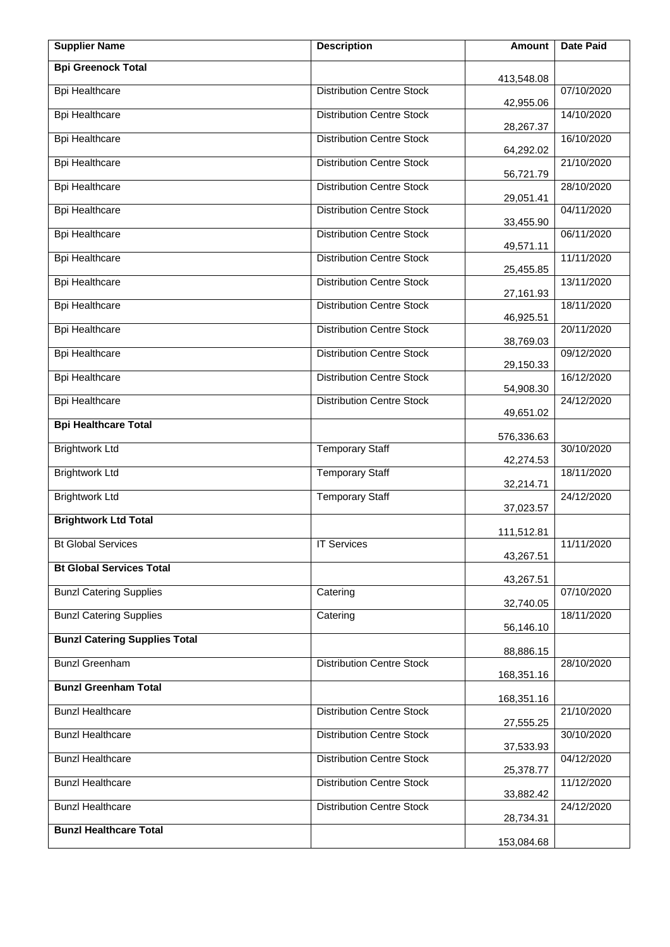| <b>Supplier Name</b>                 | <b>Description</b>               | <b>Amount</b> | <b>Date Paid</b> |
|--------------------------------------|----------------------------------|---------------|------------------|
| <b>Bpi Greenock Total</b>            |                                  | 413,548.08    |                  |
| <b>Bpi Healthcare</b>                | <b>Distribution Centre Stock</b> | 42,955.06     | 07/10/2020       |
| <b>Bpi Healthcare</b>                | <b>Distribution Centre Stock</b> | 28,267.37     | 14/10/2020       |
| <b>Bpi Healthcare</b>                | <b>Distribution Centre Stock</b> | 64,292.02     | 16/10/2020       |
| <b>Bpi Healthcare</b>                | <b>Distribution Centre Stock</b> | 56,721.79     | 21/10/2020       |
| <b>Bpi Healthcare</b>                | <b>Distribution Centre Stock</b> | 29,051.41     | 28/10/2020       |
| <b>Bpi Healthcare</b>                | <b>Distribution Centre Stock</b> | 33,455.90     | 04/11/2020       |
| <b>Bpi Healthcare</b>                | <b>Distribution Centre Stock</b> | 49,571.11     | 06/11/2020       |
| <b>Bpi Healthcare</b>                | <b>Distribution Centre Stock</b> | 25,455.85     | 11/11/2020       |
| <b>Bpi Healthcare</b>                | <b>Distribution Centre Stock</b> | 27,161.93     | 13/11/2020       |
| <b>Bpi Healthcare</b>                | <b>Distribution Centre Stock</b> | 46,925.51     | 18/11/2020       |
| <b>Bpi Healthcare</b>                | <b>Distribution Centre Stock</b> | 38,769.03     | 20/11/2020       |
| <b>Bpi Healthcare</b>                | <b>Distribution Centre Stock</b> | 29,150.33     | 09/12/2020       |
| <b>Bpi Healthcare</b>                | <b>Distribution Centre Stock</b> | 54,908.30     | 16/12/2020       |
| <b>Bpi Healthcare</b>                | <b>Distribution Centre Stock</b> | 49,651.02     | 24/12/2020       |
| <b>Bpi Healthcare Total</b>          |                                  | 576,336.63    |                  |
| <b>Brightwork Ltd</b>                | <b>Temporary Staff</b>           | 42,274.53     | 30/10/2020       |
| <b>Brightwork Ltd</b>                | <b>Temporary Staff</b>           | 32,214.71     | 18/11/2020       |
| <b>Brightwork Ltd</b>                | <b>Temporary Staff</b>           | 37,023.57     | 24/12/2020       |
| <b>Brightwork Ltd Total</b>          |                                  | 111,512.81    |                  |
| <b>Bt Global Services</b>            | <b>IT Services</b>               | 43,267.51     | 11/11/2020       |
| <b>Bt Global Services Total</b>      |                                  | 43,267.51     |                  |
| <b>Bunzl Catering Supplies</b>       | Catering                         | 32,740.05     | 07/10/2020       |
| <b>Bunzl Catering Supplies</b>       | Catering                         | 56,146.10     | 18/11/2020       |
| <b>Bunzl Catering Supplies Total</b> |                                  | 88,886.15     |                  |
| <b>Bunzl Greenham</b>                | <b>Distribution Centre Stock</b> | 168,351.16    | 28/10/2020       |
| <b>Bunzl Greenham Total</b>          |                                  | 168,351.16    |                  |
| <b>Bunzl Healthcare</b>              | <b>Distribution Centre Stock</b> |               | 21/10/2020       |
| <b>Bunzl Healthcare</b>              | <b>Distribution Centre Stock</b> | 27,555.25     | 30/10/2020       |
| <b>Bunzl Healthcare</b>              | <b>Distribution Centre Stock</b> | 37,533.93     | 04/12/2020       |
| <b>Bunzl Healthcare</b>              | <b>Distribution Centre Stock</b> | 25,378.77     | 11/12/2020       |
| <b>Bunzl Healthcare</b>              | <b>Distribution Centre Stock</b> | 33,882.42     | 24/12/2020       |
| <b>Bunzl Healthcare Total</b>        |                                  | 28,734.31     |                  |
|                                      |                                  | 153,084.68    |                  |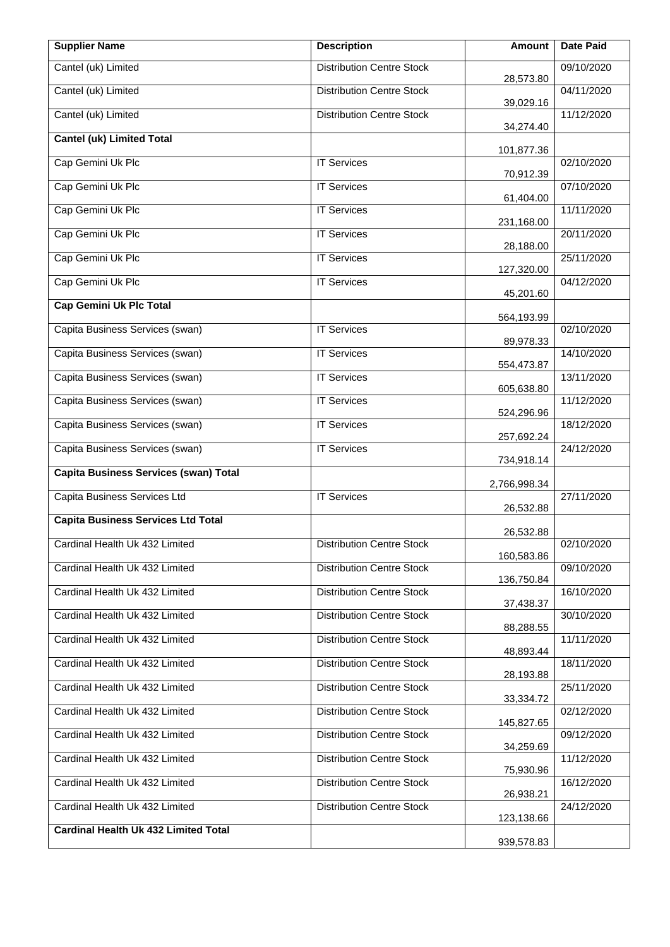| <b>Supplier Name</b>                         | <b>Description</b>               | Amount       | <b>Date Paid</b> |
|----------------------------------------------|----------------------------------|--------------|------------------|
| Cantel (uk) Limited                          | <b>Distribution Centre Stock</b> | 28,573.80    | 09/10/2020       |
| Cantel (uk) Limited                          | <b>Distribution Centre Stock</b> | 39,029.16    | 04/11/2020       |
| Cantel (uk) Limited                          | <b>Distribution Centre Stock</b> | 34,274.40    | 11/12/2020       |
| <b>Cantel (uk) Limited Total</b>             |                                  | 101,877.36   |                  |
| Cap Gemini Uk Plc                            | <b>IT Services</b>               | 70,912.39    | 02/10/2020       |
| Cap Gemini Uk Plc                            | <b>IT Services</b>               | 61,404.00    | 07/10/2020       |
| Cap Gemini Uk Plc                            | <b>IT Services</b>               | 231,168.00   | 11/11/2020       |
| Cap Gemini Uk Plc                            | <b>IT Services</b>               | 28,188.00    | 20/11/2020       |
| Cap Gemini Uk Plc                            | <b>IT Services</b>               | 127,320.00   | 25/11/2020       |
| Cap Gemini Uk Plc                            | <b>IT Services</b>               | 45,201.60    | 04/12/2020       |
| <b>Cap Gemini Uk Plc Total</b>               |                                  | 564,193.99   |                  |
| Capita Business Services (swan)              | <b>IT Services</b>               | 89,978.33    | 02/10/2020       |
| Capita Business Services (swan)              | <b>IT Services</b>               | 554,473.87   | 14/10/2020       |
| Capita Business Services (swan)              | <b>IT Services</b>               | 605,638.80   | 13/11/2020       |
| Capita Business Services (swan)              | <b>IT Services</b>               | 524,296.96   | 11/12/2020       |
| Capita Business Services (swan)              | <b>IT Services</b>               | 257,692.24   | 18/12/2020       |
| Capita Business Services (swan)              | <b>IT Services</b>               | 734,918.14   | 24/12/2020       |
| <b>Capita Business Services (swan) Total</b> |                                  | 2,766,998.34 |                  |
| Capita Business Services Ltd                 | <b>IT Services</b>               | 26,532.88    | 27/11/2020       |
| <b>Capita Business Services Ltd Total</b>    |                                  | 26,532.88    |                  |
| Cardinal Health Uk 432 Limited               | <b>Distribution Centre Stock</b> | 160,583.86   | 02/10/2020       |
| Cardinal Health Uk 432 Limited               | <b>Distribution Centre Stock</b> | 136,750.84   | 09/10/2020       |
| Cardinal Health Uk 432 Limited               | <b>Distribution Centre Stock</b> | 37,438.37    | 16/10/2020       |
| Cardinal Health Uk 432 Limited               | <b>Distribution Centre Stock</b> | 88,288.55    | 30/10/2020       |
| Cardinal Health Uk 432 Limited               | <b>Distribution Centre Stock</b> | 48,893.44    | 11/11/2020       |
| Cardinal Health Uk 432 Limited               | <b>Distribution Centre Stock</b> | 28,193.88    | 18/11/2020       |
| Cardinal Health Uk 432 Limited               | <b>Distribution Centre Stock</b> | 33,334.72    | 25/11/2020       |
| Cardinal Health Uk 432 Limited               | <b>Distribution Centre Stock</b> | 145,827.65   | 02/12/2020       |
| Cardinal Health Uk 432 Limited               | <b>Distribution Centre Stock</b> | 34,259.69    | 09/12/2020       |
| Cardinal Health Uk 432 Limited               | <b>Distribution Centre Stock</b> | 75,930.96    | 11/12/2020       |
| Cardinal Health Uk 432 Limited               | <b>Distribution Centre Stock</b> | 26,938.21    | 16/12/2020       |
| Cardinal Health Uk 432 Limited               | <b>Distribution Centre Stock</b> | 123,138.66   | 24/12/2020       |
| <b>Cardinal Health Uk 432 Limited Total</b>  |                                  | 939,578.83   |                  |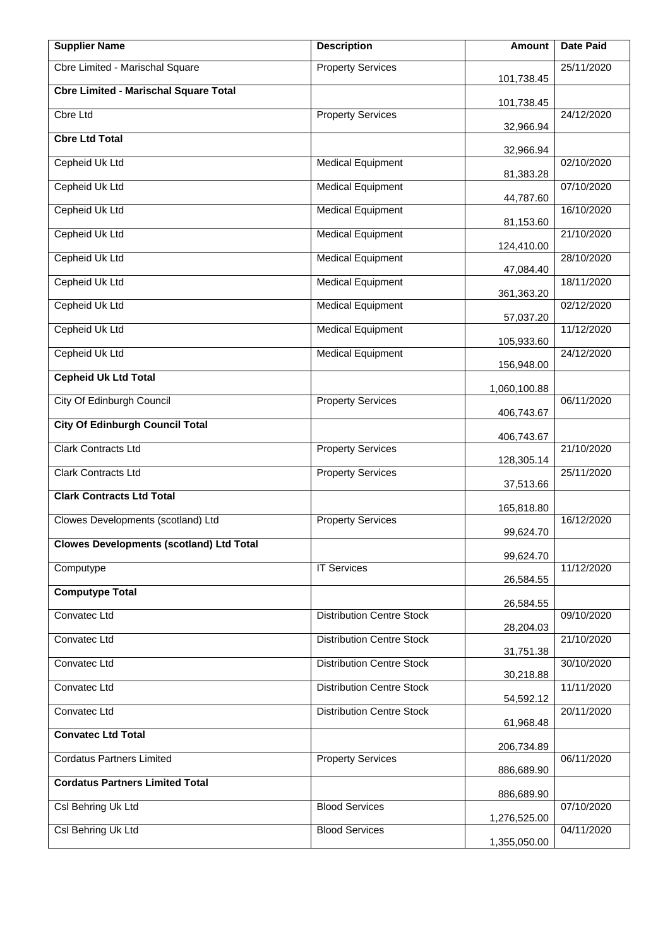| <b>Supplier Name</b>                            | <b>Description</b>               | Amount                 | <b>Date Paid</b> |
|-------------------------------------------------|----------------------------------|------------------------|------------------|
| Cbre Limited - Marischal Square                 | <b>Property Services</b>         | 101,738.45             | 25/11/2020       |
| <b>Cbre Limited - Marischal Square Total</b>    |                                  | 101,738.45             |                  |
| <b>Cbre Ltd</b>                                 | <b>Property Services</b>         | 32,966.94              | 24/12/2020       |
| <b>Cbre Ltd Total</b>                           |                                  | 32,966.94              |                  |
| Cepheid Uk Ltd                                  | <b>Medical Equipment</b>         | 81,383.28              | 02/10/2020       |
| Cepheid Uk Ltd                                  | <b>Medical Equipment</b>         | 44,787.60              | 07/10/2020       |
| Cepheid Uk Ltd                                  | <b>Medical Equipment</b>         | 81,153.60              | 16/10/2020       |
| Cepheid Uk Ltd                                  | <b>Medical Equipment</b>         | 124,410.00             | 21/10/2020       |
| Cepheid Uk Ltd                                  | <b>Medical Equipment</b>         | 47,084.40              | 28/10/2020       |
| Cepheid Uk Ltd                                  | <b>Medical Equipment</b>         | 361,363.20             | 18/11/2020       |
| Cepheid Uk Ltd                                  | <b>Medical Equipment</b>         | 57,037.20              | 02/12/2020       |
| Cepheid Uk Ltd                                  | <b>Medical Equipment</b>         | 105,933.60             | 11/12/2020       |
| Cepheid Uk Ltd                                  | <b>Medical Equipment</b>         | 156,948.00             | 24/12/2020       |
| <b>Cepheid Uk Ltd Total</b>                     |                                  | 1,060,100.88           |                  |
| City Of Edinburgh Council                       | <b>Property Services</b>         | 406,743.67             | 06/11/2020       |
| <b>City Of Edinburgh Council Total</b>          |                                  | 406,743.67             |                  |
| Clark Contracts Ltd                             | <b>Property Services</b>         | 128,305.14             | 21/10/2020       |
| Clark Contracts Ltd                             | <b>Property Services</b>         | 37,513.66              | 25/11/2020       |
| <b>Clark Contracts Ltd Total</b>                |                                  | 165,818.80             |                  |
| Clowes Developments (scotland) Ltd              | <b>Property Services</b>         | 99,624.70              | 16/12/2020       |
| <b>Clowes Developments (scotland) Ltd Total</b> |                                  | 99,624.70              |                  |
| Computype                                       | <b>IT Services</b>               | 26,584.55              | 11/12/2020       |
| <b>Computype Total</b>                          |                                  | 26,584.55              |                  |
| <b>Convatec Ltd</b>                             | <b>Distribution Centre Stock</b> |                        | 09/10/2020       |
| Convatec Ltd                                    | <b>Distribution Centre Stock</b> | 28,204.03<br>31,751.38 | 21/10/2020       |
| Convatec Ltd                                    | <b>Distribution Centre Stock</b> | 30,218.88              | 30/10/2020       |
| Convatec Ltd                                    | <b>Distribution Centre Stock</b> | 54,592.12              | 11/11/2020       |
| Convatec Ltd                                    | <b>Distribution Centre Stock</b> | 61,968.48              | 20/11/2020       |
| <b>Convatec Ltd Total</b>                       |                                  | 206,734.89             |                  |
| <b>Cordatus Partners Limited</b>                | <b>Property Services</b>         | 886,689.90             | 06/11/2020       |
| <b>Cordatus Partners Limited Total</b>          |                                  | 886,689.90             |                  |
| Csl Behring Uk Ltd                              | <b>Blood Services</b>            | 1,276,525.00           | 07/10/2020       |
| Csl Behring Uk Ltd                              | <b>Blood Services</b>            | 1,355,050.00           | 04/11/2020       |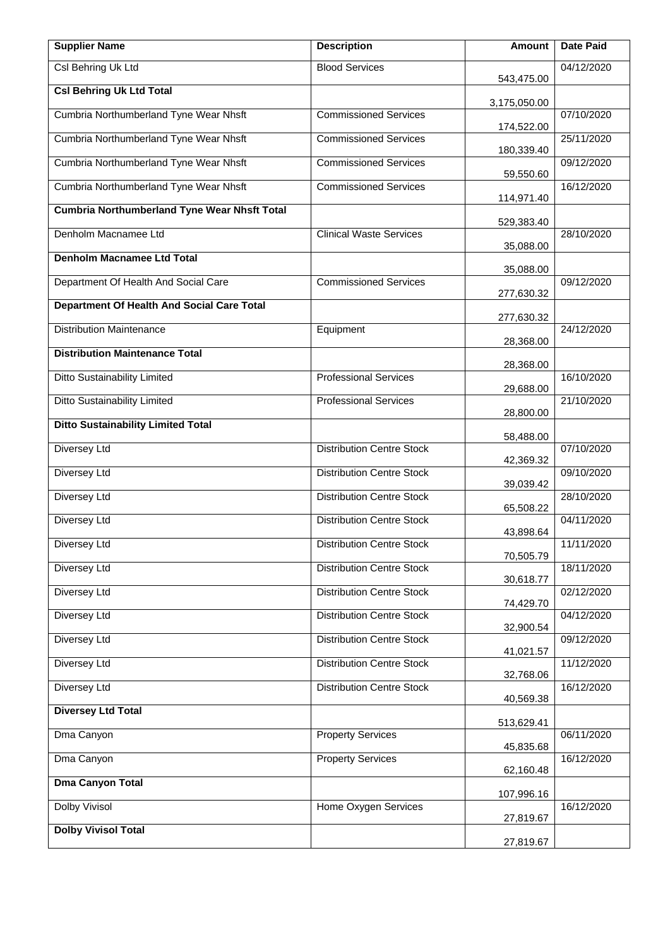| <b>Supplier Name</b>                                | <b>Description</b>               | <b>Amount</b> | <b>Date Paid</b> |
|-----------------------------------------------------|----------------------------------|---------------|------------------|
| Csl Behring Uk Ltd                                  | <b>Blood Services</b>            | 543,475.00    | 04/12/2020       |
| <b>Csl Behring Uk Ltd Total</b>                     |                                  | 3,175,050.00  |                  |
| Cumbria Northumberland Tyne Wear Nhsft              | <b>Commissioned Services</b>     | 174,522.00    | 07/10/2020       |
| Cumbria Northumberland Tyne Wear Nhsft              | <b>Commissioned Services</b>     | 180,339.40    | 25/11/2020       |
| Cumbria Northumberland Tyne Wear Nhsft              | <b>Commissioned Services</b>     | 59,550.60     | 09/12/2020       |
| Cumbria Northumberland Tyne Wear Nhsft              | <b>Commissioned Services</b>     | 114,971.40    | 16/12/2020       |
| <b>Cumbria Northumberland Tyne Wear Nhsft Total</b> |                                  | 529,383.40    |                  |
| Denholm Macnamee Ltd                                | <b>Clinical Waste Services</b>   | 35,088.00     | 28/10/2020       |
| <b>Denholm Macnamee Ltd Total</b>                   |                                  | 35,088.00     |                  |
| Department Of Health And Social Care                | <b>Commissioned Services</b>     | 277,630.32    | 09/12/2020       |
| <b>Department Of Health And Social Care Total</b>   |                                  | 277,630.32    |                  |
| <b>Distribution Maintenance</b>                     | Equipment                        | 28,368.00     | 24/12/2020       |
| <b>Distribution Maintenance Total</b>               |                                  | 28,368.00     |                  |
| <b>Ditto Sustainability Limited</b>                 | <b>Professional Services</b>     | 29,688.00     | 16/10/2020       |
| <b>Ditto Sustainability Limited</b>                 | <b>Professional Services</b>     | 28,800.00     | 21/10/2020       |
| <b>Ditto Sustainability Limited Total</b>           |                                  | 58,488.00     |                  |
| Diversey Ltd                                        | <b>Distribution Centre Stock</b> | 42,369.32     | 07/10/2020       |
| Diversey Ltd                                        | <b>Distribution Centre Stock</b> | 39,039.42     | 09/10/2020       |
| <b>Diversey Ltd</b>                                 | <b>Distribution Centre Stock</b> | 65,508.22     | 28/10/2020       |
| <b>Diversey Ltd</b>                                 | <b>Distribution Centre Stock</b> | 43,898.64     | 04/11/2020       |
| Diversey Ltd                                        | <b>Distribution Centre Stock</b> | 70,505.79     | 11/11/2020       |
| Diversey Ltd                                        | <b>Distribution Centre Stock</b> | 30,618.77     | 18/11/2020       |
| <b>Diversey Ltd</b>                                 | <b>Distribution Centre Stock</b> | 74,429.70     | 02/12/2020       |
| Diversey Ltd                                        | <b>Distribution Centre Stock</b> | 32,900.54     | 04/12/2020       |
| <b>Diversey Ltd</b>                                 | <b>Distribution Centre Stock</b> | 41,021.57     | 09/12/2020       |
| <b>Diversey Ltd</b>                                 | <b>Distribution Centre Stock</b> | 32,768.06     | 11/12/2020       |
| Diversey Ltd                                        | <b>Distribution Centre Stock</b> | 40,569.38     | 16/12/2020       |
| <b>Diversey Ltd Total</b>                           |                                  | 513,629.41    |                  |
| Dma Canyon                                          | <b>Property Services</b>         | 45,835.68     | 06/11/2020       |
| Dma Canyon                                          | <b>Property Services</b>         | 62,160.48     | 16/12/2020       |
| <b>Dma Canyon Total</b>                             |                                  | 107,996.16    |                  |
| <b>Dolby Vivisol</b>                                | Home Oxygen Services             | 27,819.67     | 16/12/2020       |
| <b>Dolby Vivisol Total</b>                          |                                  | 27,819.67     |                  |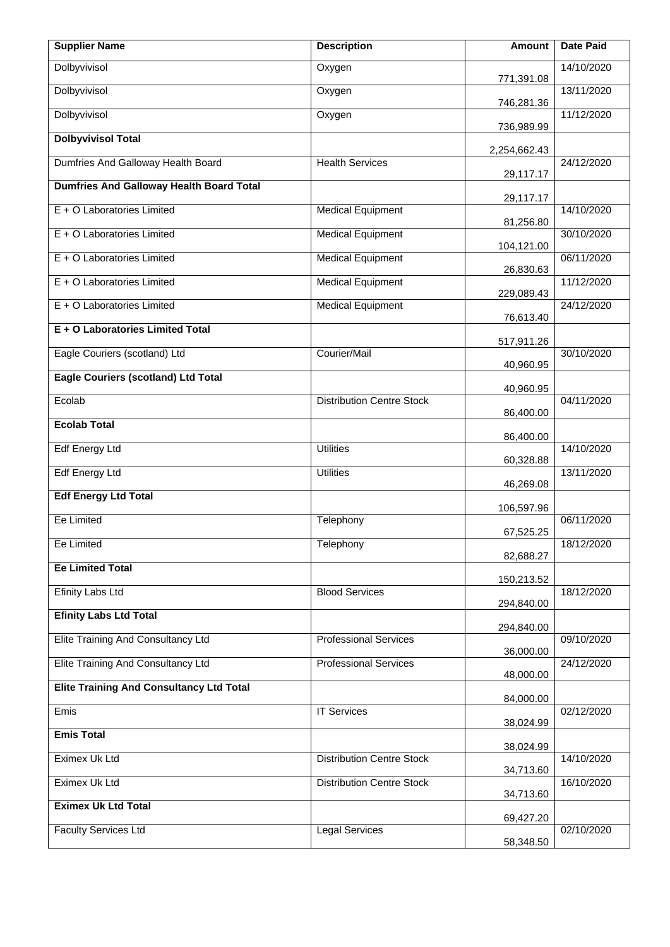| <b>Supplier Name</b>                            | <b>Description</b>               | Amount                 | <b>Date Paid</b> |
|-------------------------------------------------|----------------------------------|------------------------|------------------|
| Dolbyvivisol                                    | Oxygen                           | 771,391.08             | 14/10/2020       |
| Dolbyvivisol                                    | Oxygen                           | 746,281.36             | 13/11/2020       |
| Dolbyvivisol                                    | Oxygen                           | 736,989.99             | 11/12/2020       |
| <b>Dolbyvivisol Total</b>                       |                                  | 2,254,662.43           |                  |
| Dumfries And Galloway Health Board              | <b>Health Services</b>           | 29,117.17              | 24/12/2020       |
| <b>Dumfries And Galloway Health Board Total</b> |                                  | 29,117.17              |                  |
| E + O Laboratories Limited                      | <b>Medical Equipment</b>         | 81,256.80              | 14/10/2020       |
| E + O Laboratories Limited                      | <b>Medical Equipment</b>         | 104,121.00             | 30/10/2020       |
| E + O Laboratories Limited                      | <b>Medical Equipment</b>         | 26,830.63              | 06/11/2020       |
| E + O Laboratories Limited                      | <b>Medical Equipment</b>         | 229,089.43             | 11/12/2020       |
| E + O Laboratories Limited                      | <b>Medical Equipment</b>         | 76,613.40              | 24/12/2020       |
| E + O Laboratories Limited Total                |                                  | 517,911.26             |                  |
| Eagle Couriers (scotland) Ltd                   | Courier/Mail                     | 40,960.95              | 30/10/2020       |
| <b>Eagle Couriers (scotland) Ltd Total</b>      |                                  | 40,960.95              |                  |
| Ecolab                                          | <b>Distribution Centre Stock</b> | 86,400.00              | 04/11/2020       |
| <b>Ecolab Total</b>                             |                                  | 86,400.00              |                  |
| <b>Edf Energy Ltd</b>                           | <b>Utilities</b>                 | 60,328.88              | 14/10/2020       |
| <b>Edf Energy Ltd</b>                           | <b>Utilities</b>                 | 46,269.08              | 13/11/2020       |
| <b>Edf Energy Ltd Total</b>                     |                                  | 106,597.96             |                  |
| Ee Limited                                      | Telephony                        | 67,525.25              | 06/11/2020       |
| Ee Limited                                      | Telephony                        | 82,688.27              | 18/12/2020       |
| <b>Ee Limited Total</b>                         |                                  | 150,213.52             |                  |
| <b>Efinity Labs Ltd</b>                         | <b>Blood Services</b>            | 294,840.00             | 18/12/2020       |
| <b>Efinity Labs Ltd Total</b>                   |                                  |                        |                  |
| Elite Training And Consultancy Ltd              | <b>Professional Services</b>     | 294,840.00             | 09/10/2020       |
| Elite Training And Consultancy Ltd              | <b>Professional Services</b>     | 36,000.00              | 24/12/2020       |
| <b>Elite Training And Consultancy Ltd Total</b> |                                  | 48,000.00<br>84,000.00 |                  |
| Emis                                            | <b>IT Services</b>               |                        | 02/12/2020       |
| <b>Emis Total</b>                               |                                  | 38,024.99              |                  |
| Eximex Uk Ltd                                   | <b>Distribution Centre Stock</b> | 38,024.99              | 14/10/2020       |
| Eximex Uk Ltd                                   | <b>Distribution Centre Stock</b> | 34,713.60<br>34,713.60 | 16/10/2020       |
| <b>Eximex Uk Ltd Total</b>                      |                                  |                        |                  |
| <b>Faculty Services Ltd</b>                     | <b>Legal Services</b>            | 69,427.20              | 02/10/2020       |
|                                                 |                                  | 58,348.50              |                  |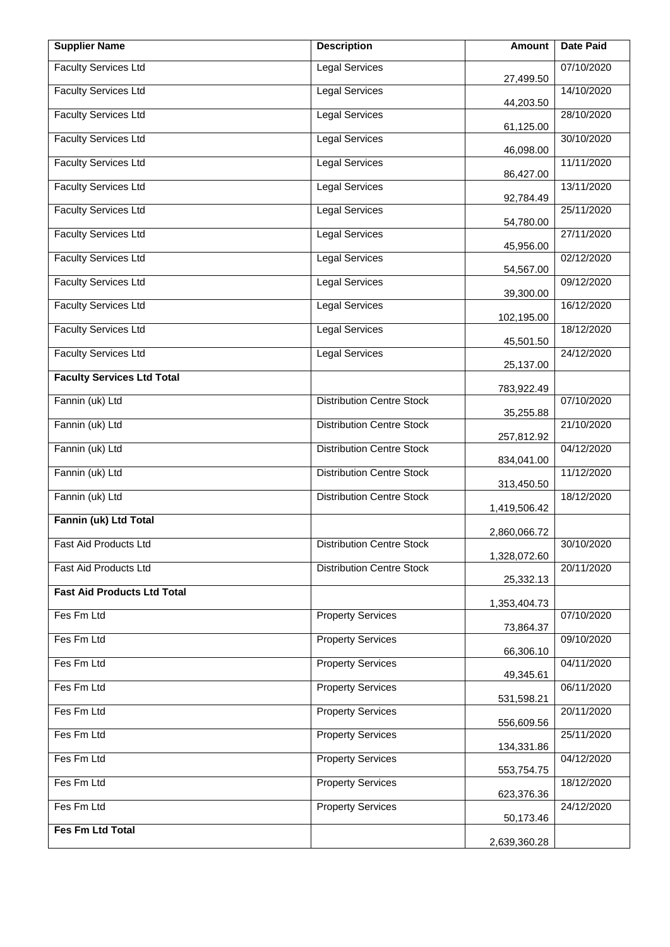| <b>Supplier Name</b>               | <b>Description</b>               | Amount       | <b>Date Paid</b> |
|------------------------------------|----------------------------------|--------------|------------------|
| <b>Faculty Services Ltd</b>        | <b>Legal Services</b>            | 27,499.50    | 07/10/2020       |
| <b>Faculty Services Ltd</b>        | <b>Legal Services</b>            | 44,203.50    | 14/10/2020       |
| <b>Faculty Services Ltd</b>        | <b>Legal Services</b>            | 61,125.00    | 28/10/2020       |
| <b>Faculty Services Ltd</b>        | <b>Legal Services</b>            | 46,098.00    | 30/10/2020       |
| <b>Faculty Services Ltd</b>        | <b>Legal Services</b>            | 86,427.00    | 11/11/2020       |
| <b>Faculty Services Ltd</b>        | <b>Legal Services</b>            | 92,784.49    | 13/11/2020       |
| <b>Faculty Services Ltd</b>        | <b>Legal Services</b>            | 54,780.00    | 25/11/2020       |
| <b>Faculty Services Ltd</b>        | <b>Legal Services</b>            | 45,956.00    | 27/11/2020       |
| <b>Faculty Services Ltd</b>        | <b>Legal Services</b>            | 54,567.00    | 02/12/2020       |
| <b>Faculty Services Ltd</b>        | Legal Services                   | 39,300.00    | 09/12/2020       |
| <b>Faculty Services Ltd</b>        | <b>Legal Services</b>            | 102,195.00   | 16/12/2020       |
| <b>Faculty Services Ltd</b>        | <b>Legal Services</b>            | 45,501.50    | 18/12/2020       |
| <b>Faculty Services Ltd</b>        | <b>Legal Services</b>            | 25,137.00    | 24/12/2020       |
| <b>Faculty Services Ltd Total</b>  |                                  | 783,922.49   |                  |
| Fannin (uk) Ltd                    | <b>Distribution Centre Stock</b> | 35,255.88    | 07/10/2020       |
| Fannin (uk) Ltd                    | <b>Distribution Centre Stock</b> | 257,812.92   | 21/10/2020       |
| Fannin (uk) Ltd                    | <b>Distribution Centre Stock</b> | 834,041.00   | 04/12/2020       |
| Fannin (uk) Ltd                    | <b>Distribution Centre Stock</b> | 313,450.50   | 11/12/2020       |
| Fannin (uk) Ltd                    | <b>Distribution Centre Stock</b> | 1,419,506.42 | 18/12/2020       |
| Fannin (uk) Ltd Total              |                                  | 2,860,066.72 |                  |
| <b>Fast Aid Products Ltd</b>       | <b>Distribution Centre Stock</b> | 1,328,072.60 | 30/10/2020       |
| Fast Aid Products Ltd              | <b>Distribution Centre Stock</b> | 25,332.13    | 20/11/2020       |
| <b>Fast Aid Products Ltd Total</b> |                                  | 1,353,404.73 |                  |
| Fes Fm Ltd                         | <b>Property Services</b>         | 73,864.37    | 07/10/2020       |
| Fes Fm Ltd                         | <b>Property Services</b>         | 66,306.10    | 09/10/2020       |
| Fes Fm Ltd                         | <b>Property Services</b>         | 49,345.61    | 04/11/2020       |
| Fes Fm Ltd                         | <b>Property Services</b>         | 531,598.21   | 06/11/2020       |
| Fes Fm Ltd                         | <b>Property Services</b>         | 556,609.56   | 20/11/2020       |
| Fes Fm Ltd                         | <b>Property Services</b>         | 134,331.86   | 25/11/2020       |
| Fes Fm Ltd                         | <b>Property Services</b>         | 553,754.75   | 04/12/2020       |
| Fes Fm Ltd                         | <b>Property Services</b>         | 623,376.36   | 18/12/2020       |
| Fes Fm Ltd                         | <b>Property Services</b>         | 50,173.46    | 24/12/2020       |
| Fes Fm Ltd Total                   |                                  | 2,639,360.28 |                  |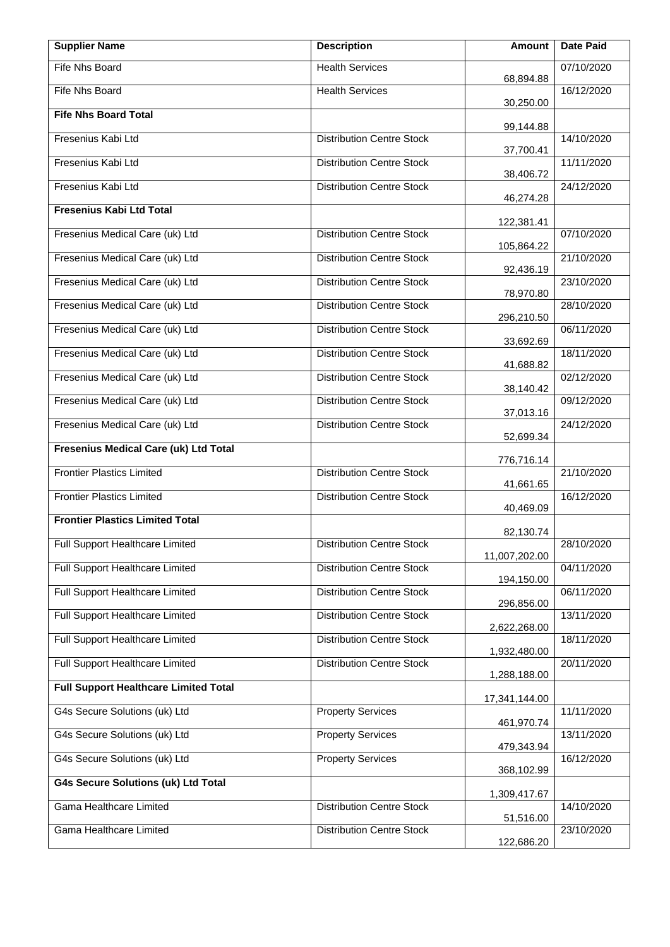| <b>Supplier Name</b>                         | <b>Description</b>               | Amount        | <b>Date Paid</b> |
|----------------------------------------------|----------------------------------|---------------|------------------|
| Fife Nhs Board                               | <b>Health Services</b>           | 68,894.88     | 07/10/2020       |
| Fife Nhs Board                               | <b>Health Services</b>           | 30,250.00     | 16/12/2020       |
| <b>Fife Nhs Board Total</b>                  |                                  | 99,144.88     |                  |
| Fresenius Kabi Ltd                           | <b>Distribution Centre Stock</b> | 37,700.41     | 14/10/2020       |
| Fresenius Kabi Ltd                           | <b>Distribution Centre Stock</b> | 38,406.72     | 11/11/2020       |
| Fresenius Kabi Ltd                           | <b>Distribution Centre Stock</b> | 46,274.28     | 24/12/2020       |
| Fresenius Kabi Ltd Total                     |                                  | 122,381.41    |                  |
| Fresenius Medical Care (uk) Ltd              | <b>Distribution Centre Stock</b> | 105,864.22    | 07/10/2020       |
| Fresenius Medical Care (uk) Ltd              | <b>Distribution Centre Stock</b> | 92,436.19     | 21/10/2020       |
| Fresenius Medical Care (uk) Ltd              | <b>Distribution Centre Stock</b> |               | 23/10/2020       |
| Fresenius Medical Care (uk) Ltd              | <b>Distribution Centre Stock</b> | 78,970.80     | 28/10/2020       |
| Fresenius Medical Care (uk) Ltd              | <b>Distribution Centre Stock</b> | 296,210.50    | 06/11/2020       |
| Fresenius Medical Care (uk) Ltd              | <b>Distribution Centre Stock</b> | 33,692.69     | 18/11/2020       |
| Fresenius Medical Care (uk) Ltd              | <b>Distribution Centre Stock</b> | 41,688.82     | 02/12/2020       |
| Fresenius Medical Care (uk) Ltd              | <b>Distribution Centre Stock</b> | 38,140.42     | 09/12/2020       |
| Fresenius Medical Care (uk) Ltd              | <b>Distribution Centre Stock</b> | 37,013.16     | 24/12/2020       |
| Fresenius Medical Care (uk) Ltd Total        |                                  | 52,699.34     |                  |
| <b>Frontier Plastics Limited</b>             | <b>Distribution Centre Stock</b> | 776,716.14    | 21/10/2020       |
| <b>Frontier Plastics Limited</b>             | <b>Distribution Centre Stock</b> | 41,661.65     | 16/12/2020       |
| <b>Frontier Plastics Limited Total</b>       |                                  | 40,469.09     |                  |
| Full Support Healthcare Limited              | <b>Distribution Centre Stock</b> | 82,130.74     | 28/10/2020       |
| <b>Full Support Healthcare Limited</b>       | <b>Distribution Centre Stock</b> | 11,007,202.00 | 04/11/2020       |
| Full Support Healthcare Limited              | <b>Distribution Centre Stock</b> | 194,150.00    | 06/11/2020       |
| Full Support Healthcare Limited              | <b>Distribution Centre Stock</b> | 296,856.00    | 13/11/2020       |
| Full Support Healthcare Limited              | <b>Distribution Centre Stock</b> | 2,622,268.00  | 18/11/2020       |
| Full Support Healthcare Limited              | <b>Distribution Centre Stock</b> | 1,932,480.00  | 20/11/2020       |
| <b>Full Support Healthcare Limited Total</b> |                                  | 1,288,188.00  |                  |
| G4s Secure Solutions (uk) Ltd                | <b>Property Services</b>         | 17,341,144.00 | 11/11/2020       |
| G4s Secure Solutions (uk) Ltd                | <b>Property Services</b>         | 461,970.74    | 13/11/2020       |
| G4s Secure Solutions (uk) Ltd                | <b>Property Services</b>         | 479,343.94    | 16/12/2020       |
| <b>G4s Secure Solutions (uk) Ltd Total</b>   |                                  | 368,102.99    |                  |
| Gama Healthcare Limited                      | <b>Distribution Centre Stock</b> | 1,309,417.67  | 14/10/2020       |
|                                              |                                  | 51,516.00     |                  |
| Gama Healthcare Limited                      | <b>Distribution Centre Stock</b> | 122,686.20    | 23/10/2020       |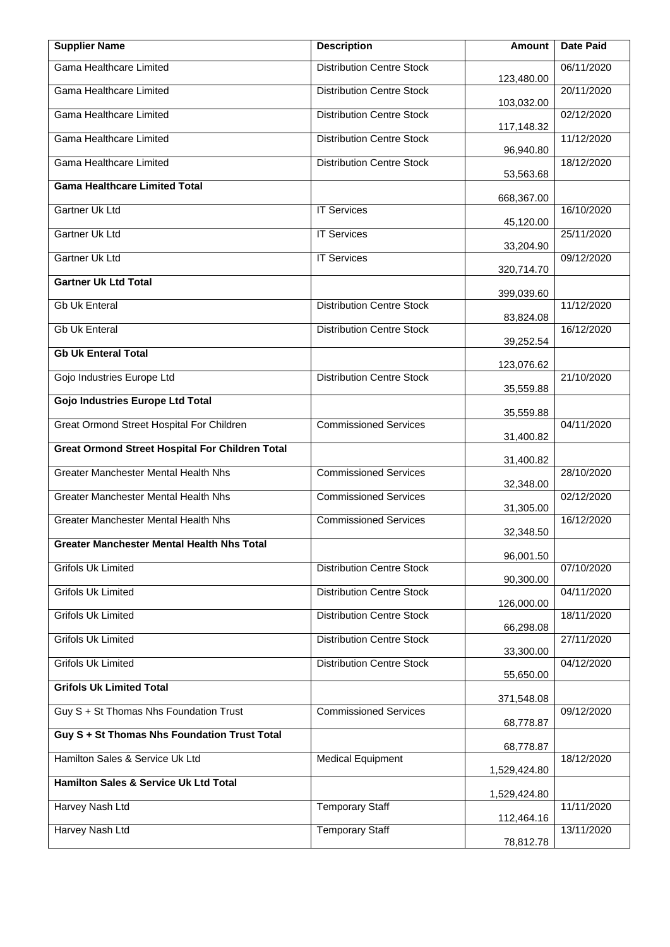| <b>Supplier Name</b>                                   | <b>Description</b>               | <b>Amount</b>          | <b>Date Paid</b> |
|--------------------------------------------------------|----------------------------------|------------------------|------------------|
| Gama Healthcare Limited                                | <b>Distribution Centre Stock</b> | 123,480.00             | 06/11/2020       |
| Gama Healthcare Limited                                | <b>Distribution Centre Stock</b> | 103,032.00             | 20/11/2020       |
| <b>Gama Healthcare Limited</b>                         | <b>Distribution Centre Stock</b> | 117,148.32             | 02/12/2020       |
| Gama Healthcare Limited                                | <b>Distribution Centre Stock</b> | 96,940.80              | 11/12/2020       |
| Gama Healthcare Limited                                | <b>Distribution Centre Stock</b> | 53,563.68              | 18/12/2020       |
| <b>Gama Healthcare Limited Total</b>                   |                                  | 668,367.00             |                  |
| Gartner Uk Ltd                                         | <b>IT Services</b>               | 45,120.00              | 16/10/2020       |
| Gartner Uk Ltd                                         | <b>IT Services</b>               | 33,204.90              | 25/11/2020       |
| Gartner Uk Ltd                                         | <b>IT Services</b>               | 320,714.70             | 09/12/2020       |
| <b>Gartner Uk Ltd Total</b>                            |                                  |                        |                  |
| <b>Gb Uk Enteral</b>                                   | <b>Distribution Centre Stock</b> | 399,039.60             | 11/12/2020       |
| <b>Gb Uk Enteral</b>                                   | <b>Distribution Centre Stock</b> | 83,824.08              | 16/12/2020       |
| <b>Gb Uk Enteral Total</b>                             |                                  | 39,252.54              |                  |
| Gojo Industries Europe Ltd                             | <b>Distribution Centre Stock</b> | 123,076.62             | 21/10/2020       |
| <b>Gojo Industries Europe Ltd Total</b>                |                                  | 35,559.88              |                  |
| Great Ormond Street Hospital For Children              | <b>Commissioned Services</b>     | 35,559.88              | 04/11/2020       |
| <b>Great Ormond Street Hospital For Children Total</b> |                                  | 31,400.82              |                  |
| <b>Greater Manchester Mental Health Nhs</b>            | <b>Commissioned Services</b>     | 31,400.82              | 28/10/2020       |
| <b>Greater Manchester Mental Health Nhs</b>            | <b>Commissioned Services</b>     | 32,348.00              | 02/12/2020       |
| <b>Greater Manchester Mental Health Nhs</b>            | <b>Commissioned Services</b>     | 31,305.00<br>32,348.50 | 16/12/2020       |
| <b>Greater Manchester Mental Health Nhs Total</b>      |                                  |                        |                  |
| <b>Grifols Uk Limited</b>                              | <b>Distribution Centre Stock</b> | 96,001.50              | 07/10/2020       |
| <b>Grifols Uk Limited</b>                              | <b>Distribution Centre Stock</b> | 90,300.00              | 04/11/2020       |
| <b>Grifols Uk Limited</b>                              | <b>Distribution Centre Stock</b> | 126,000.00             | 18/11/2020       |
| <b>Grifols Uk Limited</b>                              | <b>Distribution Centre Stock</b> | 66,298.08              | 27/11/2020       |
| <b>Grifols Uk Limited</b>                              | <b>Distribution Centre Stock</b> | 33,300.00              | 04/12/2020       |
| <b>Grifols Uk Limited Total</b>                        |                                  | 55,650.00              |                  |
| Guy S + St Thomas Nhs Foundation Trust                 | <b>Commissioned Services</b>     | 371,548.08             | 09/12/2020       |
| Guy S + St Thomas Nhs Foundation Trust Total           |                                  | 68,778.87              |                  |
| Hamilton Sales & Service Uk Ltd                        | <b>Medical Equipment</b>         | 68,778.87              | 18/12/2020       |
| Hamilton Sales & Service Uk Ltd Total                  |                                  | 1,529,424.80           |                  |
| Harvey Nash Ltd                                        | <b>Temporary Staff</b>           | 1,529,424.80           | 11/11/2020       |
| Harvey Nash Ltd                                        | <b>Temporary Staff</b>           | 112,464.16             | 13/11/2020       |
|                                                        |                                  | 78,812.78              |                  |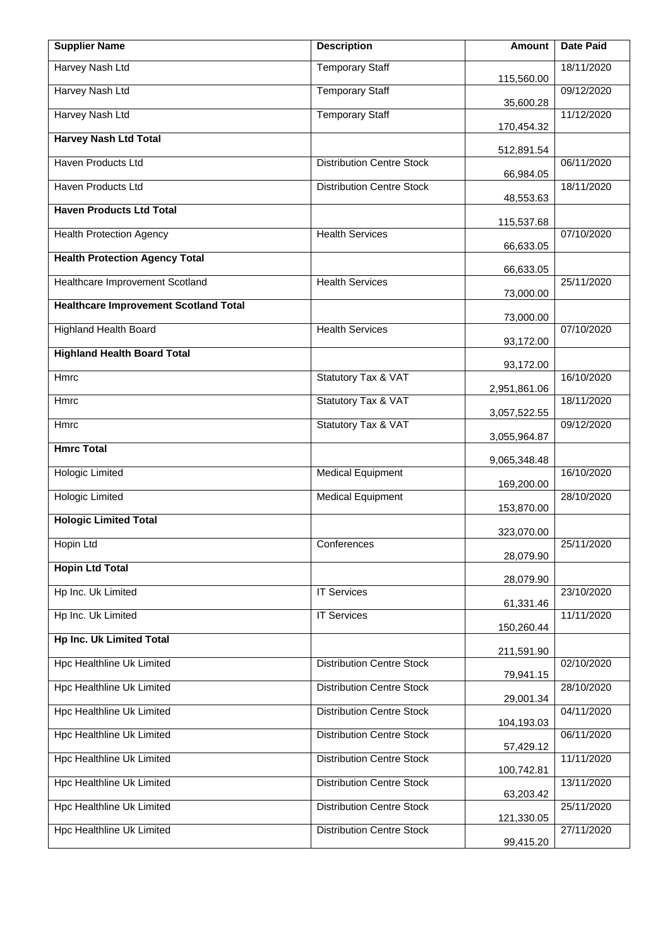| <b>Supplier Name</b>                         | <b>Description</b>               | Amount       | <b>Date Paid</b> |
|----------------------------------------------|----------------------------------|--------------|------------------|
| Harvey Nash Ltd                              | <b>Temporary Staff</b>           | 115,560.00   | 18/11/2020       |
| <b>Harvey Nash Ltd</b>                       | <b>Temporary Staff</b>           | 35,600.28    | 09/12/2020       |
| Harvey Nash Ltd                              | <b>Temporary Staff</b>           | 170,454.32   | 11/12/2020       |
| <b>Harvey Nash Ltd Total</b>                 |                                  | 512,891.54   |                  |
| <b>Haven Products Ltd</b>                    | <b>Distribution Centre Stock</b> | 66,984.05    | 06/11/2020       |
| Haven Products Ltd                           | <b>Distribution Centre Stock</b> | 48,553.63    | 18/11/2020       |
| <b>Haven Products Ltd Total</b>              |                                  | 115,537.68   |                  |
| <b>Health Protection Agency</b>              | <b>Health Services</b>           | 66,633.05    | 07/10/2020       |
| <b>Health Protection Agency Total</b>        |                                  | 66,633.05    |                  |
| <b>Healthcare Improvement Scotland</b>       | <b>Health Services</b>           |              | 25/11/2020       |
| <b>Healthcare Improvement Scotland Total</b> |                                  | 73,000.00    |                  |
| <b>Highland Health Board</b>                 | <b>Health Services</b>           | 73,000.00    | 07/10/2020       |
| <b>Highland Health Board Total</b>           |                                  | 93,172.00    |                  |
| Hmrc                                         | Statutory Tax & VAT              | 93,172.00    | 16/10/2020       |
| Hmrc                                         | Statutory Tax & VAT              | 2,951,861.06 | 18/11/2020       |
| Hmrc                                         | Statutory Tax & VAT              | 3,057,522.55 | 09/12/2020       |
|                                              |                                  | 3,055,964.87 |                  |
| <b>Hmrc Total</b>                            |                                  | 9,065,348.48 |                  |
| <b>Hologic Limited</b>                       | <b>Medical Equipment</b>         | 169,200.00   | 16/10/2020       |
| <b>Hologic Limited</b>                       | <b>Medical Equipment</b>         | 153,870.00   | 28/10/2020       |
| <b>Hologic Limited Total</b>                 |                                  | 323,070.00   |                  |
| Hopin Ltd                                    | Conferences                      | 28,079.90    | 25/11/2020       |
| <b>Hopin Ltd Total</b>                       |                                  | 28,079.90    |                  |
| Hp Inc. Uk Limited                           | <b>IT Services</b>               |              | 23/10/2020       |
| Hp Inc. Uk Limited                           | <b>IT Services</b>               | 61,331.46    | 11/11/2020       |
| <b>Hp Inc. Uk Limited Total</b>              |                                  | 150,260.44   |                  |
| <b>Hpc Healthline Uk Limited</b>             | <b>Distribution Centre Stock</b> | 211,591.90   | 02/10/2020       |
| Hpc Healthline Uk Limited                    | <b>Distribution Centre Stock</b> | 79,941.15    | 28/10/2020       |
| <b>Hpc Healthline Uk Limited</b>             | <b>Distribution Centre Stock</b> | 29,001.34    | 04/11/2020       |
| <b>Hpc Healthline Uk Limited</b>             | <b>Distribution Centre Stock</b> | 104,193.03   | 06/11/2020       |
|                                              |                                  | 57,429.12    |                  |
| Hpc Healthline Uk Limited                    | <b>Distribution Centre Stock</b> | 100,742.81   | 11/11/2020       |
| Hpc Healthline Uk Limited                    | <b>Distribution Centre Stock</b> | 63,203.42    | 13/11/2020       |
| <b>Hpc Healthline Uk Limited</b>             | <b>Distribution Centre Stock</b> | 121,330.05   | 25/11/2020       |
| <b>Hpc Healthline Uk Limited</b>             | <b>Distribution Centre Stock</b> | 99,415.20    | 27/11/2020       |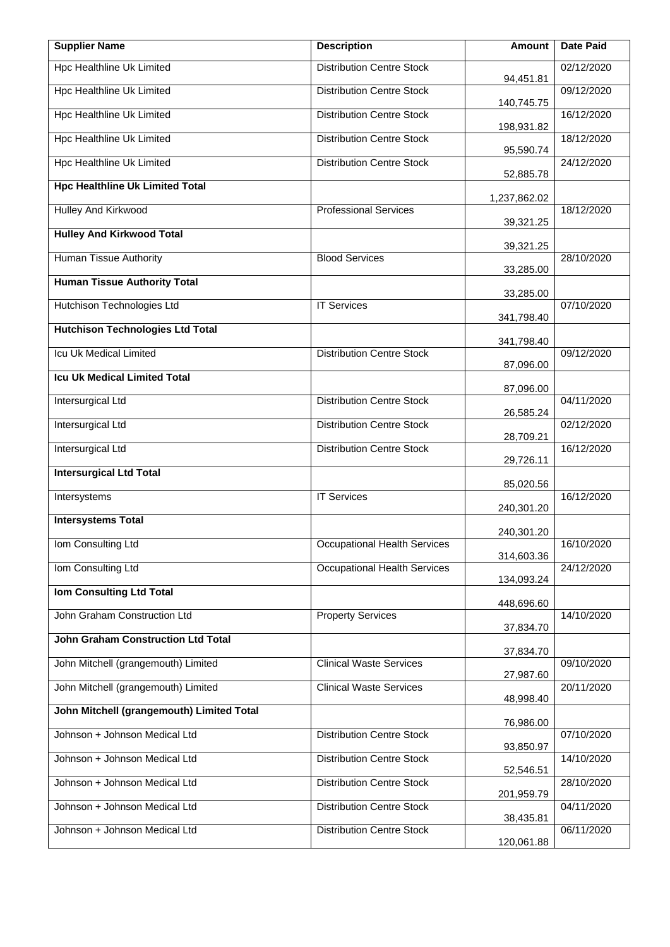| <b>Supplier Name</b>                      | <b>Description</b>                  | <b>Amount</b>          | <b>Date Paid</b> |
|-------------------------------------------|-------------------------------------|------------------------|------------------|
| <b>Hpc Healthline Uk Limited</b>          | <b>Distribution Centre Stock</b>    | 94,451.81              | 02/12/2020       |
| Hpc Healthline Uk Limited                 | <b>Distribution Centre Stock</b>    | 140,745.75             | 09/12/2020       |
| Hpc Healthline Uk Limited                 | <b>Distribution Centre Stock</b>    | 198,931.82             | 16/12/2020       |
| <b>Hpc Healthline Uk Limited</b>          | <b>Distribution Centre Stock</b>    | 95,590.74              | 18/12/2020       |
| <b>Hpc Healthline Uk Limited</b>          | <b>Distribution Centre Stock</b>    | 52,885.78              | 24/12/2020       |
| <b>Hpc Healthline Uk Limited Total</b>    |                                     | 1,237,862.02           |                  |
| Hulley And Kirkwood                       | <b>Professional Services</b>        | 39,321.25              | 18/12/2020       |
| <b>Hulley And Kirkwood Total</b>          |                                     | 39,321.25              |                  |
| <b>Human Tissue Authority</b>             | <b>Blood Services</b>               | 33,285.00              | 28/10/2020       |
| <b>Human Tissue Authority Total</b>       |                                     | 33,285.00              |                  |
| Hutchison Technologies Ltd                | <b>IT Services</b>                  | 341,798.40             | 07/10/2020       |
| <b>Hutchison Technologies Ltd Total</b>   |                                     | 341,798.40             |                  |
| Icu Uk Medical Limited                    | <b>Distribution Centre Stock</b>    | 87,096.00              | 09/12/2020       |
| <b>Icu Uk Medical Limited Total</b>       |                                     | 87,096.00              |                  |
| <b>Intersurgical Ltd</b>                  | <b>Distribution Centre Stock</b>    | 26,585.24              | 04/11/2020       |
| <b>Intersurgical Ltd</b>                  | <b>Distribution Centre Stock</b>    | 28,709.21              | 02/12/2020       |
| <b>Intersurgical Ltd</b>                  | <b>Distribution Centre Stock</b>    | 29,726.11              | 16/12/2020       |
| <b>Intersurgical Ltd Total</b>            |                                     | 85,020.56              |                  |
| Intersystems                              | <b>IT Services</b>                  | 240,301.20             | 16/12/2020       |
| <b>Intersystems Total</b>                 |                                     | 240,301.20             |                  |
| Iom Consulting Ltd                        | <b>Occupational Health Services</b> | 314,603.36             | 16/10/2020       |
| Iom Consulting Ltd                        | <b>Occupational Health Services</b> | 134,093.24             | 24/12/2020       |
| <b>Iom Consulting Ltd Total</b>           |                                     | 448,696.60             |                  |
| John Graham Construction Ltd              | <b>Property Services</b>            |                        | 14/10/2020       |
| <b>John Graham Construction Ltd Total</b> |                                     | 37,834.70              |                  |
| John Mitchell (grangemouth) Limited       | <b>Clinical Waste Services</b>      | 37,834.70<br>27,987.60 | 09/10/2020       |
| John Mitchell (grangemouth) Limited       | <b>Clinical Waste Services</b>      | 48,998.40              | 20/11/2020       |
| John Mitchell (grangemouth) Limited Total |                                     |                        |                  |
| Johnson + Johnson Medical Ltd             | <b>Distribution Centre Stock</b>    | 76,986.00<br>93,850.97 | 07/10/2020       |
| Johnson + Johnson Medical Ltd             | <b>Distribution Centre Stock</b>    | 52,546.51              | 14/10/2020       |
| Johnson + Johnson Medical Ltd             | <b>Distribution Centre Stock</b>    | 201,959.79             | 28/10/2020       |
| Johnson + Johnson Medical Ltd             | <b>Distribution Centre Stock</b>    | 38,435.81              | 04/11/2020       |
| Johnson + Johnson Medical Ltd             | <b>Distribution Centre Stock</b>    | 120,061.88             | 06/11/2020       |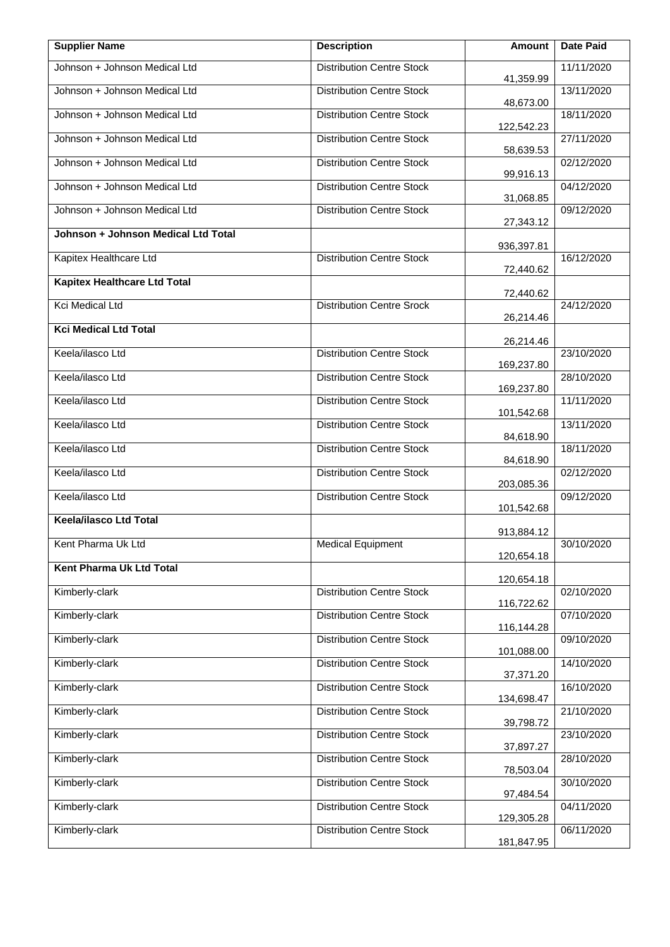| <b>Supplier Name</b>                | <b>Description</b>               | Amount     | <b>Date Paid</b> |
|-------------------------------------|----------------------------------|------------|------------------|
| Johnson + Johnson Medical Ltd       | <b>Distribution Centre Stock</b> | 41,359.99  | 11/11/2020       |
| Johnson + Johnson Medical Ltd       | <b>Distribution Centre Stock</b> | 48,673.00  | 13/11/2020       |
| Johnson + Johnson Medical Ltd       | <b>Distribution Centre Stock</b> | 122,542.23 | 18/11/2020       |
| Johnson + Johnson Medical Ltd       | <b>Distribution Centre Stock</b> | 58,639.53  | 27/11/2020       |
| Johnson + Johnson Medical Ltd       | <b>Distribution Centre Stock</b> | 99,916.13  | 02/12/2020       |
| Johnson + Johnson Medical Ltd       | <b>Distribution Centre Stock</b> | 31,068.85  | 04/12/2020       |
| Johnson + Johnson Medical Ltd       | <b>Distribution Centre Stock</b> | 27,343.12  | 09/12/2020       |
| Johnson + Johnson Medical Ltd Total |                                  | 936,397.81 |                  |
| Kapitex Healthcare Ltd              | <b>Distribution Centre Stock</b> | 72,440.62  | 16/12/2020       |
| <b>Kapitex Healthcare Ltd Total</b> |                                  | 72,440.62  |                  |
| Kci Medical Ltd                     | <b>Distribution Centre Srock</b> | 26,214.46  | 24/12/2020       |
| <b>Kci Medical Ltd Total</b>        |                                  | 26,214.46  |                  |
| Keela/ilasco Ltd                    | <b>Distribution Centre Stock</b> | 169,237.80 | 23/10/2020       |
| Keela/ilasco Ltd                    | <b>Distribution Centre Stock</b> | 169,237.80 | 28/10/2020       |
| Keela/ilasco Ltd                    | <b>Distribution Centre Stock</b> | 101,542.68 | 11/11/2020       |
| Keela/ilasco Ltd                    | <b>Distribution Centre Stock</b> | 84,618.90  | 13/11/2020       |
| Keela/ilasco Ltd                    | <b>Distribution Centre Stock</b> | 84,618.90  | 18/11/2020       |
| Keela/ilasco Ltd                    | <b>Distribution Centre Stock</b> | 203,085.36 | 02/12/2020       |
| Keela/ilasco Ltd                    | <b>Distribution Centre Stock</b> | 101,542.68 | 09/12/2020       |
| Keela/ilasco Ltd Total              |                                  | 913,884.12 |                  |
| Kent Pharma Uk Ltd                  | <b>Medical Equipment</b>         | 120,654.18 | 30/10/2020       |
| Kent Pharma Uk Ltd Total            |                                  | 120,654.18 |                  |
| Kimberly-clark                      | <b>Distribution Centre Stock</b> | 116,722.62 | 02/10/2020       |
| Kimberly-clark                      | <b>Distribution Centre Stock</b> | 116,144.28 | 07/10/2020       |
| Kimberly-clark                      | <b>Distribution Centre Stock</b> | 101,088.00 | 09/10/2020       |
| Kimberly-clark                      | <b>Distribution Centre Stock</b> | 37,371.20  | 14/10/2020       |
| Kimberly-clark                      | <b>Distribution Centre Stock</b> | 134,698.47 | 16/10/2020       |
| Kimberly-clark                      | <b>Distribution Centre Stock</b> | 39,798.72  | 21/10/2020       |
| Kimberly-clark                      | <b>Distribution Centre Stock</b> | 37,897.27  | 23/10/2020       |
| Kimberly-clark                      | <b>Distribution Centre Stock</b> | 78,503.04  | 28/10/2020       |
| Kimberly-clark                      | <b>Distribution Centre Stock</b> | 97,484.54  | 30/10/2020       |
| Kimberly-clark                      | <b>Distribution Centre Stock</b> | 129,305.28 | 04/11/2020       |
| Kimberly-clark                      | <b>Distribution Centre Stock</b> | 181,847.95 | 06/11/2020       |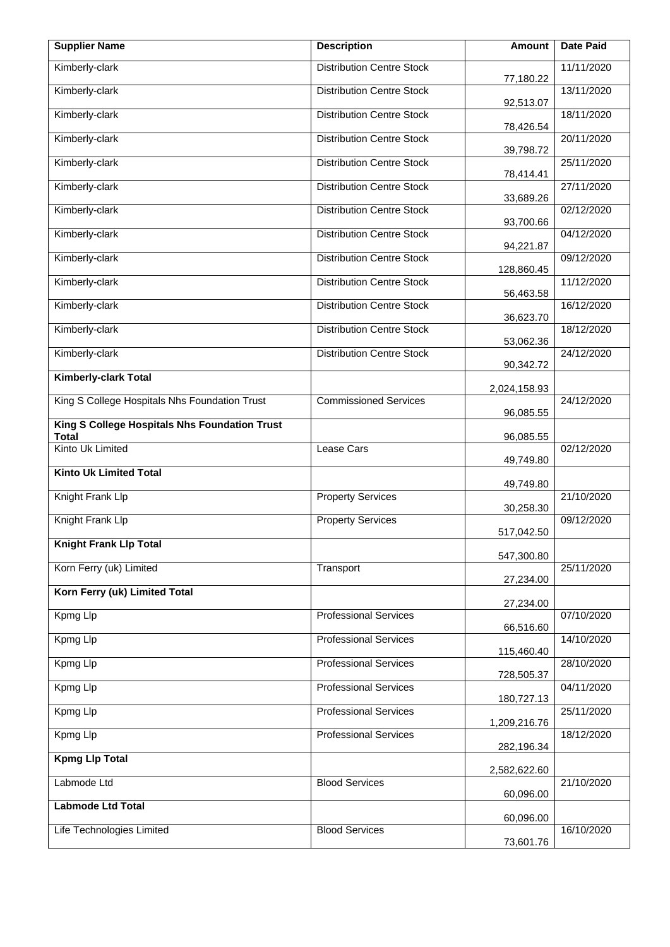| <b>Supplier Name</b>                                          | <b>Description</b>               | <b>Amount</b>              | <b>Date Paid</b> |
|---------------------------------------------------------------|----------------------------------|----------------------------|------------------|
| Kimberly-clark                                                | <b>Distribution Centre Stock</b> | 77,180.22                  | 11/11/2020       |
| Kimberly-clark                                                | <b>Distribution Centre Stock</b> | 92,513.07                  | 13/11/2020       |
| Kimberly-clark                                                | <b>Distribution Centre Stock</b> | 78,426.54                  | 18/11/2020       |
| Kimberly-clark                                                | <b>Distribution Centre Stock</b> | 39,798.72                  | 20/11/2020       |
| Kimberly-clark                                                | <b>Distribution Centre Stock</b> | 78,414.41                  | 25/11/2020       |
| Kimberly-clark                                                | <b>Distribution Centre Stock</b> | 33,689.26                  | 27/11/2020       |
| Kimberly-clark                                                | <b>Distribution Centre Stock</b> | 93,700.66                  | 02/12/2020       |
| Kimberly-clark                                                | <b>Distribution Centre Stock</b> | 94,221.87                  | 04/12/2020       |
| Kimberly-clark                                                | <b>Distribution Centre Stock</b> | 128,860.45                 | 09/12/2020       |
| Kimberly-clark                                                | <b>Distribution Centre Stock</b> | 56,463.58                  | 11/12/2020       |
| Kimberly-clark                                                | <b>Distribution Centre Stock</b> | 36,623.70                  | 16/12/2020       |
| Kimberly-clark                                                | <b>Distribution Centre Stock</b> | 53,062.36                  | 18/12/2020       |
| Kimberly-clark                                                | <b>Distribution Centre Stock</b> | 90,342.72                  | 24/12/2020       |
| <b>Kimberly-clark Total</b>                                   |                                  | 2,024,158.93               |                  |
| King S College Hospitals Nhs Foundation Trust                 | <b>Commissioned Services</b>     | 96,085.55                  | 24/12/2020       |
| King S College Hospitals Nhs Foundation Trust<br><b>Total</b> |                                  | 96,085.55                  |                  |
| Kinto Uk Limited                                              | Lease Cars                       | 49,749.80                  | 02/12/2020       |
| <b>Kinto Uk Limited Total</b>                                 |                                  | 49,749.80                  |                  |
| Knight Frank Llp                                              | <b>Property Services</b>         | 30,258.30                  | 21/10/2020       |
| Knight Frank Llp                                              | <b>Property Services</b>         | 517,042.50                 | 09/12/2020       |
| <b>Knight Frank Llp Total</b>                                 |                                  | 547,300.80                 |                  |
| Korn Ferry (uk) Limited                                       | Transport                        | 27,234.00                  | 25/11/2020       |
| Korn Ferry (uk) Limited Total                                 |                                  | 27,234.00                  |                  |
| Kpmg Llp                                                      | <b>Professional Services</b>     |                            | 07/10/2020       |
| <b>Kpmg Llp</b>                                               | <b>Professional Services</b>     | 66,516.60<br>115,460.40    | 14/10/2020       |
| Kpmg Llp                                                      | <b>Professional Services</b>     |                            | 28/10/2020       |
| Kpmg Llp                                                      | <b>Professional Services</b>     | 728,505.37<br>180,727.13   | 04/11/2020       |
| Kpmg Llp                                                      | <b>Professional Services</b>     |                            | 25/11/2020       |
| Kpmg Llp                                                      | <b>Professional Services</b>     | 1,209,216.76<br>282,196.34 | 18/12/2020       |
| <b>Kpmg Llp Total</b>                                         |                                  |                            |                  |
| Labmode Ltd                                                   | <b>Blood Services</b>            | 2,582,622.60               | 21/10/2020       |
| <b>Labmode Ltd Total</b>                                      |                                  | 60,096.00                  |                  |
| Life Technologies Limited                                     | <b>Blood Services</b>            | 60,096.00<br>73,601.76     | 16/10/2020       |
|                                                               |                                  |                            |                  |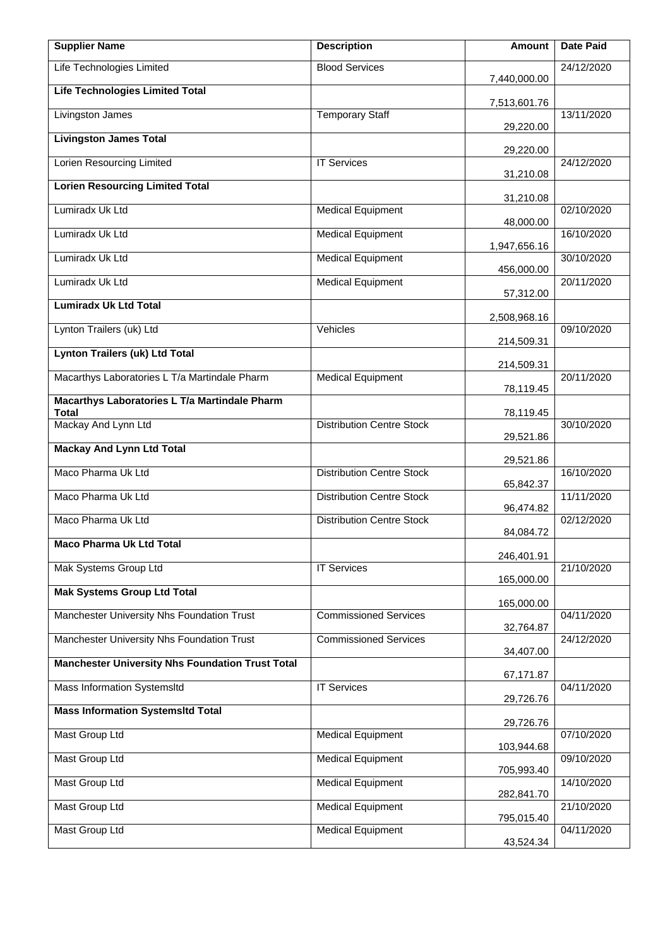| <b>Supplier Name</b>                                          | <b>Description</b>               | Amount                 | <b>Date Paid</b> |
|---------------------------------------------------------------|----------------------------------|------------------------|------------------|
| Life Technologies Limited                                     | <b>Blood Services</b>            | 7,440,000.00           | 24/12/2020       |
| <b>Life Technologies Limited Total</b>                        |                                  | 7,513,601.76           |                  |
| Livingston James                                              | <b>Temporary Staff</b>           | 29,220.00              | 13/11/2020       |
| <b>Livingston James Total</b>                                 |                                  | 29,220.00              |                  |
| Lorien Resourcing Limited                                     | <b>IT Services</b>               | 31,210.08              | 24/12/2020       |
| <b>Lorien Resourcing Limited Total</b>                        |                                  | 31,210.08              |                  |
| Lumiradx Uk Ltd                                               | <b>Medical Equipment</b>         | 48,000.00              | 02/10/2020       |
| Lumiradx Uk Ltd                                               | <b>Medical Equipment</b>         | 1,947,656.16           | 16/10/2020       |
| Lumiradx Uk Ltd                                               | <b>Medical Equipment</b>         | 456,000.00             | 30/10/2020       |
| Lumiradx Uk Ltd                                               | <b>Medical Equipment</b>         | 57,312.00              | 20/11/2020       |
| <b>Lumiradx Uk Ltd Total</b>                                  |                                  | 2,508,968.16           |                  |
| Lynton Trailers (uk) Ltd                                      | Vehicles                         | 214,509.31             | 09/10/2020       |
| <b>Lynton Trailers (uk) Ltd Total</b>                         |                                  | 214,509.31             |                  |
| Macarthys Laboratories L T/a Martindale Pharm                 | <b>Medical Equipment</b>         | 78,119.45              | 20/11/2020       |
| Macarthys Laboratories L T/a Martindale Pharm<br><b>Total</b> |                                  | 78,119.45              |                  |
| Mackay And Lynn Ltd                                           | <b>Distribution Centre Stock</b> | 29,521.86              | 30/10/2020       |
| <b>Mackay And Lynn Ltd Total</b>                              |                                  | 29,521.86              |                  |
| Maco Pharma Uk Ltd                                            | <b>Distribution Centre Stock</b> | 65,842.37              | 16/10/2020       |
| Maco Pharma Uk Ltd                                            | <b>Distribution Centre Stock</b> | 96,474.82              | 11/11/2020       |
| Maco Pharma Uk Ltd                                            | <b>Distribution Centre Stock</b> | 84,084.72              | 02/12/2020       |
| <b>Maco Pharma Uk Ltd Total</b>                               |                                  | 246,401.91             |                  |
| Mak Systems Group Ltd                                         | <b>IT Services</b>               | 165,000.00             | 21/10/2020       |
| <b>Mak Systems Group Ltd Total</b>                            |                                  | 165,000.00             |                  |
| Manchester University Nhs Foundation Trust                    | <b>Commissioned Services</b>     |                        | 04/11/2020       |
| Manchester University Nhs Foundation Trust                    | <b>Commissioned Services</b>     | 32,764.87<br>34,407.00 | 24/12/2020       |
| <b>Manchester University Nhs Foundation Trust Total</b>       |                                  |                        |                  |
| Mass Information SystemsItd                                   | <b>IT Services</b>               | 67,171.87<br>29,726.76 | 04/11/2020       |
| <b>Mass Information SystemsItd Total</b>                      |                                  | 29,726.76              |                  |
| Mast Group Ltd                                                | <b>Medical Equipment</b>         | 103,944.68             | 07/10/2020       |
| <b>Mast Group Ltd</b>                                         | <b>Medical Equipment</b>         | 705,993.40             | 09/10/2020       |
| <b>Mast Group Ltd</b>                                         | <b>Medical Equipment</b>         | 282,841.70             | 14/10/2020       |
| <b>Mast Group Ltd</b>                                         | <b>Medical Equipment</b>         | 795,015.40             | 21/10/2020       |
| <b>Mast Group Ltd</b>                                         | <b>Medical Equipment</b>         | 43,524.34              | 04/11/2020       |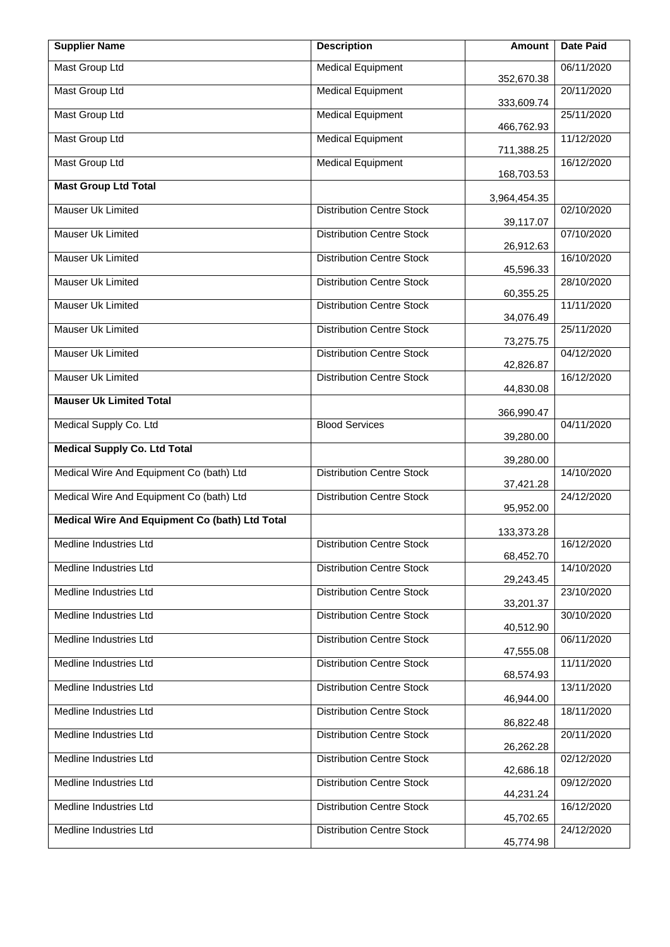| <b>Supplier Name</b>                           | <b>Description</b>               | Amount       | <b>Date Paid</b> |
|------------------------------------------------|----------------------------------|--------------|------------------|
| <b>Mast Group Ltd</b>                          | <b>Medical Equipment</b>         | 352,670.38   | 06/11/2020       |
| <b>Mast Group Ltd</b>                          | <b>Medical Equipment</b>         | 333,609.74   | 20/11/2020       |
| <b>Mast Group Ltd</b>                          | <b>Medical Equipment</b>         | 466,762.93   | 25/11/2020       |
| <b>Mast Group Ltd</b>                          | <b>Medical Equipment</b>         | 711,388.25   | 11/12/2020       |
| <b>Mast Group Ltd</b>                          | <b>Medical Equipment</b>         | 168,703.53   | 16/12/2020       |
| <b>Mast Group Ltd Total</b>                    |                                  | 3,964,454.35 |                  |
| Mauser Uk Limited                              | <b>Distribution Centre Stock</b> | 39,117.07    | 02/10/2020       |
| Mauser Uk Limited                              | <b>Distribution Centre Stock</b> | 26,912.63    | 07/10/2020       |
| Mauser Uk Limited                              | <b>Distribution Centre Stock</b> | 45,596.33    | 16/10/2020       |
| Mauser Uk Limited                              | <b>Distribution Centre Stock</b> | 60,355.25    | 28/10/2020       |
| Mauser Uk Limited                              | <b>Distribution Centre Stock</b> | 34,076.49    | 11/11/2020       |
| Mauser Uk Limited                              | <b>Distribution Centre Stock</b> | 73,275.75    | 25/11/2020       |
| Mauser Uk Limited                              | <b>Distribution Centre Stock</b> | 42,826.87    | 04/12/2020       |
| Mauser Uk Limited                              | <b>Distribution Centre Stock</b> | 44,830.08    | 16/12/2020       |
| <b>Mauser Uk Limited Total</b>                 |                                  | 366,990.47   |                  |
| Medical Supply Co. Ltd                         | <b>Blood Services</b>            | 39,280.00    | 04/11/2020       |
| <b>Medical Supply Co. Ltd Total</b>            |                                  | 39,280.00    |                  |
| Medical Wire And Equipment Co (bath) Ltd       | <b>Distribution Centre Stock</b> | 37,421.28    | 14/10/2020       |
| Medical Wire And Equipment Co (bath) Ltd       | <b>Distribution Centre Stock</b> | 95,952.00    | 24/12/2020       |
| Medical Wire And Equipment Co (bath) Ltd Total |                                  | 133,373.28   |                  |
| Medline Industries Ltd                         | <b>Distribution Centre Stock</b> | 68,452.70    | 16/12/2020       |
| Medline Industries Ltd                         | <b>Distribution Centre Stock</b> | 29,243.45    | 14/10/2020       |
| Medline Industries Ltd                         | <b>Distribution Centre Stock</b> | 33,201.37    | 23/10/2020       |
| Medline Industries Ltd                         | <b>Distribution Centre Stock</b> | 40,512.90    | 30/10/2020       |
| Medline Industries Ltd                         | <b>Distribution Centre Stock</b> | 47,555.08    | 06/11/2020       |
| Medline Industries Ltd                         | <b>Distribution Centre Stock</b> | 68,574.93    | 11/11/2020       |
| Medline Industries Ltd                         | <b>Distribution Centre Stock</b> | 46,944.00    | 13/11/2020       |
| Medline Industries Ltd                         | <b>Distribution Centre Stock</b> | 86,822.48    | 18/11/2020       |
| Medline Industries Ltd                         | <b>Distribution Centre Stock</b> | 26,262.28    | 20/11/2020       |
| Medline Industries Ltd                         | <b>Distribution Centre Stock</b> | 42,686.18    | 02/12/2020       |
| Medline Industries Ltd                         | <b>Distribution Centre Stock</b> | 44,231.24    | 09/12/2020       |
| Medline Industries Ltd                         | <b>Distribution Centre Stock</b> | 45,702.65    | 16/12/2020       |
| Medline Industries Ltd                         | <b>Distribution Centre Stock</b> | 45,774.98    | 24/12/2020       |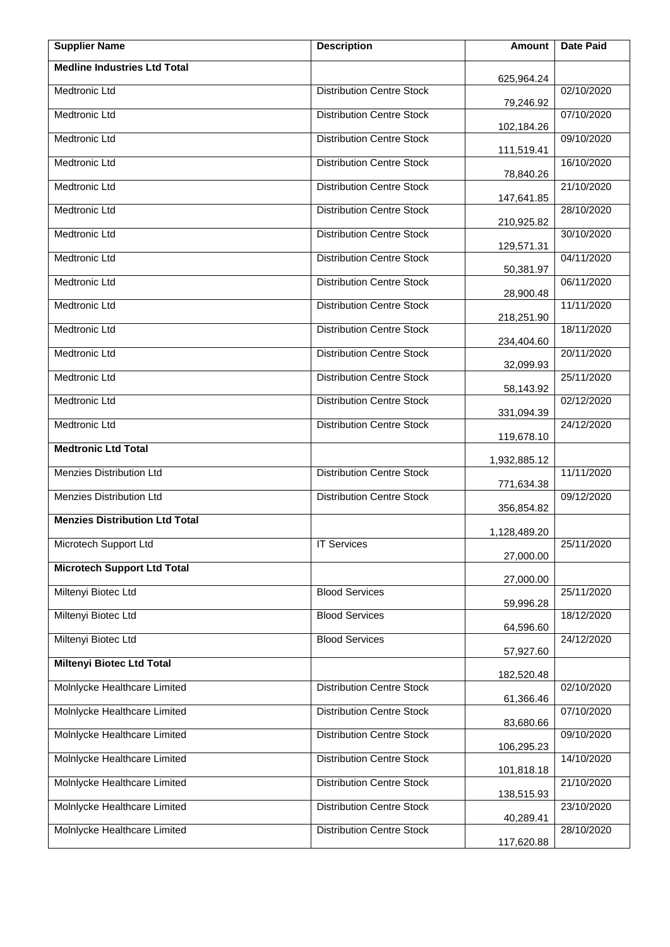| <b>Supplier Name</b>                  | <b>Description</b>               | Amount                  | <b>Date Paid</b> |
|---------------------------------------|----------------------------------|-------------------------|------------------|
| <b>Medline Industries Ltd Total</b>   |                                  | 625,964.24              |                  |
| Medtronic Ltd                         | <b>Distribution Centre Stock</b> | 79,246.92               | 02/10/2020       |
| <b>Medtronic Ltd</b>                  | <b>Distribution Centre Stock</b> | 102,184.26              | 07/10/2020       |
| Medtronic Ltd                         | <b>Distribution Centre Stock</b> | 111,519.41              | 09/10/2020       |
| Medtronic Ltd                         | <b>Distribution Centre Stock</b> | 78,840.26               | 16/10/2020       |
| Medtronic Ltd                         | <b>Distribution Centre Stock</b> | 147,641.85              | 21/10/2020       |
| Medtronic Ltd                         | <b>Distribution Centre Stock</b> | 210,925.82              | 28/10/2020       |
| Medtronic Ltd                         | <b>Distribution Centre Stock</b> | 129,571.31              | 30/10/2020       |
| <b>Medtronic Ltd</b>                  | <b>Distribution Centre Stock</b> | 50,381.97               | 04/11/2020       |
| <b>Medtronic Ltd</b>                  | <b>Distribution Centre Stock</b> | 28,900.48               | 06/11/2020       |
| <b>Medtronic Ltd</b>                  | <b>Distribution Centre Stock</b> | 218,251.90              | 11/11/2020       |
| Medtronic Ltd                         | <b>Distribution Centre Stock</b> | 234,404.60              | 18/11/2020       |
| Medtronic Ltd                         | <b>Distribution Centre Stock</b> | 32,099.93               | 20/11/2020       |
| Medtronic Ltd                         | <b>Distribution Centre Stock</b> |                         | 25/11/2020       |
| Medtronic Ltd                         | Distribution Centre Stock        | 58,143.92<br>331,094.39 | 02/12/2020       |
| Medtronic Ltd                         | <b>Distribution Centre Stock</b> | 119,678.10              | 24/12/2020       |
| <b>Medtronic Ltd Total</b>            |                                  | 1,932,885.12            |                  |
| Menzies Distribution Ltd              | <b>Distribution Centre Stock</b> | 771,634.38              | 11/11/2020       |
| Menzies Distribution Ltd              | <b>Distribution Centre Stock</b> | 356,854.82              | 09/12/2020       |
| <b>Menzies Distribution Ltd Total</b> |                                  | 1,128,489.20            |                  |
| Microtech Support Ltd                 | <b>IT Services</b>               | 27,000.00               | 25/11/2020       |
| <b>Microtech Support Ltd Total</b>    |                                  | 27,000.00               |                  |
| Miltenyi Biotec Ltd                   | <b>Blood Services</b>            | 59,996.28               | 25/11/2020       |
| Miltenyi Biotec Ltd                   | <b>Blood Services</b>            | 64,596.60               | 18/12/2020       |
| Miltenyi Biotec Ltd                   | <b>Blood Services</b>            | 57,927.60               | 24/12/2020       |
| <b>Miltenyi Biotec Ltd Total</b>      |                                  | 182,520.48              |                  |
| Molnlycke Healthcare Limited          | <b>Distribution Centre Stock</b> | 61,366.46               | 02/10/2020       |
| Molnlycke Healthcare Limited          | <b>Distribution Centre Stock</b> | 83,680.66               | 07/10/2020       |
| Molnlycke Healthcare Limited          | <b>Distribution Centre Stock</b> | 106,295.23              | 09/10/2020       |
| Molnlycke Healthcare Limited          | <b>Distribution Centre Stock</b> | 101,818.18              | 14/10/2020       |
| Molnlycke Healthcare Limited          | <b>Distribution Centre Stock</b> | 138,515.93              | 21/10/2020       |
| Molnlycke Healthcare Limited          | <b>Distribution Centre Stock</b> | 40,289.41               | 23/10/2020       |
| Molnlycke Healthcare Limited          | <b>Distribution Centre Stock</b> | 117,620.88              | 28/10/2020       |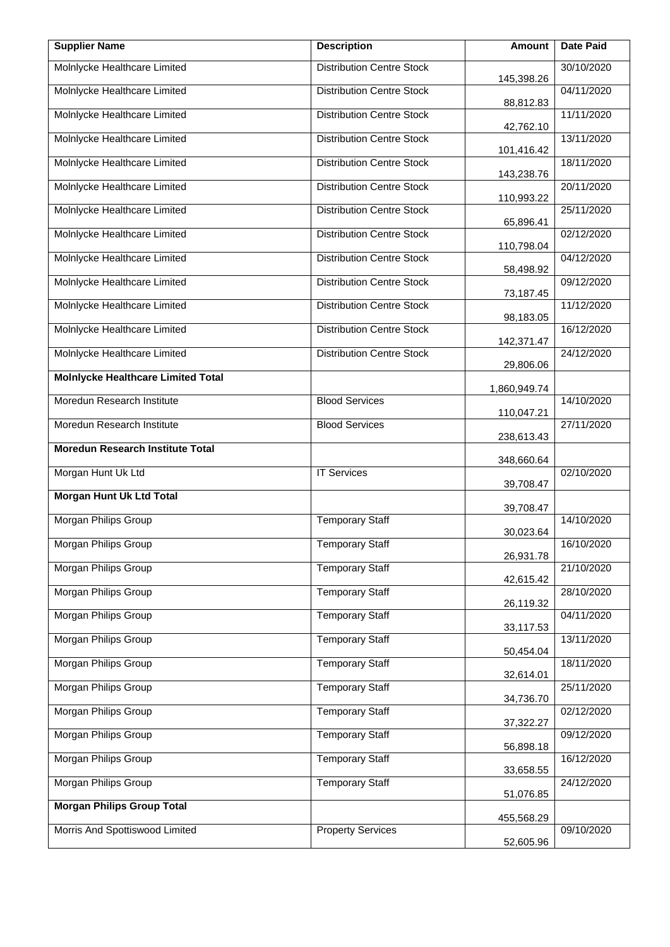| <b>Supplier Name</b>                      | <b>Description</b>               | Amount       | <b>Date Paid</b> |
|-------------------------------------------|----------------------------------|--------------|------------------|
| Molnlycke Healthcare Limited              | <b>Distribution Centre Stock</b> | 145,398.26   | 30/10/2020       |
| Molnlycke Healthcare Limited              | <b>Distribution Centre Stock</b> | 88,812.83    | 04/11/2020       |
| Molnlycke Healthcare Limited              | <b>Distribution Centre Stock</b> | 42,762.10    | 11/11/2020       |
| Molnlycke Healthcare Limited              | <b>Distribution Centre Stock</b> | 101,416.42   | 13/11/2020       |
| Molnlycke Healthcare Limited              | <b>Distribution Centre Stock</b> | 143,238.76   | 18/11/2020       |
| Molnlycke Healthcare Limited              | <b>Distribution Centre Stock</b> | 110,993.22   | 20/11/2020       |
| Molnlycke Healthcare Limited              | <b>Distribution Centre Stock</b> | 65,896.41    | 25/11/2020       |
| Molnlycke Healthcare Limited              | <b>Distribution Centre Stock</b> | 110,798.04   | 02/12/2020       |
| Molnlycke Healthcare Limited              | <b>Distribution Centre Stock</b> | 58,498.92    | 04/12/2020       |
| Molnlycke Healthcare Limited              | <b>Distribution Centre Stock</b> | 73,187.45    | 09/12/2020       |
| Molnlycke Healthcare Limited              | <b>Distribution Centre Stock</b> | 98,183.05    | 11/12/2020       |
| Molnlycke Healthcare Limited              | <b>Distribution Centre Stock</b> | 142,371.47   | 16/12/2020       |
| Molnlycke Healthcare Limited              | <b>Distribution Centre Stock</b> | 29,806.06    | 24/12/2020       |
| <b>Molnlycke Healthcare Limited Total</b> |                                  | 1,860,949.74 |                  |
| Moredun Research Institute                | <b>Blood Services</b>            | 110,047.21   | 14/10/2020       |
| Moredun Research Institute                | <b>Blood Services</b>            | 238,613.43   | 27/11/2020       |
| <b>Moredun Research Institute Total</b>   |                                  | 348,660.64   |                  |
| Morgan Hunt Uk Ltd                        | <b>IT Services</b>               | 39,708.47    | 02/10/2020       |
| <b>Morgan Hunt Uk Ltd Total</b>           |                                  | 39,708.47    |                  |
| Morgan Philips Group                      | <b>Temporary Staff</b>           | 30,023.64    | 14/10/2020       |
| Morgan Philips Group                      | <b>Temporary Staff</b>           | 26,931.78    | 16/10/2020       |
| <b>Morgan Philips Group</b>               | <b>Temporary Staff</b>           | 42,615.42    | 21/10/2020       |
| Morgan Philips Group                      | <b>Temporary Staff</b>           | 26,119.32    | 28/10/2020       |
| Morgan Philips Group                      | <b>Temporary Staff</b>           | 33,117.53    | 04/11/2020       |
| Morgan Philips Group                      | <b>Temporary Staff</b>           | 50,454.04    | 13/11/2020       |
| Morgan Philips Group                      | <b>Temporary Staff</b>           | 32,614.01    | 18/11/2020       |
| Morgan Philips Group                      | <b>Temporary Staff</b>           | 34,736.70    | 25/11/2020       |
| Morgan Philips Group                      | <b>Temporary Staff</b>           | 37,322.27    | 02/12/2020       |
| Morgan Philips Group                      | <b>Temporary Staff</b>           | 56,898.18    | 09/12/2020       |
| Morgan Philips Group                      | <b>Temporary Staff</b>           | 33,658.55    | 16/12/2020       |
| Morgan Philips Group                      | <b>Temporary Staff</b>           | 51,076.85    | 24/12/2020       |
| <b>Morgan Philips Group Total</b>         |                                  | 455,568.29   |                  |
| Morris And Spottiswood Limited            | <b>Property Services</b>         | 52,605.96    | 09/10/2020       |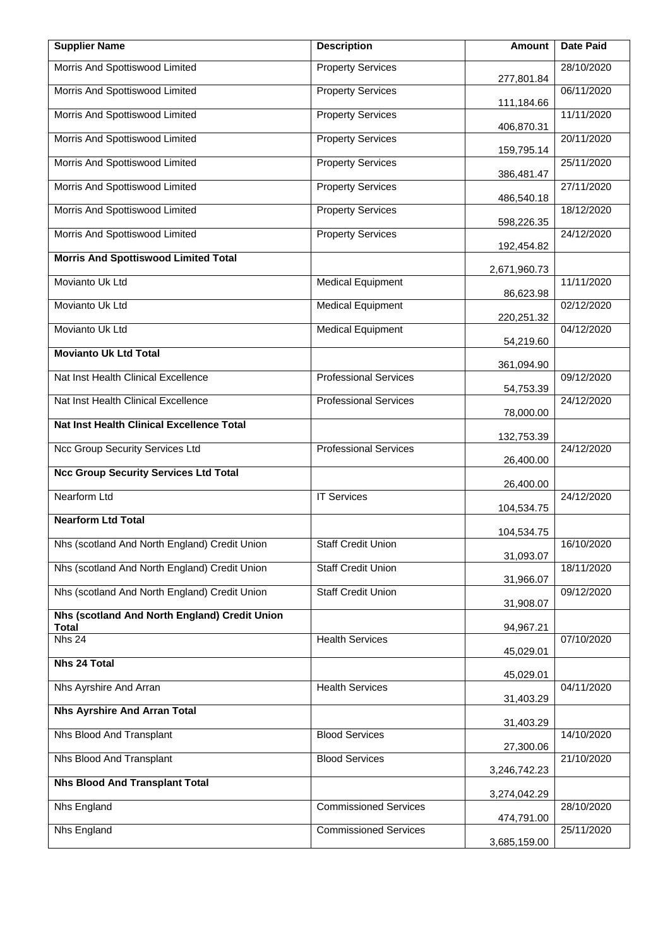| <b>Supplier Name</b>                          | <b>Description</b>           | <b>Amount</b>          | <b>Date Paid</b> |
|-----------------------------------------------|------------------------------|------------------------|------------------|
| Morris And Spottiswood Limited                | <b>Property Services</b>     | 277,801.84             | 28/10/2020       |
| Morris And Spottiswood Limited                | <b>Property Services</b>     | 111,184.66             | 06/11/2020       |
| Morris And Spottiswood Limited                | <b>Property Services</b>     | 406,870.31             | 11/11/2020       |
| Morris And Spottiswood Limited                | <b>Property Services</b>     | 159,795.14             | 20/11/2020       |
| Morris And Spottiswood Limited                | <b>Property Services</b>     | 386,481.47             | 25/11/2020       |
| Morris And Spottiswood Limited                | <b>Property Services</b>     | 486,540.18             | 27/11/2020       |
| Morris And Spottiswood Limited                | <b>Property Services</b>     | 598,226.35             | 18/12/2020       |
| Morris And Spottiswood Limited                | <b>Property Services</b>     | 192,454.82             | 24/12/2020       |
| <b>Morris And Spottiswood Limited Total</b>   |                              | 2,671,960.73           |                  |
| Movianto Uk Ltd                               | <b>Medical Equipment</b>     | 86,623.98              | 11/11/2020       |
| Movianto Uk Ltd                               | <b>Medical Equipment</b>     | 220,251.32             | 02/12/2020       |
| Movianto Uk Ltd                               | <b>Medical Equipment</b>     | 54,219.60              | 04/12/2020       |
| <b>Movianto Uk Ltd Total</b>                  |                              | 361,094.90             |                  |
| Nat Inst Health Clinical Excellence           | <b>Professional Services</b> |                        | 09/12/2020       |
| Nat Inst Health Clinical Excellence           | <b>Professional Services</b> | 54,753.39<br>78,000.00 | 24/12/2020       |
| Nat Inst Health Clinical Excellence Total     |                              | 132,753.39             |                  |
| Ncc Group Security Services Ltd               | <b>Professional Services</b> | 26,400.00              | 24/12/2020       |
| <b>Ncc Group Security Services Ltd Total</b>  |                              | 26,400.00              |                  |
| Nearform Ltd                                  | <b>IT Services</b>           | 104,534.75             | 24/12/2020       |
| <b>Nearform Ltd Total</b>                     |                              | 104,534.75             |                  |
| Nhs (scotland And North England) Credit Union | <b>Staff Credit Union</b>    |                        | 16/10/2020       |
| Nhs (scotland And North England) Credit Union | <b>Staff Credit Union</b>    | 31,093.07              | 18/11/2020       |
| Nhs (scotland And North England) Credit Union | <b>Staff Credit Union</b>    | 31,966.07              | 09/12/2020       |
| Nhs (scotland And North England) Credit Union |                              | 31,908.07              |                  |
| <b>Total</b><br>Nhs 24                        | <b>Health Services</b>       | 94,967.21              | 07/10/2020       |
| <b>Nhs 24 Total</b>                           |                              | 45,029.01              |                  |
| Nhs Ayrshire And Arran                        | <b>Health Services</b>       | 45,029.01              | 04/11/2020       |
| <b>Nhs Ayrshire And Arran Total</b>           |                              | 31,403.29              |                  |
| Nhs Blood And Transplant                      | <b>Blood Services</b>        | 31,403.29              | 14/10/2020       |
| Nhs Blood And Transplant                      | <b>Blood Services</b>        | 27,300.06              | 21/10/2020       |
| <b>Nhs Blood And Transplant Total</b>         |                              | 3,246,742.23           |                  |
| Nhs England                                   | <b>Commissioned Services</b> | 3,274,042.29           | 28/10/2020       |
| Nhs England                                   | <b>Commissioned Services</b> | 474,791.00             | 25/11/2020       |
|                                               |                              | 3,685,159.00           |                  |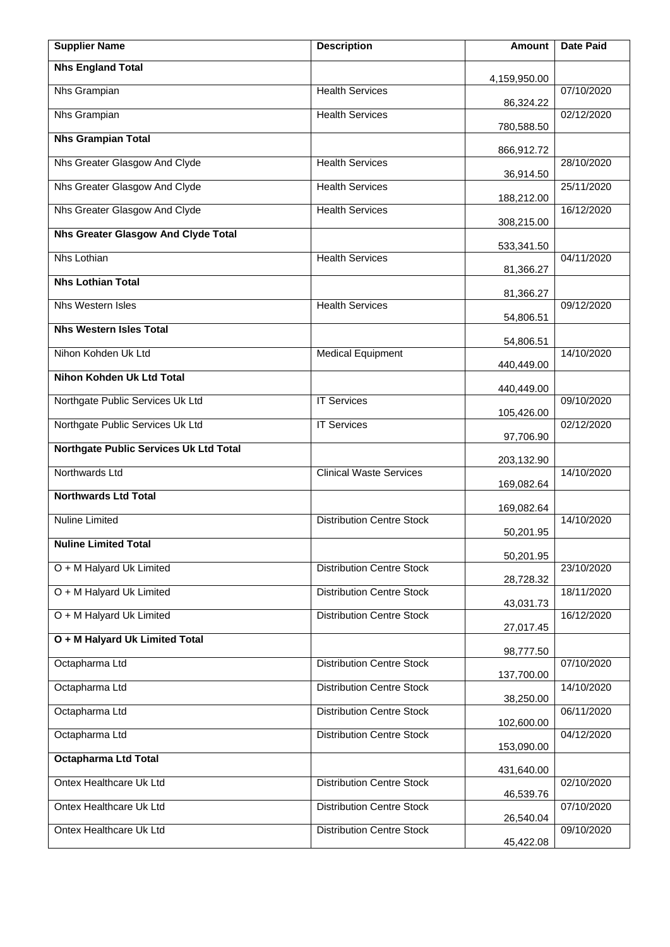| <b>Supplier Name</b>                       | <b>Description</b>               | <b>Amount</b>            | <b>Date Paid</b> |
|--------------------------------------------|----------------------------------|--------------------------|------------------|
| <b>Nhs England Total</b>                   |                                  | 4,159,950.00             |                  |
| Nhs Grampian                               | <b>Health Services</b>           | 86,324.22                | 07/10/2020       |
| Nhs Grampian                               | <b>Health Services</b>           | 780,588.50               | 02/12/2020       |
| <b>Nhs Grampian Total</b>                  |                                  | 866,912.72               |                  |
| Nhs Greater Glasgow And Clyde              | <b>Health Services</b>           | 36,914.50                | 28/10/2020       |
| Nhs Greater Glasgow And Clyde              | <b>Health Services</b>           | 188,212.00               | 25/11/2020       |
| Nhs Greater Glasgow And Clyde              | <b>Health Services</b>           | 308,215.00               | 16/12/2020       |
| <b>Nhs Greater Glasgow And Clyde Total</b> |                                  | 533,341.50               |                  |
| <b>Nhs Lothian</b>                         | <b>Health Services</b>           | 81,366.27                | 04/11/2020       |
| <b>Nhs Lothian Total</b>                   |                                  | 81,366.27                |                  |
| <b>Nhs Western Isles</b>                   | <b>Health Services</b>           | 54,806.51                | 09/12/2020       |
| <b>Nhs Western Isles Total</b>             |                                  | 54,806.51                |                  |
| Nihon Kohden Uk Ltd                        | <b>Medical Equipment</b>         | 440,449.00               | 14/10/2020       |
| <b>Nihon Kohden Uk Ltd Total</b>           |                                  |                          |                  |
| Northgate Public Services Uk Ltd           | <b>IT Services</b>               | 440,449.00<br>105,426.00 | 09/10/2020       |
| Northgate Public Services Uk Ltd           | <b>IT Services</b>               | 97,706.90                | 02/12/2020       |
| Northgate Public Services Uk Ltd Total     |                                  |                          |                  |
| Northwards Ltd                             | <b>Clinical Waste Services</b>   | 203,132.90<br>169,082.64 | 14/10/2020       |
| <b>Northwards Ltd Total</b>                |                                  | 169,082.64               |                  |
| <b>Nuline Limited</b>                      | <b>Distribution Centre Stock</b> |                          | 14/10/2020       |
| <b>Nuline Limited Total</b>                |                                  | 50,201.95                |                  |
| O + M Halyard Uk Limited                   | <b>Distribution Centre Stock</b> | 50,201.95                | 23/10/2020       |
| O + M Halyard Uk Limited                   | <b>Distribution Centre Stock</b> | 28,728.32                | 18/11/2020       |
| O + M Halyard Uk Limited                   | <b>Distribution Centre Stock</b> | 43,031.73                | 16/12/2020       |
| O + M Halyard Uk Limited Total             |                                  | 27,017.45                |                  |
| Octapharma Ltd                             | <b>Distribution Centre Stock</b> | 98,777.50                | 07/10/2020       |
| Octapharma Ltd                             | <b>Distribution Centre Stock</b> | 137,700.00               | 14/10/2020       |
| Octapharma Ltd                             | <b>Distribution Centre Stock</b> | 38,250.00                | 06/11/2020       |
| Octapharma Ltd                             | <b>Distribution Centre Stock</b> | 102,600.00               | 04/12/2020       |
| <b>Octapharma Ltd Total</b>                |                                  | 153,090.00               |                  |
| Ontex Healthcare Uk Ltd                    | <b>Distribution Centre Stock</b> | 431,640.00               | 02/10/2020       |
| Ontex Healthcare Uk Ltd                    | <b>Distribution Centre Stock</b> | 46,539.76                | 07/10/2020       |
| Ontex Healthcare Uk Ltd                    | <b>Distribution Centre Stock</b> | 26,540.04<br>45,422.08   | 09/10/2020       |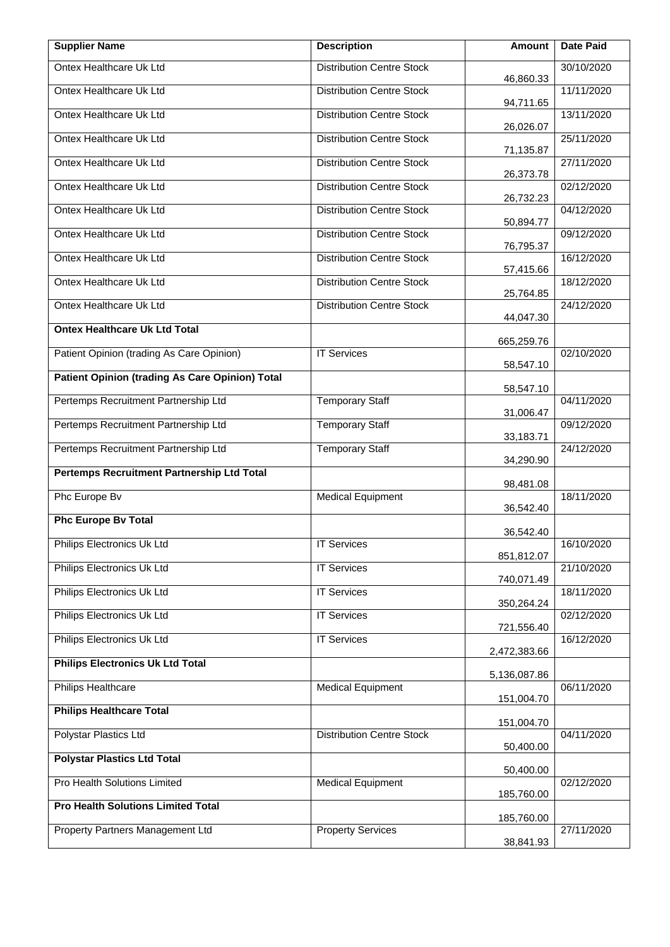| <b>Supplier Name</b>                                   | <b>Description</b>               | Amount                  | <b>Date Paid</b> |
|--------------------------------------------------------|----------------------------------|-------------------------|------------------|
| Ontex Healthcare Uk Ltd                                | <b>Distribution Centre Stock</b> | 46,860.33               | 30/10/2020       |
| Ontex Healthcare Uk Ltd                                | <b>Distribution Centre Stock</b> | 94,711.65               | 11/11/2020       |
| Ontex Healthcare Uk Ltd                                | <b>Distribution Centre Stock</b> | 26,026.07               | 13/11/2020       |
| Ontex Healthcare Uk Ltd                                | <b>Distribution Centre Stock</b> | 71,135.87               | 25/11/2020       |
| Ontex Healthcare Uk Ltd                                | <b>Distribution Centre Stock</b> | 26,373.78               | 27/11/2020       |
| Ontex Healthcare Uk Ltd                                | <b>Distribution Centre Stock</b> | 26,732.23               | 02/12/2020       |
| Ontex Healthcare Uk Ltd                                | <b>Distribution Centre Stock</b> | 50,894.77               | 04/12/2020       |
| Ontex Healthcare Uk Ltd                                | <b>Distribution Centre Stock</b> | 76,795.37               | 09/12/2020       |
| Ontex Healthcare Uk Ltd                                | <b>Distribution Centre Stock</b> | 57,415.66               | 16/12/2020       |
| Ontex Healthcare Uk Ltd                                | <b>Distribution Centre Stock</b> | 25,764.85               | 18/12/2020       |
| Ontex Healthcare Uk Ltd                                | <b>Distribution Centre Stock</b> | 44,047.30               | 24/12/2020       |
| <b>Ontex Healthcare Uk Ltd Total</b>                   |                                  | 665,259.76              |                  |
| Patient Opinion (trading As Care Opinion)              | <b>IT Services</b>               | 58,547.10               | 02/10/2020       |
| <b>Patient Opinion (trading As Care Opinion) Total</b> |                                  | 58,547.10               |                  |
| Pertemps Recruitment Partnership Ltd                   | <b>Temporary Staff</b>           | 31,006.47               | 04/11/2020       |
| Pertemps Recruitment Partnership Ltd                   | <b>Temporary Staff</b>           | 33,183.71               | 09/12/2020       |
| Pertemps Recruitment Partnership Ltd                   | <b>Temporary Staff</b>           | 34,290.90               | 24/12/2020       |
| Pertemps Recruitment Partnership Ltd Total             |                                  | 98,481.08               |                  |
| Phc Europe Bv                                          | <b>Medical Equipment</b>         | 36,542.40               | 18/11/2020       |
| <b>Phc Europe Bv Total</b>                             |                                  | 36,542.40               |                  |
| Philips Electronics Uk Ltd                             | <b>IT Services</b>               | 851,812.07              | 16/10/2020       |
| Philips Electronics Uk Ltd                             | <b>IT Services</b>               | 740,071.49              | 21/10/2020       |
| Philips Electronics Uk Ltd                             | <b>IT Services</b>               | 350,264.24              | 18/11/2020       |
| Philips Electronics Uk Ltd                             | <b>IT Services</b>               | 721,556.40              | 02/12/2020       |
| Philips Electronics Uk Ltd                             | <b>IT Services</b>               | 2,472,383.66            | 16/12/2020       |
| <b>Philips Electronics Uk Ltd Total</b>                |                                  | 5,136,087.86            |                  |
| Philips Healthcare                                     | <b>Medical Equipment</b>         | 151,004.70              | 06/11/2020       |
| <b>Philips Healthcare Total</b>                        |                                  |                         |                  |
| Polystar Plastics Ltd                                  | <b>Distribution Centre Stock</b> | 151,004.70<br>50,400.00 | 04/11/2020       |
| <b>Polystar Plastics Ltd Total</b>                     |                                  |                         |                  |
| Pro Health Solutions Limited                           | <b>Medical Equipment</b>         | 50,400.00<br>185,760.00 | 02/12/2020       |
| <b>Pro Health Solutions Limited Total</b>              |                                  |                         |                  |
| Property Partners Management Ltd                       | <b>Property Services</b>         | 185,760.00              | 27/11/2020       |
|                                                        |                                  | 38,841.93               |                  |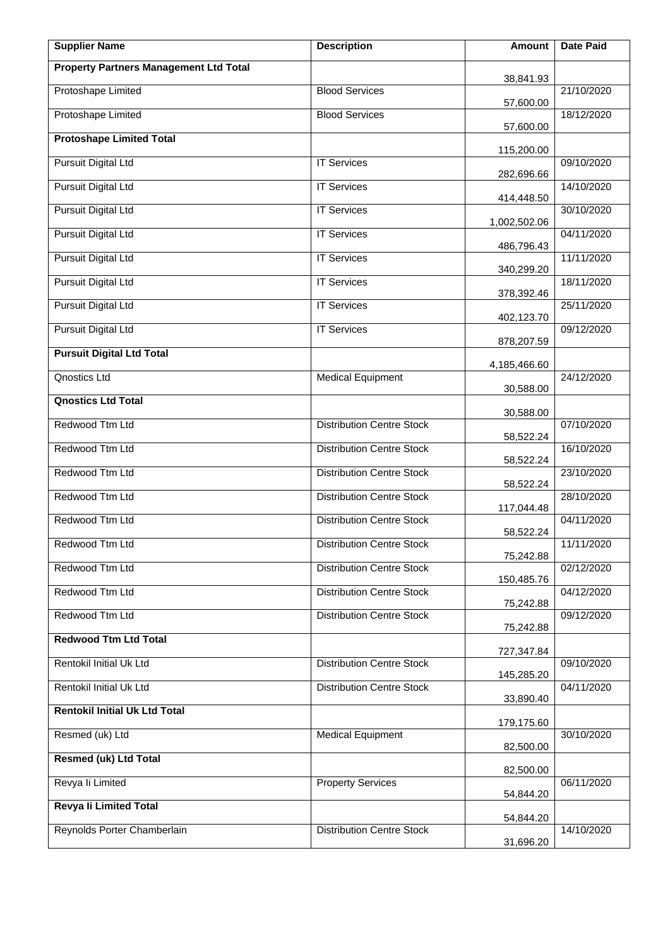| <b>Supplier Name</b>                          | <b>Description</b>               | Amount       | <b>Date Paid</b> |
|-----------------------------------------------|----------------------------------|--------------|------------------|
| <b>Property Partners Management Ltd Total</b> |                                  | 38,841.93    |                  |
| Protoshape Limited                            | <b>Blood Services</b>            | 57,600.00    | 21/10/2020       |
| Protoshape Limited                            | <b>Blood Services</b>            | 57,600.00    | 18/12/2020       |
| <b>Protoshape Limited Total</b>               |                                  | 115,200.00   |                  |
| <b>Pursuit Digital Ltd</b>                    | <b>IT Services</b>               | 282,696.66   | 09/10/2020       |
| <b>Pursuit Digital Ltd</b>                    | <b>IT Services</b>               | 414,448.50   | 14/10/2020       |
| <b>Pursuit Digital Ltd</b>                    | <b>IT Services</b>               | 1,002,502.06 | 30/10/2020       |
| <b>Pursuit Digital Ltd</b>                    | <b>IT Services</b>               | 486,796.43   | 04/11/2020       |
| <b>Pursuit Digital Ltd</b>                    | <b>IT Services</b>               | 340,299.20   | 11/11/2020       |
| <b>Pursuit Digital Ltd</b>                    | <b>IT Services</b>               | 378,392.46   | 18/11/2020       |
| <b>Pursuit Digital Ltd</b>                    | <b>IT Services</b>               | 402,123.70   | 25/11/2020       |
| <b>Pursuit Digital Ltd</b>                    | <b>IT Services</b>               | 878,207.59   | 09/12/2020       |
| <b>Pursuit Digital Ltd Total</b>              |                                  | 4,185,466.60 |                  |
| Qnostics Ltd                                  | <b>Medical Equipment</b>         | 30,588.00    | 24/12/2020       |
| <b>Qnostics Ltd Total</b>                     |                                  | 30,588.00    |                  |
| Redwood Ttm Ltd                               | <b>Distribution Centre Stock</b> | 58,522.24    | 07/10/2020       |
| Redwood Ttm Ltd                               | <b>Distribution Centre Stock</b> | 58,522.24    | 16/10/2020       |
| Redwood Ttm Ltd                               | <b>Distribution Centre Stock</b> | 58,522.24    | 23/10/2020       |
| Redwood Ttm Ltd                               | <b>Distribution Centre Stock</b> | 117,044.48   | 28/10/2020       |
| Redwood Ttm Ltd                               | <b>Distribution Centre Stock</b> | 58,522.24    | 04/11/2020       |
| Redwood Ttm Ltd                               | <b>Distribution Centre Stock</b> | 75,242.88    | 11/11/2020       |
| Redwood Ttm Ltd                               | <b>Distribution Centre Stock</b> | 150,485.76   | 02/12/2020       |
| Redwood Ttm Ltd                               | <b>Distribution Centre Stock</b> | 75,242.88    | 04/12/2020       |
| Redwood Ttm Ltd                               | <b>Distribution Centre Stock</b> | 75,242.88    | 09/12/2020       |
| <b>Redwood Ttm Ltd Total</b>                  |                                  | 727,347.84   |                  |
| Rentokil Initial Uk Ltd                       | <b>Distribution Centre Stock</b> | 145,285.20   | 09/10/2020       |
| Rentokil Initial Uk Ltd                       | <b>Distribution Centre Stock</b> | 33,890.40    | 04/11/2020       |
| <b>Rentokil Initial Uk Ltd Total</b>          |                                  | 179,175.60   |                  |
| Resmed (uk) Ltd                               | <b>Medical Equipment</b>         | 82,500.00    | 30/10/2020       |
| <b>Resmed (uk) Ltd Total</b>                  |                                  | 82,500.00    |                  |
| Revya li Limited                              | <b>Property Services</b>         | 54,844.20    | 06/11/2020       |
| <b>Revya li Limited Total</b>                 |                                  | 54,844.20    |                  |
| Reynolds Porter Chamberlain                   | <b>Distribution Centre Stock</b> | 31,696.20    | 14/10/2020       |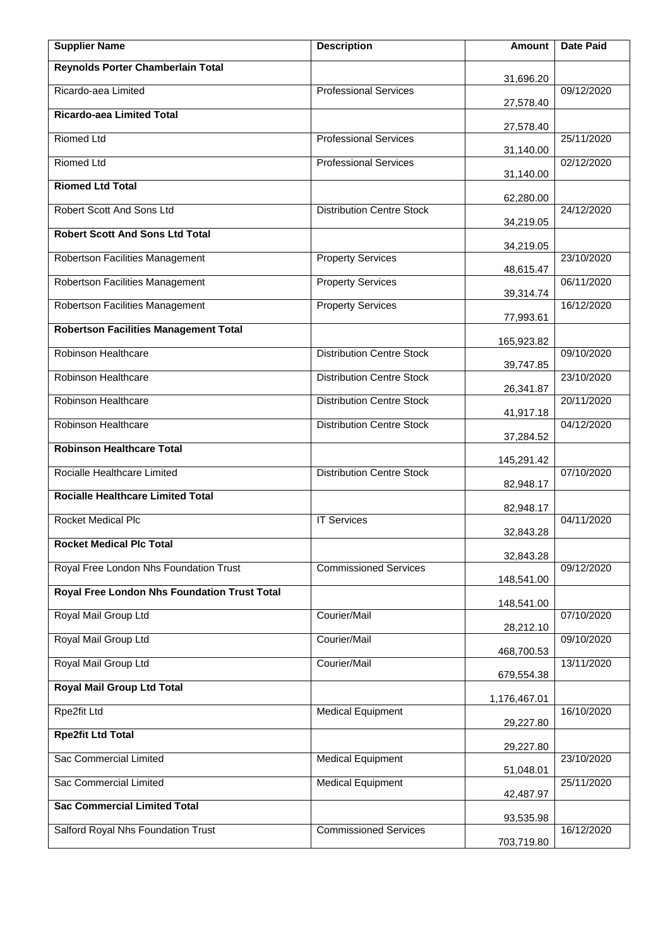| <b>Supplier Name</b>                         | <b>Description</b>               | Amount                  | <b>Date Paid</b> |
|----------------------------------------------|----------------------------------|-------------------------|------------------|
| Reynolds Porter Chamberlain Total            |                                  | 31,696.20               |                  |
| Ricardo-aea Limited                          | <b>Professional Services</b>     | 27,578.40               | 09/12/2020       |
| <b>Ricardo-aea Limited Total</b>             |                                  | 27,578.40               |                  |
| <b>Riomed Ltd</b>                            | <b>Professional Services</b>     | 31,140.00               | 25/11/2020       |
| <b>Riomed Ltd</b>                            | <b>Professional Services</b>     | 31,140.00               | 02/12/2020       |
| <b>Riomed Ltd Total</b>                      |                                  | 62,280.00               |                  |
| Robert Scott And Sons Ltd                    | <b>Distribution Centre Stock</b> | 34,219.05               | 24/12/2020       |
| <b>Robert Scott And Sons Ltd Total</b>       |                                  | 34,219.05               |                  |
| Robertson Facilities Management              | <b>Property Services</b>         | 48,615.47               | 23/10/2020       |
| Robertson Facilities Management              | <b>Property Services</b>         | 39,314.74               | 06/11/2020       |
| Robertson Facilities Management              | <b>Property Services</b>         | 77,993.61               | 16/12/2020       |
| <b>Robertson Facilities Management Total</b> |                                  | 165,923.82              |                  |
| Robinson Healthcare                          | <b>Distribution Centre Stock</b> | 39,747.85               | 09/10/2020       |
| Robinson Healthcare                          | <b>Distribution Centre Stock</b> |                         | 23/10/2020       |
| Robinson Healthcare                          | Distribution Centre Stock        | 26,341.87               | 20/11/2020       |
| Robinson Healthcare                          | <b>Distribution Centre Stock</b> | 41,917.18<br>37,284.52  | 04/12/2020       |
| <b>Robinson Healthcare Total</b>             |                                  |                         |                  |
| Rocialle Healthcare Limited                  | <b>Distribution Centre Stock</b> | 145,291.42<br>82,948.17 | 07/10/2020       |
| <b>Rocialle Healthcare Limited Total</b>     |                                  | 82,948.17               |                  |
| <b>Rocket Medical Plc</b>                    | <b>IT Services</b>               | 32,843.28               | 04/11/2020       |
| <b>Rocket Medical Plc Total</b>              |                                  | 32,843.28               |                  |
| Royal Free London Nhs Foundation Trust       | <b>Commissioned Services</b>     |                         | 09/12/2020       |
| Royal Free London Nhs Foundation Trust Total |                                  | 148,541.00              |                  |
| Royal Mail Group Ltd                         | Courier/Mail                     | 148,541.00              | 07/10/2020       |
| Royal Mail Group Ltd                         | Courier/Mail                     | 28,212.10               | 09/10/2020       |
| Royal Mail Group Ltd                         | Courier/Mail                     | 468,700.53              | 13/11/2020       |
| <b>Royal Mail Group Ltd Total</b>            |                                  | 679,554.38              |                  |
| Rpe2fit Ltd                                  | <b>Medical Equipment</b>         | 1,176,467.01            | 16/10/2020       |
| <b>Rpe2fit Ltd Total</b>                     |                                  | 29,227.80               |                  |
| Sac Commercial Limited                       | <b>Medical Equipment</b>         | 29,227.80               | 23/10/2020       |
| Sac Commercial Limited                       | <b>Medical Equipment</b>         | 51,048.01               | 25/11/2020       |
| <b>Sac Commercial Limited Total</b>          |                                  | 42,487.97               |                  |
| Salford Royal Nhs Foundation Trust           | <b>Commissioned Services</b>     | 93,535.98               | 16/12/2020       |
|                                              |                                  | 703,719.80              |                  |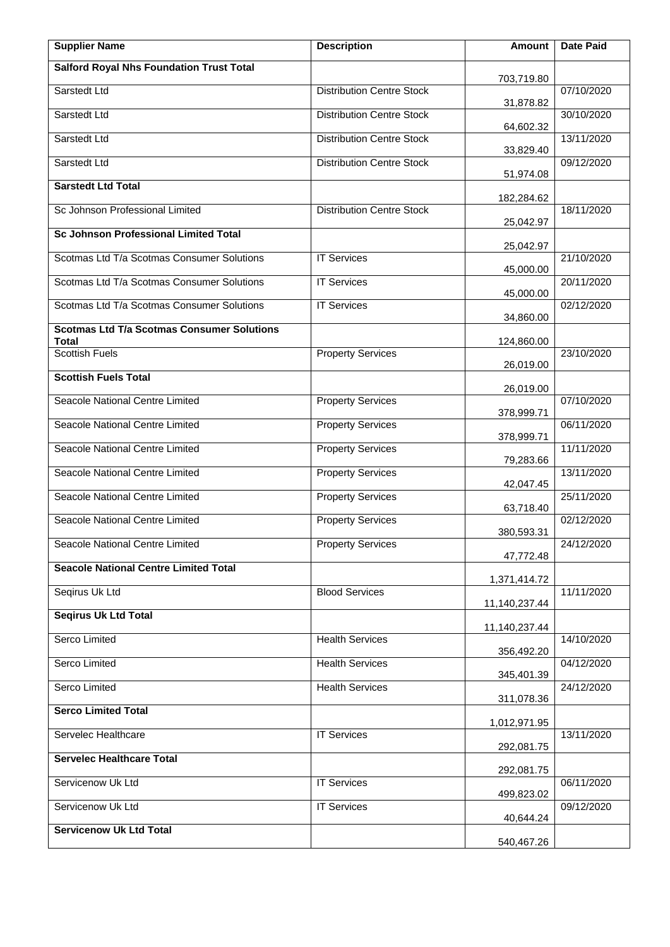| <b>Supplier Name</b>                                              | <b>Description</b>               | Amount        | Date Paid  |
|-------------------------------------------------------------------|----------------------------------|---------------|------------|
| <b>Salford Royal Nhs Foundation Trust Total</b>                   |                                  | 703,719.80    |            |
| Sarstedt Ltd                                                      | <b>Distribution Centre Stock</b> | 31,878.82     | 07/10/2020 |
| Sarstedt Ltd                                                      | <b>Distribution Centre Stock</b> | 64,602.32     | 30/10/2020 |
| Sarstedt Ltd                                                      | <b>Distribution Centre Stock</b> | 33,829.40     | 13/11/2020 |
| Sarstedt Ltd                                                      | <b>Distribution Centre Stock</b> | 51,974.08     | 09/12/2020 |
| <b>Sarstedt Ltd Total</b>                                         |                                  | 182,284.62    |            |
| Sc Johnson Professional Limited                                   | <b>Distribution Centre Stock</b> | 25,042.97     | 18/11/2020 |
| <b>Sc Johnson Professional Limited Total</b>                      |                                  | 25,042.97     |            |
| Scotmas Ltd T/a Scotmas Consumer Solutions                        | <b>IT Services</b>               | 45,000.00     | 21/10/2020 |
| Scotmas Ltd T/a Scotmas Consumer Solutions                        | <b>IT Services</b>               | 45,000.00     | 20/11/2020 |
| Scotmas Ltd T/a Scotmas Consumer Solutions                        | <b>IT Services</b>               | 34,860.00     | 02/12/2020 |
| <b>Scotmas Ltd T/a Scotmas Consumer Solutions</b><br><b>Total</b> |                                  | 124,860.00    |            |
| <b>Scottish Fuels</b>                                             | <b>Property Services</b>         | 26,019.00     | 23/10/2020 |
| <b>Scottish Fuels Total</b>                                       |                                  | 26,019.00     |            |
| Seacole National Centre Limited                                   | <b>Property Services</b>         | 378,999.71    | 07/10/2020 |
| Seacole National Centre Limited                                   | <b>Property Services</b>         | 378,999.71    | 06/11/2020 |
| Seacole National Centre Limited                                   | <b>Property Services</b>         | 79,283.66     | 11/11/2020 |
| Seacole National Centre Limited                                   | <b>Property Services</b>         | 42,047.45     | 13/11/2020 |
| Seacole National Centre Limited                                   | <b>Property Services</b>         | 63,718.40     | 25/11/2020 |
| Seacole National Centre Limited                                   | <b>Property Services</b>         | 380,593.31    | 02/12/2020 |
| Seacole National Centre Limited                                   | <b>Property Services</b>         | 47,772.48     | 24/12/2020 |
| <b>Seacole National Centre Limited Total</b>                      |                                  | 1,371,414.72  |            |
| Seqirus Uk Ltd                                                    | <b>Blood Services</b>            | 11,140,237.44 | 11/11/2020 |
| <b>Seqirus Uk Ltd Total</b>                                       |                                  | 11,140,237.44 |            |
| <b>Serco Limited</b>                                              | <b>Health Services</b>           | 356,492.20    | 14/10/2020 |
| Serco Limited                                                     | <b>Health Services</b>           | 345,401.39    | 04/12/2020 |
| Serco Limited                                                     | <b>Health Services</b>           | 311,078.36    | 24/12/2020 |
| <b>Serco Limited Total</b>                                        |                                  | 1,012,971.95  |            |
| Servelec Healthcare                                               | <b>IT Services</b>               | 292,081.75    | 13/11/2020 |
| <b>Servelec Healthcare Total</b>                                  |                                  | 292,081.75    |            |
| Servicenow Uk Ltd                                                 | <b>IT Services</b>               | 499,823.02    | 06/11/2020 |
| Servicenow Uk Ltd                                                 | <b>IT Services</b>               | 40,644.24     | 09/12/2020 |
| <b>Servicenow Uk Ltd Total</b>                                    |                                  | 540,467.26    |            |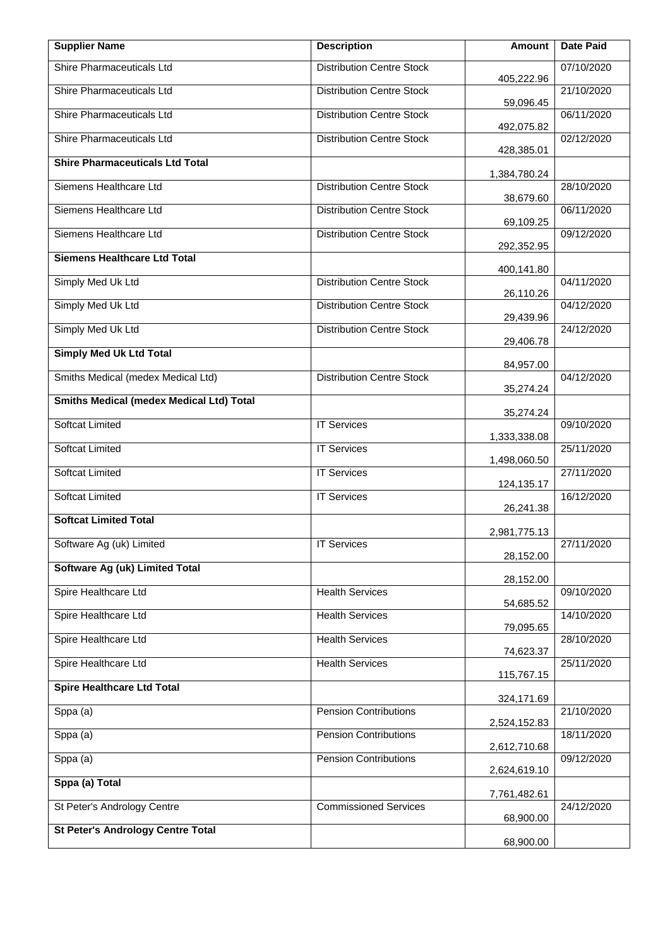| <b>Supplier Name</b>                            | <b>Description</b>               | Amount                       | <b>Date Paid</b> |
|-------------------------------------------------|----------------------------------|------------------------------|------------------|
| Shire Pharmaceuticals Ltd                       | <b>Distribution Centre Stock</b> | 405,222.96                   | 07/10/2020       |
| Shire Pharmaceuticals Ltd                       | <b>Distribution Centre Stock</b> | 59,096.45                    | 21/10/2020       |
| Shire Pharmaceuticals Ltd                       | <b>Distribution Centre Stock</b> | 492,075.82                   | 06/11/2020       |
| Shire Pharmaceuticals Ltd                       | <b>Distribution Centre Stock</b> | 428,385.01                   | 02/12/2020       |
| <b>Shire Pharmaceuticals Ltd Total</b>          |                                  | 1,384,780.24                 |                  |
| Siemens Healthcare Ltd                          | <b>Distribution Centre Stock</b> | 38,679.60                    | 28/10/2020       |
| Siemens Healthcare Ltd                          | <b>Distribution Centre Stock</b> | 69,109.25                    | 06/11/2020       |
| Siemens Healthcare Ltd                          | <b>Distribution Centre Stock</b> | 292,352.95                   | 09/12/2020       |
| <b>Siemens Healthcare Ltd Total</b>             |                                  | 400,141.80                   |                  |
| Simply Med Uk Ltd                               | <b>Distribution Centre Stock</b> | 26,110.26                    | 04/11/2020       |
| Simply Med Uk Ltd                               | <b>Distribution Centre Stock</b> | 29,439.96                    | 04/12/2020       |
| Simply Med Uk Ltd                               | <b>Distribution Centre Stock</b> | 29,406.78                    | 24/12/2020       |
| <b>Simply Med Uk Ltd Total</b>                  |                                  | 84,957.00                    |                  |
| Smiths Medical (medex Medical Ltd)              | <b>Distribution Centre Stock</b> | 35,274.24                    | 04/12/2020       |
| <b>Smiths Medical (medex Medical Ltd) Total</b> |                                  | 35,274.24                    |                  |
| <b>Softcat Limited</b>                          | <b>IT Services</b>               | 1,333,338.08                 | 09/10/2020       |
| <b>Softcat Limited</b>                          | <b>IT Services</b>               |                              | 25/11/2020       |
| <b>Softcat Limited</b>                          | <b>IT Services</b>               | 1,498,060.50<br>124,135.17   | 27/11/2020       |
| <b>Softcat Limited</b>                          | <b>IT Services</b>               | 26,241.38                    | 16/12/2020       |
| <b>Softcat Limited Total</b>                    |                                  | 2,981,775.13                 |                  |
| Software Ag (uk) Limited                        | <b>IT Services</b>               | 28,152.00                    | 27/11/2020       |
| Software Ag (uk) Limited Total                  |                                  | 28,152.00                    |                  |
| Spire Healthcare Ltd                            | <b>Health Services</b>           | 54,685.52                    | 09/10/2020       |
| Spire Healthcare Ltd                            | <b>Health Services</b>           | 79,095.65                    | 14/10/2020       |
| Spire Healthcare Ltd                            | <b>Health Services</b>           | 74,623.37                    | 28/10/2020       |
| Spire Healthcare Ltd                            | <b>Health Services</b>           | 115,767.15                   | 25/11/2020       |
| <b>Spire Healthcare Ltd Total</b>               |                                  | 324,171.69                   |                  |
| Sppa (a)                                        | <b>Pension Contributions</b>     |                              | 21/10/2020       |
| Sppa (a)                                        | <b>Pension Contributions</b>     | 2,524,152.83<br>2,612,710.68 | 18/11/2020       |
| Sppa (a)                                        | Pension Contributions            | 2,624,619.10                 | 09/12/2020       |
| Sppa (a) Total                                  |                                  | 7,761,482.61                 |                  |
| St Peter's Andrology Centre                     | <b>Commissioned Services</b>     | 68,900.00                    | 24/12/2020       |
| <b>St Peter's Andrology Centre Total</b>        |                                  | 68,900.00                    |                  |
|                                                 |                                  |                              |                  |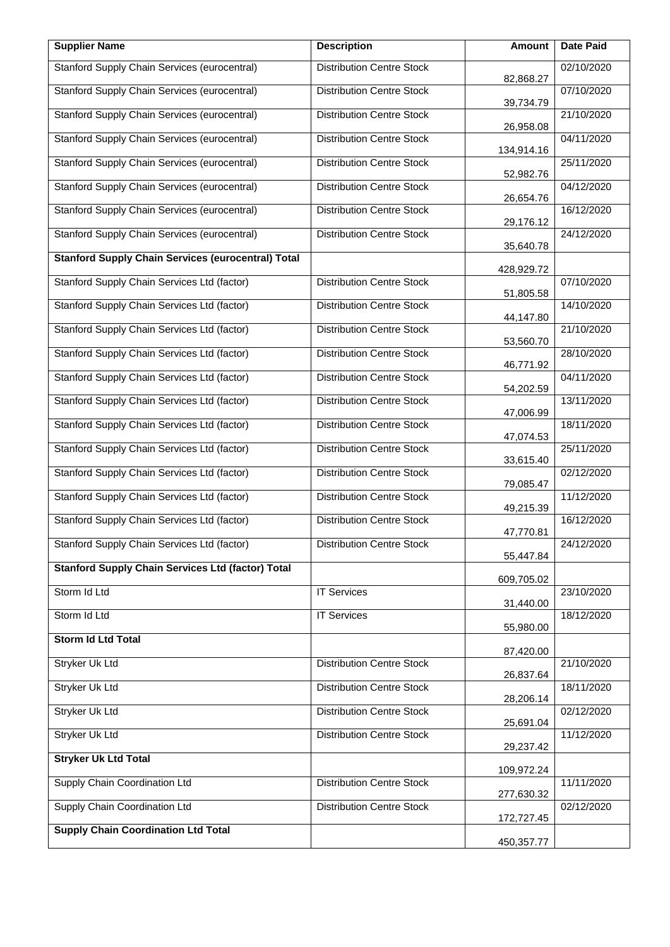| <b>Supplier Name</b>                                      | <b>Description</b>               | <b>Amount</b> | <b>Date Paid</b> |
|-----------------------------------------------------------|----------------------------------|---------------|------------------|
| Stanford Supply Chain Services (eurocentral)              | <b>Distribution Centre Stock</b> | 82,868.27     | 02/10/2020       |
| Stanford Supply Chain Services (eurocentral)              | <b>Distribution Centre Stock</b> | 39,734.79     | 07/10/2020       |
| Stanford Supply Chain Services (eurocentral)              | <b>Distribution Centre Stock</b> | 26,958.08     | 21/10/2020       |
| Stanford Supply Chain Services (eurocentral)              | <b>Distribution Centre Stock</b> | 134,914.16    | 04/11/2020       |
| Stanford Supply Chain Services (eurocentral)              | <b>Distribution Centre Stock</b> | 52,982.76     | 25/11/2020       |
| Stanford Supply Chain Services (eurocentral)              | <b>Distribution Centre Stock</b> | 26,654.76     | 04/12/2020       |
| Stanford Supply Chain Services (eurocentral)              | <b>Distribution Centre Stock</b> | 29,176.12     | 16/12/2020       |
| Stanford Supply Chain Services (eurocentral)              | <b>Distribution Centre Stock</b> | 35,640.78     | 24/12/2020       |
| <b>Stanford Supply Chain Services (eurocentral) Total</b> |                                  | 428,929.72    |                  |
| Stanford Supply Chain Services Ltd (factor)               | <b>Distribution Centre Stock</b> | 51,805.58     | 07/10/2020       |
| Stanford Supply Chain Services Ltd (factor)               | <b>Distribution Centre Stock</b> | 44,147.80     | 14/10/2020       |
| Stanford Supply Chain Services Ltd (factor)               | <b>Distribution Centre Stock</b> | 53,560.70     | 21/10/2020       |
| Stanford Supply Chain Services Ltd (factor)               | <b>Distribution Centre Stock</b> | 46,771.92     | 28/10/2020       |
| Stanford Supply Chain Services Ltd (factor)               | <b>Distribution Centre Stock</b> | 54,202.59     | 04/11/2020       |
| Stanford Supply Chain Services Ltd (factor)               | <b>Distribution Centre Stock</b> | 47,006.99     | 13/11/2020       |
| Stanford Supply Chain Services Ltd (factor)               | <b>Distribution Centre Stock</b> | 47,074.53     | 18/11/2020       |
| Stanford Supply Chain Services Ltd (factor)               | <b>Distribution Centre Stock</b> | 33,615.40     | 25/11/2020       |
| Stanford Supply Chain Services Ltd (factor)               | <b>Distribution Centre Stock</b> | 79,085.47     | 02/12/2020       |
| Stanford Supply Chain Services Ltd (factor)               | <b>Distribution Centre Stock</b> | 49,215.39     | 11/12/2020       |
| Stanford Supply Chain Services Ltd (factor)               | <b>Distribution Centre Stock</b> | 47,770.81     | 16/12/2020       |
| Stanford Supply Chain Services Ltd (factor)               | <b>Distribution Centre Stock</b> | 55,447.84     | 24/12/2020       |
| <b>Stanford Supply Chain Services Ltd (factor) Total</b>  |                                  | 609,705.02    |                  |
| Storm Id Ltd                                              | <b>IT Services</b>               | 31,440.00     | 23/10/2020       |
| Storm Id Ltd                                              | <b>IT Services</b>               | 55,980.00     | 18/12/2020       |
| <b>Storm Id Ltd Total</b>                                 |                                  | 87,420.00     |                  |
| <b>Stryker Uk Ltd</b>                                     | <b>Distribution Centre Stock</b> | 26,837.64     | 21/10/2020       |
| Stryker Uk Ltd                                            | <b>Distribution Centre Stock</b> | 28,206.14     | 18/11/2020       |
| <b>Stryker Uk Ltd</b>                                     | <b>Distribution Centre Stock</b> | 25,691.04     | 02/12/2020       |
| Stryker Uk Ltd                                            | <b>Distribution Centre Stock</b> | 29,237.42     | 11/12/2020       |
| <b>Stryker Uk Ltd Total</b>                               |                                  | 109,972.24    |                  |
| Supply Chain Coordination Ltd                             | <b>Distribution Centre Stock</b> | 277,630.32    | 11/11/2020       |
| Supply Chain Coordination Ltd                             | <b>Distribution Centre Stock</b> | 172,727.45    | 02/12/2020       |
| <b>Supply Chain Coordination Ltd Total</b>                |                                  | 450,357.77    |                  |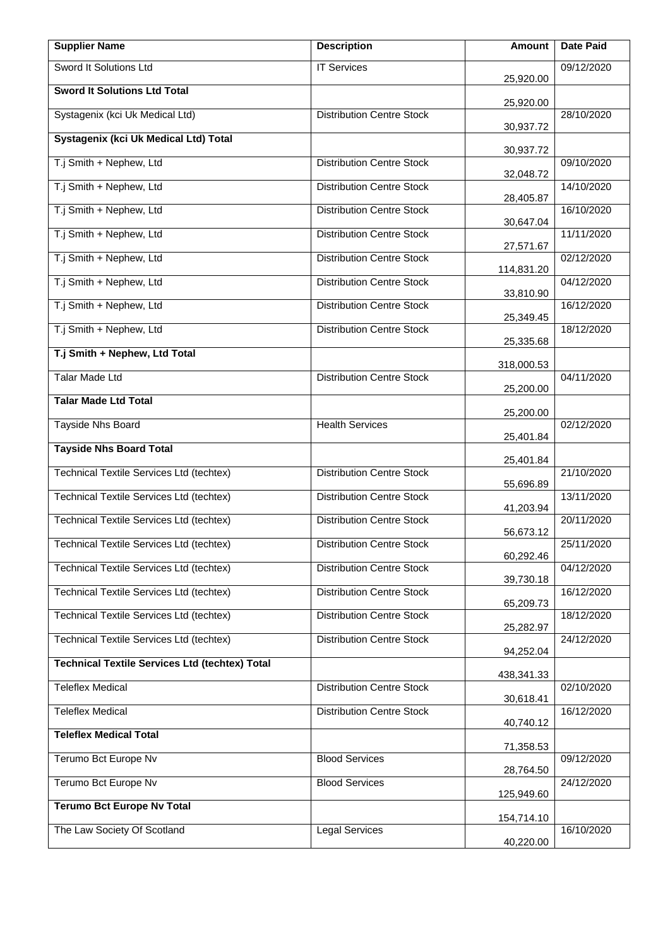| <b>Supplier Name</b>                                  | <b>Description</b>               | Amount     | <b>Date Paid</b> |
|-------------------------------------------------------|----------------------------------|------------|------------------|
| Sword It Solutions Ltd                                | <b>IT Services</b>               | 25,920.00  | 09/12/2020       |
| <b>Sword It Solutions Ltd Total</b>                   |                                  | 25,920.00  |                  |
| Systagenix (kci Uk Medical Ltd)                       | <b>Distribution Centre Stock</b> | 30,937.72  | 28/10/2020       |
| Systagenix (kci Uk Medical Ltd) Total                 |                                  | 30,937.72  |                  |
| T.j Smith + Nephew, Ltd                               | <b>Distribution Centre Stock</b> | 32,048.72  | 09/10/2020       |
| T.j Smith + Nephew, Ltd                               | <b>Distribution Centre Stock</b> | 28,405.87  | 14/10/2020       |
| T.j Smith + Nephew, Ltd                               | <b>Distribution Centre Stock</b> | 30,647.04  | 16/10/2020       |
| T.j Smith + Nephew, Ltd                               | <b>Distribution Centre Stock</b> | 27,571.67  | 11/11/2020       |
| T.j Smith + Nephew, Ltd                               | <b>Distribution Centre Stock</b> | 114,831.20 | 02/12/2020       |
| T.j Smith + Nephew, Ltd                               | <b>Distribution Centre Stock</b> | 33,810.90  | 04/12/2020       |
| T.j Smith + Nephew, Ltd                               | <b>Distribution Centre Stock</b> | 25,349.45  | 16/12/2020       |
| T.j Smith + Nephew, Ltd                               | <b>Distribution Centre Stock</b> | 25,335.68  | 18/12/2020       |
| T.j Smith + Nephew, Ltd Total                         |                                  | 318,000.53 |                  |
| <b>Talar Made Ltd</b>                                 | <b>Distribution Centre Stock</b> | 25,200.00  | 04/11/2020       |
| <b>Talar Made Ltd Total</b>                           |                                  | 25,200.00  |                  |
| <b>Tayside Nhs Board</b>                              | <b>Health Services</b>           | 25,401.84  | 02/12/2020       |
| <b>Tayside Nhs Board Total</b>                        |                                  | 25,401.84  |                  |
| <b>Technical Textile Services Ltd (techtex)</b>       | <b>Distribution Centre Stock</b> | 55,696.89  | 21/10/2020       |
| Technical Textile Services Ltd (techtex)              | <b>Distribution Centre Stock</b> | 41,203.94  | 13/11/2020       |
| Technical Textile Services Ltd (techtex)              | <b>Distribution Centre Stock</b> | 56,673.12  | 20/11/2020       |
| Technical Textile Services Ltd (techtex)              | <b>Distribution Centre Stock</b> | 60,292.46  | 25/11/2020       |
| Technical Textile Services Ltd (techtex)              | <b>Distribution Centre Stock</b> | 39,730.18  | 04/12/2020       |
| <b>Technical Textile Services Ltd (techtex)</b>       | <b>Distribution Centre Stock</b> | 65,209.73  | 16/12/2020       |
| <b>Technical Textile Services Ltd (techtex)</b>       | <b>Distribution Centre Stock</b> | 25,282.97  | 18/12/2020       |
| Technical Textile Services Ltd (techtex)              | <b>Distribution Centre Stock</b> | 94,252.04  | 24/12/2020       |
| <b>Technical Textile Services Ltd (techtex) Total</b> |                                  | 438,341.33 |                  |
| <b>Teleflex Medical</b>                               | <b>Distribution Centre Stock</b> | 30,618.41  | 02/10/2020       |
| <b>Teleflex Medical</b>                               | <b>Distribution Centre Stock</b> | 40,740.12  | 16/12/2020       |
| <b>Teleflex Medical Total</b>                         |                                  | 71,358.53  |                  |
| Terumo Bct Europe Nv                                  | <b>Blood Services</b>            | 28,764.50  | 09/12/2020       |
| Terumo Bct Europe Nv                                  | <b>Blood Services</b>            | 125,949.60 | 24/12/2020       |
| <b>Terumo Bct Europe Nv Total</b>                     |                                  | 154,714.10 |                  |
| The Law Society Of Scotland                           | <b>Legal Services</b>            | 40,220.00  | 16/10/2020       |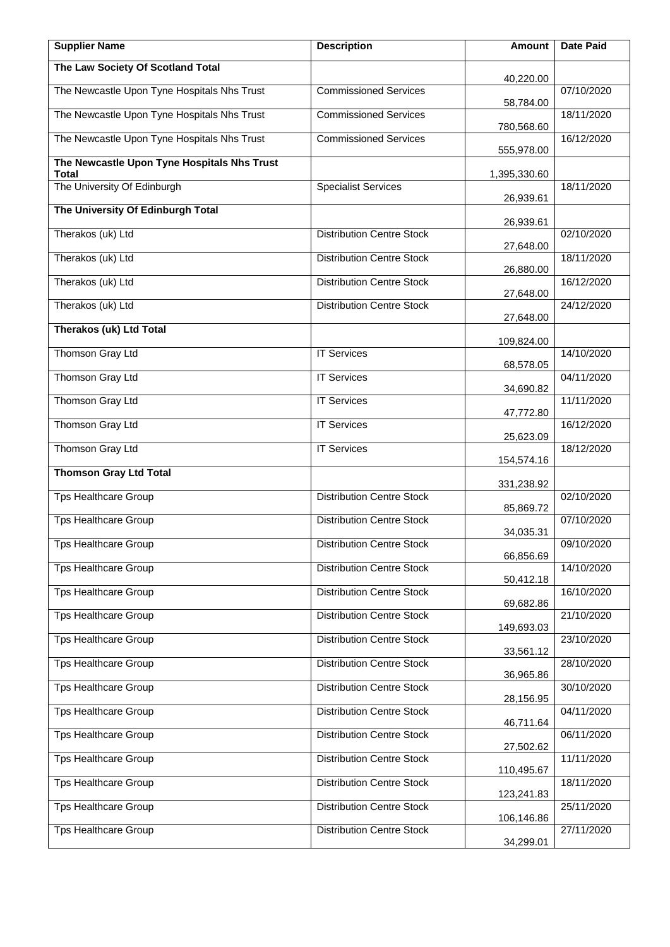| <b>Supplier Name</b>                        | <b>Description</b>               | <b>Amount</b>           | <b>Date Paid</b> |
|---------------------------------------------|----------------------------------|-------------------------|------------------|
| The Law Society Of Scotland Total           |                                  | 40,220.00               |                  |
| The Newcastle Upon Tyne Hospitals Nhs Trust | <b>Commissioned Services</b>     |                         | 07/10/2020       |
| The Newcastle Upon Tyne Hospitals Nhs Trust | <b>Commissioned Services</b>     | 58,784.00               | 18/11/2020       |
| The Newcastle Upon Tyne Hospitals Nhs Trust | <b>Commissioned Services</b>     | 780,568.60              | 16/12/2020       |
| The Newcastle Upon Tyne Hospitals Nhs Trust |                                  | 555,978.00              |                  |
| Total<br>The University Of Edinburgh        | <b>Specialist Services</b>       | 1,395,330.60            | 18/11/2020       |
| The University Of Edinburgh Total           |                                  | 26,939.61               |                  |
| Therakos (uk) Ltd                           | <b>Distribution Centre Stock</b> | 26,939.61               | 02/10/2020       |
|                                             |                                  | 27,648.00               |                  |
| Therakos (uk) Ltd                           | <b>Distribution Centre Stock</b> | 26,880.00               | 18/11/2020       |
| Therakos (uk) Ltd                           | <b>Distribution Centre Stock</b> | 27,648.00               | 16/12/2020       |
| Therakos (uk) Ltd                           | <b>Distribution Centre Stock</b> | 27,648.00               | 24/12/2020       |
| <b>Therakos (uk) Ltd Total</b>              |                                  | 109,824.00              |                  |
| Thomson Gray Ltd                            | <b>IT Services</b>               | 68,578.05               | 14/10/2020       |
| Thomson Gray Ltd                            | <b>IT Services</b>               |                         | 04/11/2020       |
| Thomson Gray Ltd                            | <b>IT Services</b>               | 34,690.82               | 11/11/2020       |
| Thomson Gray Ltd                            | <b>IT Services</b>               | 47,772.80               | 16/12/2020       |
| Thomson Gray Ltd                            | <b>IT Services</b>               | 25,623.09<br>154,574.16 | 18/12/2020       |
| <b>Thomson Gray Ltd Total</b>               |                                  |                         |                  |
| <b>Tps Healthcare Group</b>                 | <b>Distribution Centre Stock</b> | 331,238.92              | 02/10/2020       |
| Tps Healthcare Group                        | <b>Distribution Centre Stock</b> | 85,869.72               | 07/10/2020       |
| Tps Healthcare Group                        | <b>Distribution Centre Stock</b> | 34,035.31               | 09/10/2020       |
| <b>Tps Healthcare Group</b>                 | <b>Distribution Centre Stock</b> | 66,856.69               | 14/10/2020       |
| <b>Tps Healthcare Group</b>                 | <b>Distribution Centre Stock</b> | 50,412.18               | 16/10/2020       |
| <b>Tps Healthcare Group</b>                 | <b>Distribution Centre Stock</b> | 69,682.86               | 21/10/2020       |
|                                             |                                  | 149,693.03              |                  |
| <b>Tps Healthcare Group</b>                 | <b>Distribution Centre Stock</b> | 33,561.12               | 23/10/2020       |
| <b>Tps Healthcare Group</b>                 | <b>Distribution Centre Stock</b> | 36,965.86               | 28/10/2020       |
| <b>Tps Healthcare Group</b>                 | <b>Distribution Centre Stock</b> | 28,156.95               | 30/10/2020       |
| <b>Tps Healthcare Group</b>                 | <b>Distribution Centre Stock</b> | 46,711.64               | 04/11/2020       |
| <b>Tps Healthcare Group</b>                 | <b>Distribution Centre Stock</b> | 27,502.62               | 06/11/2020       |
| <b>Tps Healthcare Group</b>                 | <b>Distribution Centre Stock</b> | 110,495.67              | 11/11/2020       |
| <b>Tps Healthcare Group</b>                 | <b>Distribution Centre Stock</b> | 123,241.83              | 18/11/2020       |
| <b>Tps Healthcare Group</b>                 | <b>Distribution Centre Stock</b> | 106,146.86              | 25/11/2020       |
| <b>Tps Healthcare Group</b>                 | <b>Distribution Centre Stock</b> | 34,299.01               | 27/11/2020       |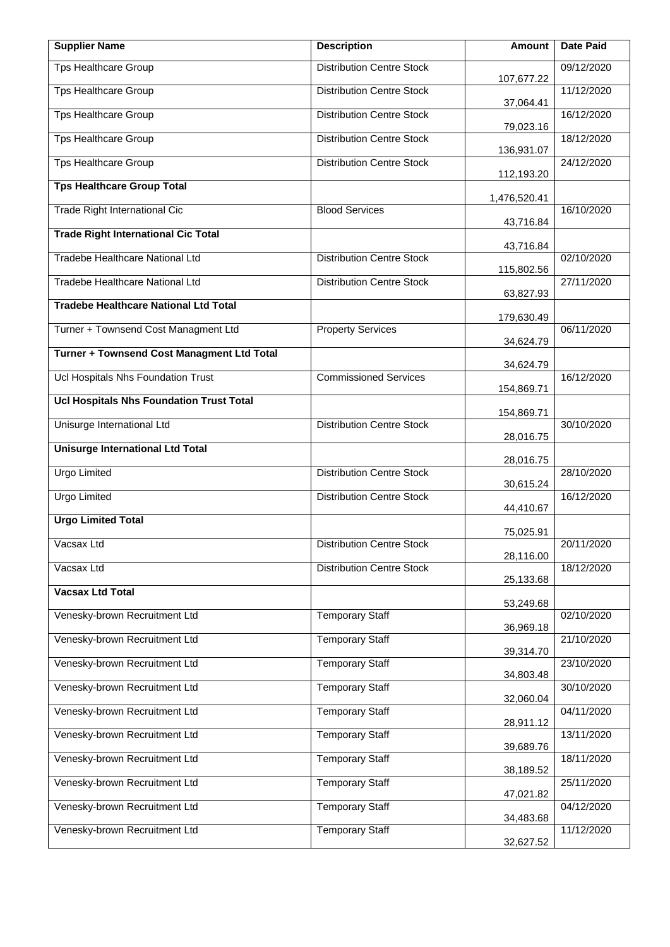| <b>Supplier Name</b>                            | <b>Description</b>               | <b>Amount</b>           | <b>Date Paid</b> |
|-------------------------------------------------|----------------------------------|-------------------------|------------------|
| <b>Tps Healthcare Group</b>                     | <b>Distribution Centre Stock</b> | 107,677.22              | 09/12/2020       |
| <b>Tps Healthcare Group</b>                     | <b>Distribution Centre Stock</b> | 37,064.41               | 11/12/2020       |
| <b>Tps Healthcare Group</b>                     | <b>Distribution Centre Stock</b> | 79,023.16               | 16/12/2020       |
| <b>Tps Healthcare Group</b>                     | <b>Distribution Centre Stock</b> | 136,931.07              | 18/12/2020       |
| <b>Tps Healthcare Group</b>                     | <b>Distribution Centre Stock</b> | 112,193.20              | 24/12/2020       |
| <b>Tps Healthcare Group Total</b>               |                                  | 1,476,520.41            |                  |
| Trade Right International Cic                   | <b>Blood Services</b>            | 43,716.84               | 16/10/2020       |
| <b>Trade Right International Cic Total</b>      |                                  | 43,716.84               |                  |
| <b>Tradebe Healthcare National Ltd</b>          | <b>Distribution Centre Stock</b> | 115,802.56              | 02/10/2020       |
| Tradebe Healthcare National Ltd                 | <b>Distribution Centre Stock</b> | 63,827.93               | 27/11/2020       |
| <b>Tradebe Healthcare National Ltd Total</b>    |                                  |                         |                  |
| Turner + Townsend Cost Managment Ltd            | <b>Property Services</b>         | 179,630.49<br>34,624.79 | 06/11/2020       |
| Turner + Townsend Cost Managment Ltd Total      |                                  | 34,624.79               |                  |
| Ucl Hospitals Nhs Foundation Trust              | <b>Commissioned Services</b>     | 154,869.71              | 16/12/2020       |
| <b>Ucl Hospitals Nhs Foundation Trust Total</b> |                                  | 154,869.71              |                  |
| Unisurge International Ltd                      | <b>Distribution Centre Stock</b> | 28,016.75               | 30/10/2020       |
| Unisurge International Ltd Total                |                                  |                         |                  |
| <b>Urgo Limited</b>                             | <b>Distribution Centre Stock</b> | 28,016.75<br>30,615.24  | 28/10/2020       |
| <b>Urgo Limited</b>                             | <b>Distribution Centre Stock</b> | 44,410.67               | 16/12/2020       |
| <b>Urgo Limited Total</b>                       |                                  | 75,025.91               |                  |
| Vacsax Ltd                                      | <b>Distribution Centre Stock</b> | 28,116.00               | 20/11/2020       |
| Vacsax Ltd                                      | <b>Distribution Centre Stock</b> | 25,133.68               | 18/12/2020       |
| <b>Vacsax Ltd Total</b>                         |                                  |                         |                  |
| Venesky-brown Recruitment Ltd                   | <b>Temporary Staff</b>           | 53,249.68               | 02/10/2020       |
| Venesky-brown Recruitment Ltd                   | <b>Temporary Staff</b>           | 36,969.18               | 21/10/2020       |
| Venesky-brown Recruitment Ltd                   | <b>Temporary Staff</b>           | 39,314.70               | 23/10/2020       |
| Venesky-brown Recruitment Ltd                   | <b>Temporary Staff</b>           | 34,803.48<br>32,060.04  | 30/10/2020       |
| Venesky-brown Recruitment Ltd                   | <b>Temporary Staff</b>           | 28,911.12               | 04/11/2020       |
| Venesky-brown Recruitment Ltd                   | <b>Temporary Staff</b>           | 39,689.76               | 13/11/2020       |
| Venesky-brown Recruitment Ltd                   | <b>Temporary Staff</b>           | 38,189.52               | 18/11/2020       |
| Venesky-brown Recruitment Ltd                   | <b>Temporary Staff</b>           | 47,021.82               | 25/11/2020       |
| Venesky-brown Recruitment Ltd                   | <b>Temporary Staff</b>           | 34,483.68               | 04/12/2020       |
| Venesky-brown Recruitment Ltd                   | <b>Temporary Staff</b>           | 32,627.52               | 11/12/2020       |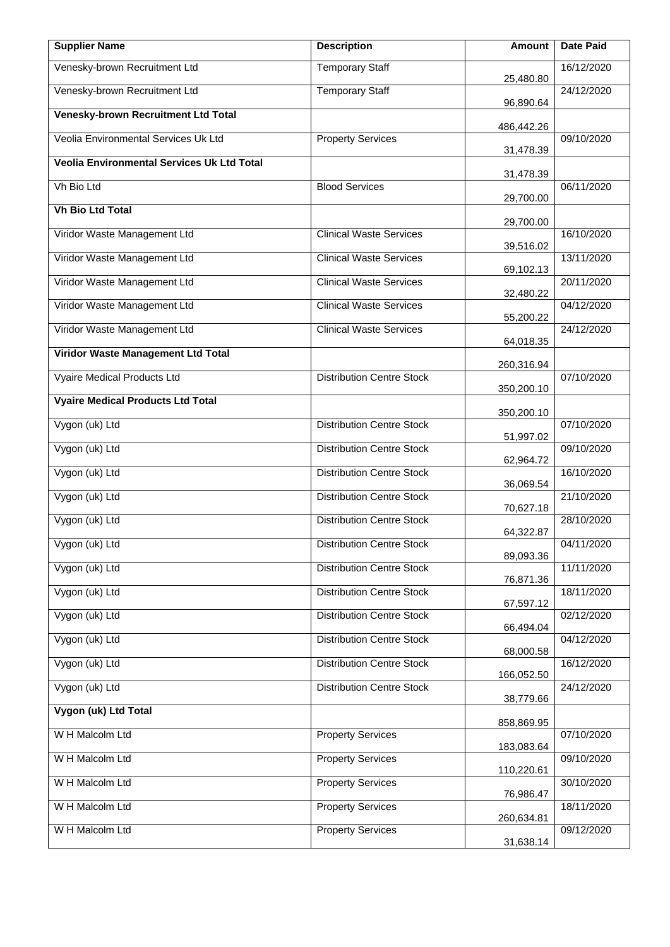| <b>Supplier Name</b>                              | <b>Description</b>               | Amount       | <b>Date Paid</b> |
|---------------------------------------------------|----------------------------------|--------------|------------------|
| Venesky-brown Recruitment Ltd                     | <b>Temporary Staff</b>           | 25,480.80    | 16/12/2020       |
| Venesky-brown Recruitment Ltd                     | <b>Temporary Staff</b>           | 96,890.64    | 24/12/2020       |
| Venesky-brown Recruitment Ltd Total               |                                  | 486, 442. 26 |                  |
| Veolia Environmental Services Uk Ltd              | <b>Property Services</b>         | 31,478.39    | 09/10/2020       |
| <b>Veolia Environmental Services Uk Ltd Total</b> |                                  | 31,478.39    |                  |
| Vh Bio Ltd                                        | <b>Blood Services</b>            | 29,700.00    | 06/11/2020       |
| <b>Vh Bio Ltd Total</b>                           |                                  | 29,700.00    |                  |
| Viridor Waste Management Ltd                      | <b>Clinical Waste Services</b>   | 39,516.02    | 16/10/2020       |
| Viridor Waste Management Ltd                      | <b>Clinical Waste Services</b>   | 69,102.13    | 13/11/2020       |
| Viridor Waste Management Ltd                      | <b>Clinical Waste Services</b>   | 32,480.22    | 20/11/2020       |
| Viridor Waste Management Ltd                      | <b>Clinical Waste Services</b>   | 55,200.22    | 04/12/2020       |
| Viridor Waste Management Ltd                      | <b>Clinical Waste Services</b>   |              | 24/12/2020       |
| Viridor Waste Management Ltd Total                |                                  | 64,018.35    |                  |
| Vyaire Medical Products Ltd                       | <b>Distribution Centre Stock</b> | 260,316.94   | 07/10/2020       |
| <b>Vyaire Medical Products Ltd Total</b>          |                                  | 350,200.10   |                  |
| Vygon (uk) Ltd                                    | <b>Distribution Centre Stock</b> | 350,200.10   | 07/10/2020       |
| Vygon (uk) Ltd                                    | <b>Distribution Centre Stock</b> | 51,997.02    | 09/10/2020       |
| Vygon (uk) Ltd                                    | <b>Distribution Centre Stock</b> | 62,964.72    | 16/10/2020       |
| Vygon (uk) Ltd                                    | <b>Distribution Centre Stock</b> | 36,069.54    | 21/10/2020       |
| Vygon (uk) Ltd                                    | <b>Distribution Centre Stock</b> | 70,627.18    | 28/10/2020       |
| Vygon (uk) Ltd                                    | <b>Distribution Centre Stock</b> | 64,322.87    | 04/11/2020       |
| Vygon (uk) Ltd                                    | <b>Distribution Centre Stock</b> | 89,093.36    | 11/11/2020       |
| Vygon (uk) Ltd                                    | <b>Distribution Centre Stock</b> | 76,871.36    | 18/11/2020       |
| Vygon (uk) Ltd                                    | <b>Distribution Centre Stock</b> | 67,597.12    | 02/12/2020       |
| Vygon (uk) Ltd                                    | <b>Distribution Centre Stock</b> | 66,494.04    | 04/12/2020       |
| Vygon (uk) Ltd                                    | <b>Distribution Centre Stock</b> | 68,000.58    | 16/12/2020       |
| Vygon (uk) Ltd                                    | <b>Distribution Centre Stock</b> | 166,052.50   | 24/12/2020       |
| Vygon (uk) Ltd Total                              |                                  | 38,779.66    |                  |
| W H Malcolm Ltd                                   | <b>Property Services</b>         | 858,869.95   | 07/10/2020       |
| W H Malcolm Ltd                                   | <b>Property Services</b>         | 183,083.64   | 09/10/2020       |
| W H Malcolm Ltd                                   | <b>Property Services</b>         | 110,220.61   | 30/10/2020       |
| W H Malcolm Ltd                                   | <b>Property Services</b>         | 76,986.47    | 18/11/2020       |
| W H Malcolm Ltd                                   | <b>Property Services</b>         | 260,634.81   | 09/12/2020       |
|                                                   |                                  | 31,638.14    |                  |